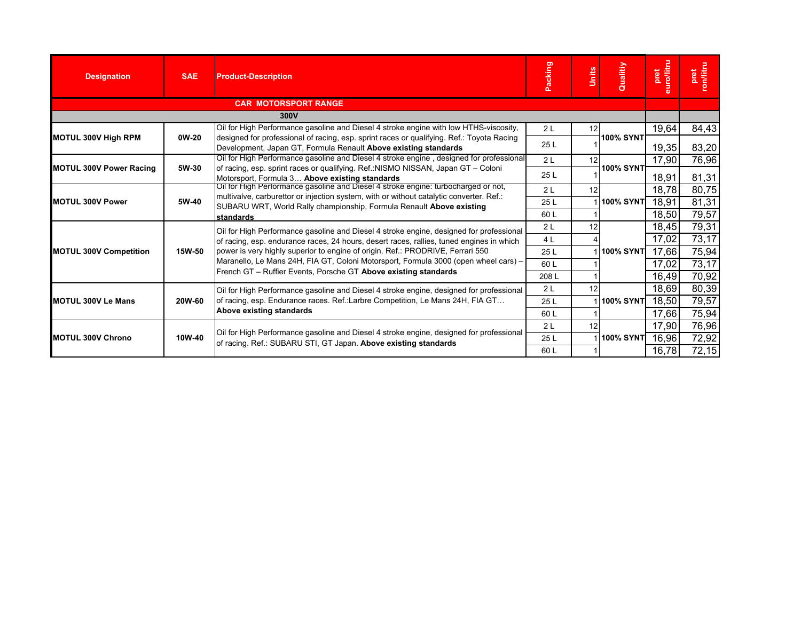| <b>Designation</b>             | <b>SAE</b> | <b>Product-Description</b>                                                                                                                                                                                                                                            | Packing        | Units | Qualitiy           | euro/litru<br>pret | pret<br>con/litru |
|--------------------------------|------------|-----------------------------------------------------------------------------------------------------------------------------------------------------------------------------------------------------------------------------------------------------------------------|----------------|-------|--------------------|--------------------|-------------------|
|                                |            | <b>CAR MOTORSPORT RANGE</b>                                                                                                                                                                                                                                           |                |       |                    |                    |                   |
|                                |            | 300V                                                                                                                                                                                                                                                                  |                |       |                    |                    |                   |
|                                |            | Oil for High Performance gasoline and Diesel 4 stroke engine with low HTHS-viscosity,                                                                                                                                                                                 | 2L             | 12    |                    | 19,64              | 84,43             |
| <b>MOTUL 300V High RPM</b>     | 0W-20      | designed for professional of racing, esp. sprint races or qualifying. Ref.: Toyota Racing<br>Development, Japan GT, Formula Renault Above existing standards                                                                                                          | 25L            |       | <b>100% SYNT</b>   | 19,35              | 83,20             |
|                                |            | Oil for High Performance gasoline and Diesel 4 stroke engine, designed for professional                                                                                                                                                                               | 2L             | 12    |                    | 17,90              | 76,96             |
| <b>MOTUL 300V Power Racing</b> | 5W-30      | of racing, esp. sprint races or qualifying. Ref.:NISMO NISSAN, Japan GT - Coloni<br>Motorsport, Formula 3 Above existing standards                                                                                                                                    | 25 L           |       | <b>100% SYNT</b>   | 18,91              | 81,31             |
|                                |            | Oil for High Performance gasoline and Diesel 4 stroke engine: turbocharged or not,                                                                                                                                                                                    | 2 <sub>L</sub> | 12    |                    | 18,78              | 80,75             |
| <b>MOTUL 300V Power</b>        | 5W-40      | multivalve, carburettor or injection system, with or without catalytic converter. Ref.:<br>SUBARU WRT, World Rally championship, Formula Renault Above existing                                                                                                       | 25L            |       | 1 <b>100% SYNT</b> | 18,91              | 81,31             |
|                                |            | standards                                                                                                                                                                                                                                                             | 60 L           |       |                    | 18,50              | 79,57             |
|                                |            | Oil for High Performance gasoline and Diesel 4 stroke engine, designed for professional<br>of racing, esp. endurance races, 24 hours, desert races, rallies, tuned engines in which<br>power is very highly superior to engine of origin. Ref.: PRODRIVE, Ferrari 550 | 2L             | 12    |                    | 18,45              | 79,31             |
|                                |            |                                                                                                                                                                                                                                                                       | 4 L            |       |                    | 17,02              | 73,17             |
| <b>MOTUL 300V Competition</b>  | 15W-50     |                                                                                                                                                                                                                                                                       | 25 L           |       | <b>100% SYNT</b>   | 17,66              | 75,94             |
|                                |            | Maranello, Le Mans 24H, FIA GT, Coloni Motorsport, Formula 3000 (open wheel cars) -                                                                                                                                                                                   | 60 L           |       |                    | 17,02              | 73,17             |
|                                |            | French GT - Ruffier Events, Porsche GT Above existing standards                                                                                                                                                                                                       | 208L           |       |                    | 16,49              | 70,92             |
|                                |            | Oil for High Performance gasoline and Diesel 4 stroke engine, designed for professional                                                                                                                                                                               | 2L             | 12    |                    | 18,69              | 80,39             |
| <b>MOTUL 300V Le Mans</b>      | 20W-60     | of racing, esp. Endurance races. Ref.:Larbre Competition, Le Mans 24H, FIA GT                                                                                                                                                                                         | 25L            |       | <b>100% SYNT</b>   | 18,50              | 79,57             |
|                                |            | Above existing standards                                                                                                                                                                                                                                              | 60L            |       |                    | 17,66              | 75,94             |
|                                |            |                                                                                                                                                                                                                                                                       | 2L             | 12    |                    | 17,90              | 76,96             |
| <b>MOTUL 300V Chrono</b>       | 10W-40     | Oil for High Performance gasoline and Diesel 4 stroke engine, designed for professional<br>of racing. Ref.: SUBARU STI, GT Japan. Above existing standards                                                                                                            | 25L            |       | <b>100% SYNT</b>   | 16,96              | 72,92             |
|                                |            |                                                                                                                                                                                                                                                                       | 60 L           |       |                    | 16,78              | 72,15             |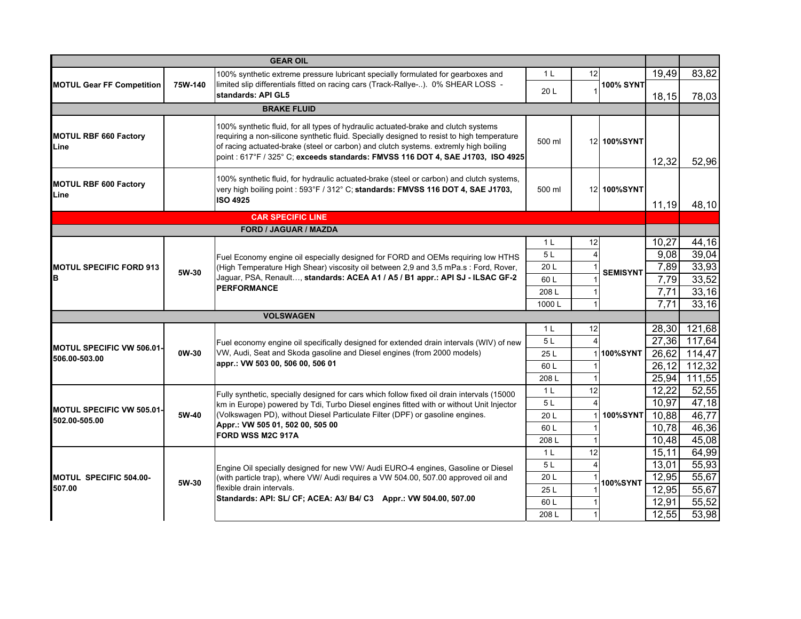|                                      |         | <b>GEAR OIL</b>                                                                                                                                                                                                                                                                                                                                             |                |    |                  |       |              |
|--------------------------------------|---------|-------------------------------------------------------------------------------------------------------------------------------------------------------------------------------------------------------------------------------------------------------------------------------------------------------------------------------------------------------------|----------------|----|------------------|-------|--------------|
|                                      |         | 100% synthetic extreme pressure lubricant specially formulated for gearboxes and                                                                                                                                                                                                                                                                            | 1 <sup>L</sup> | 12 |                  | 19,49 | 83,82        |
| <b>MOTUL Gear FF Competition</b>     | 75W-140 | limited slip differentials fitted on racing cars (Track-Rallye-). 0% SHEAR LOSS -<br>standards: API GL5                                                                                                                                                                                                                                                     | 20 L           |    | <b>100% SYNT</b> | 18,15 | 78,03        |
|                                      |         | <b>BRAKE FLUID</b>                                                                                                                                                                                                                                                                                                                                          |                |    |                  |       |              |
| <b>MOTUL RBF 660 Factory</b><br>Line |         | 100% synthetic fluid, for all types of hydraulic actuated-brake and clutch systems<br>requiring a non-silicone synthetic fluid. Specially designed to resist to high temperature<br>of racing actuated-brake (steel or carbon) and clutch systems. extremly high boiling<br>point : 617°F / 325° C; exceeds standards: FMVSS 116 DOT 4, SAE J1703, ISO 4925 | 500 ml         |    | 12 100%SYNT      | 12,32 | 52,96        |
| <b>MOTUL RBF 600 Factory</b><br>Line |         | 100% synthetic fluid, for hydraulic actuated-brake (steel or carbon) and clutch systems,<br>very high boiling point : 593°F / 312° C; standards: FMVSS 116 DOT 4, SAE J1703,<br><b>ISO 4925</b>                                                                                                                                                             | 500 ml         |    | 12 100%SYNT      | 11,19 | 48,10        |
|                                      |         | <b>CAR SPECIFIC LINE</b>                                                                                                                                                                                                                                                                                                                                    |                |    |                  |       |              |
|                                      |         | <b>FORD / JAGUAR / MAZDA</b>                                                                                                                                                                                                                                                                                                                                |                |    |                  |       |              |
|                                      |         |                                                                                                                                                                                                                                                                                                                                                             | 1 <sub>L</sub> | 12 |                  | 10,27 | 44,16        |
|                                      |         | Fuel Economy engine oil especially designed for FORD and OEMs requiring low HTHS                                                                                                                                                                                                                                                                            | 5L             |    |                  | 9,08  | 39,04        |
| <b>MOTUL SPECIFIC FORD 913</b>       | 5W-30   | (High Temperature High Shear) viscosity oil between 2,9 and 3,5 mPa.s: Ford, Rover,                                                                                                                                                                                                                                                                         | 20L            |    | <b>SEMISYNT</b>  | 7,89  | 33,93        |
| IΒ                                   |         | Jaguar, PSA, Renault, standards: ACEA A1 / A5 / B1 appr.: API SJ - ILSAC GF-2                                                                                                                                                                                                                                                                               | 60L            |    |                  | 7,79  | 33,52        |
|                                      |         | <b>PERFORMANCE</b>                                                                                                                                                                                                                                                                                                                                          | 208L           |    |                  | 7,71  | 33,16        |
|                                      |         |                                                                                                                                                                                                                                                                                                                                                             | 1000L          |    |                  | 7,71  | 33,16        |
|                                      |         | <b>VOLSWAGEN</b>                                                                                                                                                                                                                                                                                                                                            |                |    |                  |       |              |
|                                      |         |                                                                                                                                                                                                                                                                                                                                                             | 1 <sup>L</sup> | 12 |                  | 28,30 | 121,68       |
| <b>MOTUL SPECIFIC VW 506.01-</b>     |         | Fuel economy engine oil specifically designed for extended drain intervals (WIV) of new                                                                                                                                                                                                                                                                     | 5L             |    |                  |       | 27,36 117,64 |
| 506.00-503.00                        | 0W-30   | VW, Audi, Seat and Skoda gasoline and Diesel engines (from 2000 models)                                                                                                                                                                                                                                                                                     | 25L            |    | 100%SYNT         | 26,62 | 114,47       |
|                                      |         | appr.: VW 503 00, 506 00, 506 01                                                                                                                                                                                                                                                                                                                            | 60L            |    |                  | 26,12 | 112,32       |
|                                      |         |                                                                                                                                                                                                                                                                                                                                                             | 208L           |    |                  | 25,94 | 111,55       |
|                                      |         | Fully synthetic, specially designed for cars which follow fixed oil drain intervals (15000)                                                                                                                                                                                                                                                                 | 1 <sup>L</sup> | 12 |                  | 12,22 | 52,55        |
| MOTUL SPECIFIC VW 505.01-            |         | km in Europe) powered by Tdi, Turbo Diesel engines fitted with or without Unit Injector                                                                                                                                                                                                                                                                     | 5L             |    |                  | 10,97 | 47,18        |
| 502.00-505.00                        | 5W-40   | (Volkswagen PD), without Diesel Particulate Filter (DPF) or gasoline engines.                                                                                                                                                                                                                                                                               | 20 L           |    | <b>100%SYNT</b>  | 10.88 | 46,77        |
|                                      |         | Appr.: VW 505 01, 502 00, 505 00<br>FORD WSS M2C 917A                                                                                                                                                                                                                                                                                                       | 60L            |    |                  | 10,78 | 46,36        |
|                                      |         |                                                                                                                                                                                                                                                                                                                                                             | 208L           |    |                  | 10,48 | 45,08        |
|                                      |         |                                                                                                                                                                                                                                                                                                                                                             | 1 <sup>L</sup> | 12 |                  | 15,11 | 64,99        |
|                                      |         | Engine Oil specially designed for new VW/ Audi EURO-4 engines, Gasoline or Diesel                                                                                                                                                                                                                                                                           | 5L             |    |                  | 13,01 | 55,93        |
| MOTUL SPECIFIC 504.00-               | 5W-30   | (with particle trap), where VW/ Audi requires a VW 504.00, 507.00 approved oil and                                                                                                                                                                                                                                                                          | 20 L           |    | <b>100%SYNT</b>  | 12,95 | 55,67        |
| 507.00                               |         | flexible drain intervals.                                                                                                                                                                                                                                                                                                                                   | 25L            |    |                  | 12,95 | 55,67        |
|                                      |         | Standards: API: SL/ CF; ACEA: A3/ B4/ C3 Appr.: VW 504.00, 507.00                                                                                                                                                                                                                                                                                           | 60L            |    |                  | 12,91 | 55,52        |
|                                      |         |                                                                                                                                                                                                                                                                                                                                                             | 208L           |    |                  | 12,55 | 53,98        |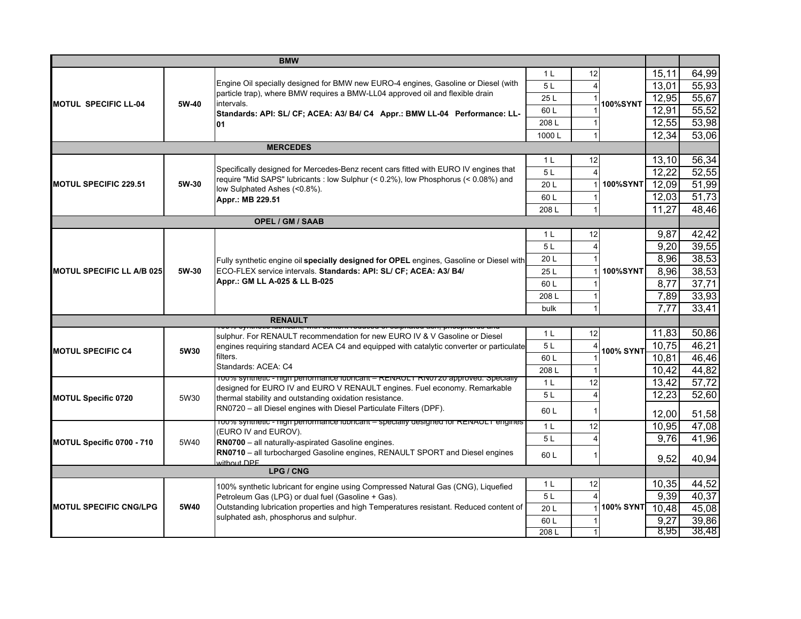|                                  |                                                                                                 | <b>BMW</b>                                                                                                                                                                 |                      |                         |                  |               |                |
|----------------------------------|-------------------------------------------------------------------------------------------------|----------------------------------------------------------------------------------------------------------------------------------------------------------------------------|----------------------|-------------------------|------------------|---------------|----------------|
|                                  |                                                                                                 |                                                                                                                                                                            | 1 <sup>L</sup>       | 12                      |                  | 15,11         | 64,99          |
|                                  |                                                                                                 | Engine Oil specially designed for BMW new EURO-4 engines, Gasoline or Diesel (with                                                                                         | 5L                   |                         |                  | 13,01         | 55,93          |
| <b>MOTUL SPECIFIC LL-04</b>      | 5W-40                                                                                           | particle trap), where BMW requires a BMW-LL04 approved oil and flexible drain<br>intervals.                                                                                | 25L                  |                         | <b>100%SYNT</b>  | 12,95         | 55,67          |
|                                  |                                                                                                 | Standards: API: SL/ CF; ACEA: A3/ B4/ C4 Appr.: BMW LL-04 Performance: LL-                                                                                                 | 60L                  |                         |                  | 12,91         | 55,52          |
|                                  |                                                                                                 | 01                                                                                                                                                                         | 208L                 |                         |                  | 12,55         | 53,98          |
|                                  |                                                                                                 |                                                                                                                                                                            | 1000L                | $\overline{1}$          |                  | 12,34         | 53,06          |
|                                  |                                                                                                 | <b>MERCEDES</b>                                                                                                                                                            |                      |                         |                  |               |                |
|                                  |                                                                                                 |                                                                                                                                                                            | 1 <sub>L</sub>       | 12                      |                  | 13,10         | 56,34          |
|                                  |                                                                                                 | Specifically designed for Mercedes-Benz recent cars fitted with EURO IV engines that<br>require "Mid SAPS" lubricants : low Sulphur (< 0.2%), low Phosphorus (< 0.08%) and | 5 <sub>L</sub>       |                         |                  | 12,22         | 52,55          |
| <b>MOTUL SPECIFIC 229.51</b>     | 5W-30                                                                                           | low Sulphated Ashes (<0.8%).<br>Appr.: MB 229.51                                                                                                                           | 20L                  |                         | <b>100%SYNT</b>  | 12,09         | 51,99          |
|                                  |                                                                                                 |                                                                                                                                                                            | 60L                  |                         |                  | 12,03         | 51,73          |
|                                  |                                                                                                 |                                                                                                                                                                            | 208L                 |                         |                  | 11,27         | 48,46          |
|                                  |                                                                                                 | <b>OPEL / GM / SAAB</b>                                                                                                                                                    |                      |                         |                  |               |                |
|                                  |                                                                                                 |                                                                                                                                                                            | 1 <sup>L</sup>       | 12                      |                  | 9,87          | 42,42          |
|                                  |                                                                                                 |                                                                                                                                                                            | 5L                   | $\overline{\mathbf{4}}$ |                  | 9,20          | 39,55          |
|                                  |                                                                                                 | Fully synthetic engine oil specially designed for OPEL engines, Gasoline or Diesel with                                                                                    | 20 L                 |                         |                  | 8,96          | 38,53          |
| <b>MOTUL SPECIFIC LL A/B 025</b> | 5W-30                                                                                           | ECO-FLEX service intervals. Standards: API: SL/ CF; ACEA: A3/ B4/                                                                                                          | 25L                  |                         | <b>100%SYNT</b>  | 8,96          | 38,53          |
|                                  |                                                                                                 | Appr.: GM LL A-025 & LL B-025                                                                                                                                              | 60L                  |                         |                  | 8,77          | 37,71          |
|                                  |                                                                                                 |                                                                                                                                                                            | 208L                 |                         |                  | 7,89          | 33,93          |
|                                  |                                                                                                 |                                                                                                                                                                            | bulk                 |                         |                  | 7,77          | 33,41          |
|                                  |                                                                                                 | <b>RENAULT</b>                                                                                                                                                             |                      |                         |                  |               |                |
|                                  |                                                                                                 | sulphur. For RENAULT recommendation for new EURO IV & V Gasoline or Diesel                                                                                                 | 1 <sub>L</sub>       | 12                      |                  | 11,83         | 50,86          |
| <b>MOTUL SPECIFIC C4</b>         | engines requiring standard ACEA C4 and equipped with catalytic converter or particulate<br>5W30 | 5L                                                                                                                                                                         |                      | <b>100% SYNT</b>        | 10,75            | 46,21         |                |
|                                  |                                                                                                 | filters.<br>Standards: ACEA: C4                                                                                                                                            | 60L                  |                         |                  | 10,81         | 46,46          |
|                                  |                                                                                                 | 100% synthetic - nigh performance iubricant - RENAULT RN0720 approved. Specially                                                                                           | 208L                 |                         |                  | 10,42         | 44,82          |
|                                  |                                                                                                 | designed for EURO IV and EURO V RENAULT engines. Fuel economy. Remarkable                                                                                                  | 1 <sub>L</sub><br>5L | 12<br>$\Delta$          |                  | 13,42         | 57,72<br>52,60 |
| <b>MOTUL Specific 0720</b>       | 5W30                                                                                            | thermal stability and outstanding oxidation resistance.                                                                                                                    |                      |                         |                  | 12,23         |                |
|                                  |                                                                                                 | RN0720 - all Diesel engines with Diesel Particulate Filters (DPF).                                                                                                         | 60L                  | -1                      |                  | 12,00         | 51,58          |
|                                  |                                                                                                 | 100% synthetic - high performance iubricant - specially designed for RENAULT engines<br>(EURO IV and EUROV).                                                               | 1 <sup>L</sup>       | 12                      |                  | 10,95         | 47,08          |
| MOTUL Specific 0700 - 710        | 5W40                                                                                            | RN0700 - all naturally-aspirated Gasoline engines.                                                                                                                         | 5L                   |                         |                  | 9,76          | 41,96          |
|                                  |                                                                                                 | RN0710 - all turbocharged Gasoline engines, RENAULT SPORT and Diesel engines                                                                                               | 60L                  |                         |                  |               |                |
|                                  |                                                                                                 | without DPF                                                                                                                                                                |                      |                         |                  | 9,52          | 40,94          |
|                                  |                                                                                                 | LPG / CNG                                                                                                                                                                  | 1 <sub>L</sub>       | 12                      |                  |               | 44,52          |
|                                  |                                                                                                 | 100% synthetic lubricant for engine using Compressed Natural Gas (CNG), Liquefied                                                                                          | 5L                   |                         |                  | 10,35<br>9,39 | 40,37          |
| <b>MOTUL SPECIFIC CNG/LPG</b>    |                                                                                                 | Petroleum Gas (LPG) or dual fuel (Gasoline + Gas).<br>Outstanding lubrication properties and high Temperatures resistant. Reduced content of                               |                      |                         | <b>100% SYNT</b> | 10,48         | 45,08          |
|                                  | 5W40                                                                                            | sulphated ash, phosphorus and sulphur.                                                                                                                                     | 20L                  |                         |                  |               |                |
|                                  |                                                                                                 |                                                                                                                                                                            | 60 L<br>208L         |                         |                  | 9,27<br>8,95  | 39,86<br>38,48 |
|                                  |                                                                                                 |                                                                                                                                                                            |                      |                         |                  |               |                |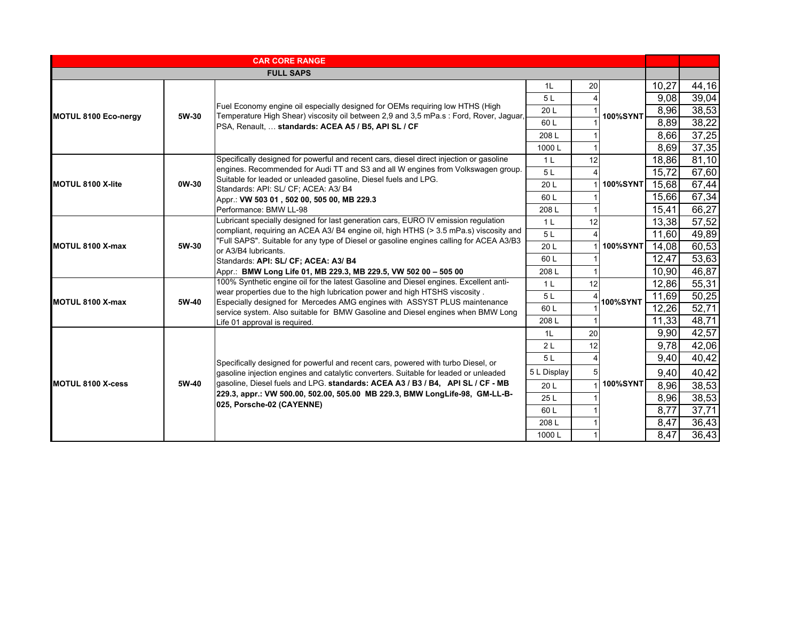|                             |       | <b>CAR CORE RANGE</b>                                                                                                                                                   |                |    |                 |       |       |
|-----------------------------|-------|-------------------------------------------------------------------------------------------------------------------------------------------------------------------------|----------------|----|-----------------|-------|-------|
|                             |       | <b>FULL SAPS</b>                                                                                                                                                        |                |    |                 |       |       |
|                             |       |                                                                                                                                                                         | 1L             | 20 |                 | 10,27 | 44,16 |
|                             |       |                                                                                                                                                                         | 5L             |    |                 | 9,08  | 39,04 |
|                             | 5W-30 | Fuel Economy engine oil especially designed for OEMs requiring low HTHS (High<br>Temperature High Shear) viscosity oil between 2,9 and 3,5 mPa.s : Ford, Rover, Jaguar, | 20 L           |    | <b>100%SYNT</b> | 8,96  | 38,53 |
| <b>MOTUL 8100 Eco-nergy</b> |       | PSA, Renault,  standards: ACEA A5 / B5, API SL / CF                                                                                                                     | 60L            |    |                 | 8,89  | 38,22 |
|                             |       |                                                                                                                                                                         | 208L           |    |                 | 8,66  | 37,25 |
|                             |       |                                                                                                                                                                         | 1000L          |    |                 | 8,69  | 37,35 |
|                             |       | Specifically designed for powerful and recent cars, diesel direct injection or gasoline                                                                                 | 1 <sub>L</sub> | 12 |                 | 18,86 | 81,10 |
|                             |       | engines. Recommended for Audi TT and S3 and all W engines from Volkswagen group.                                                                                        | 5L             |    |                 | 15,72 | 67,60 |
| <b>MOTUL 8100 X-lite</b>    | 0W-30 | Suitable for leaded or unleaded gasoline, Diesel fuels and LPG.<br>Standards: API: SL/ CF; ACEA: A3/ B4                                                                 | 20 L           |    | <b>100%SYNT</b> | 15,68 | 67,44 |
|                             |       | Appr.: VW 503 01, 502 00, 505 00, MB 229.3                                                                                                                              | 60 L           |    |                 | 15,66 | 67,34 |
|                             |       | Performance: BMW LL-98                                                                                                                                                  | 208L           |    |                 | 15,41 | 66,27 |
|                             |       | Lubricant specially designed for last generation cars, EURO IV emission regulation                                                                                      | 1 <sub>L</sub> | 12 |                 | 13,38 | 57,52 |
|                             |       | compliant, requiring an ACEA A3/ B4 engine oil, high HTHS (> 3.5 mPa.s) viscosity and                                                                                   | 5L             |    |                 | 11,60 | 49,89 |
| MOTUL 8100 X-max            | 5W-30 | "Full SAPS". Suitable for any type of Diesel or gasoline engines calling for ACEA A3/B3<br>or A3/B4 lubricants.                                                         | 20 L           |    | <b>100%SYNT</b> | 14,08 | 60,53 |
|                             |       | Standards: API: SL/ CF; ACEA: A3/ B4                                                                                                                                    | 60 L           |    |                 | 12,47 | 53,63 |
|                             |       | Appr.: BMW Long Life 01, MB 229.3, MB 229.5, VW 502 00 - 505 00                                                                                                         | 208L           |    |                 | 10,90 | 46,87 |
|                             |       | 100% Synthetic engine oil for the latest Gasoline and Diesel engines. Excellent anti-                                                                                   | 1 <sup>L</sup> | 12 |                 | 12,86 | 55,31 |
| <b>MOTUL 8100 X-max</b>     | 5W-40 | wear properties due to the high lubrication power and high HTSHS viscosity.                                                                                             | 5L             |    | <b>100%SYNT</b> | 11,69 | 50,25 |
|                             |       | Especially designed for Mercedes AMG engines with ASSYST PLUS maintenance<br>service system. Also suitable for BMW Gasoline and Diesel engines when BMW Long            | 60L            |    |                 | 12,26 | 52,71 |
|                             |       | Life 01 approval is required.                                                                                                                                           | 208L           |    |                 | 11,33 | 48,71 |
|                             |       |                                                                                                                                                                         | 1L             | 20 |                 | 9,90  | 42,57 |
|                             |       |                                                                                                                                                                         | 2L             | 12 |                 | 9,78  | 42,06 |
|                             |       | Specifically designed for powerful and recent cars, powered with turbo Diesel, or                                                                                       | 5L             |    |                 | 9,40  | 40,42 |
|                             |       | gasoline injection engines and catalytic converters. Suitable for leaded or unleaded                                                                                    | 5 L Display    |    |                 | 9,40  | 40,42 |
| MOTUL 8100 X-cess           | 5W-40 | gasoline, Diesel fuels and LPG. standards: ACEA A3 / B3 / B4, API SL / CF - MB                                                                                          | 20 L           |    | <b>100%SYNT</b> | 8,96  | 38,53 |
|                             |       | 229.3, appr.: VW 500.00, 502.00, 505.00 MB 229.3, BMW LongLife-98, GM-LL-B-                                                                                             | 25 L           |    |                 | 8,96  | 38,53 |
|                             |       | 025, Porsche-02 (CAYENNE)                                                                                                                                               | 60 L           |    |                 | 8,77  | 37,71 |
|                             |       |                                                                                                                                                                         | 208L           |    |                 | 8,47  | 36,43 |
|                             |       |                                                                                                                                                                         | 1000L          |    |                 | 8,47  | 36,43 |
|                             |       |                                                                                                                                                                         |                |    |                 |       |       |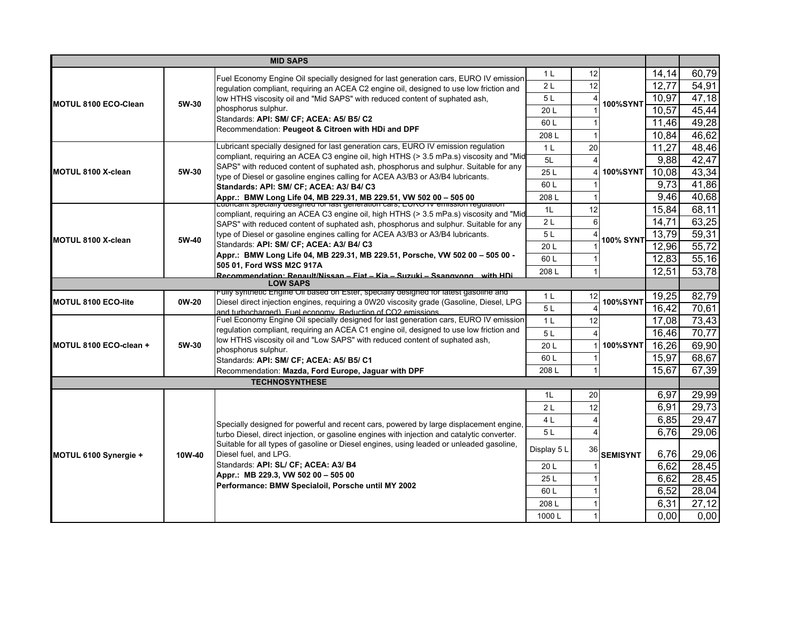|                             |                                                                                     | <b>MID SAPS</b>                                                                                                                                          |                |    |                  |       |       |
|-----------------------------|-------------------------------------------------------------------------------------|----------------------------------------------------------------------------------------------------------------------------------------------------------|----------------|----|------------------|-------|-------|
|                             |                                                                                     | Fuel Economy Engine Oil specially designed for last generation cars, EURO IV emission                                                                    | 1 <sup>L</sup> | 12 |                  | 14,14 | 60,79 |
|                             |                                                                                     | regulation compliant, requiring an ACEA C2 engine oil, designed to use low friction and                                                                  | 2L             | 12 |                  | 12,77 | 54,91 |
|                             |                                                                                     | low HTHS viscosity oil and "Mid SAPS" with reduced content of suphated ash,                                                                              | 5L             |    |                  | 10,97 | 47,18 |
| <b>MOTUL 8100 ECO-Clean</b> | 5W-30                                                                               | phosphorus sulphur.                                                                                                                                      | 20L            |    | <b>100%SYNT</b>  | 10,57 | 45,44 |
|                             |                                                                                     | Standards: API: SM/ CF; ACEA: A5/ B5/ C2                                                                                                                 | 60L            |    |                  | 11,46 | 49,28 |
|                             |                                                                                     | Recommendation: Peugeot & Citroen with HDi and DPF                                                                                                       | 208L           |    |                  | 10,84 | 46,62 |
|                             |                                                                                     | Lubricant specially designed for last generation cars, EURO IV emission regulation                                                                       | 1 <sub>L</sub> | 20 |                  | 11,27 | 48,46 |
|                             |                                                                                     | compliant, requiring an ACEA C3 engine oil, high HTHS (> 3.5 mPa.s) viscosity and "Mid                                                                   |                |    |                  |       | 42,47 |
|                             |                                                                                     | SAPS" with reduced content of suphated ash, phosphorus and sulphur. Suitable for any                                                                     | 5L             |    |                  | 9,88  |       |
| MOTUL 8100 X-clean          | 5W-30                                                                               | type of Diesel or gasoline engines calling for ACEA A3/B3 or A3/B4 lubricants.                                                                           | 25L            |    | <b>100%SYNT</b>  | 10,08 | 43,34 |
|                             |                                                                                     | Standards: API: SM/ CF; ACEA: A3/ B4/ C3                                                                                                                 | 60L            |    |                  | 9,73  | 41,86 |
|                             |                                                                                     | Appr.:  BMW Long Life 04, MB 229.31, MB 229.51, VW 502 00 – 505 00<br>Edphcant specially designed for last generation cars, EORO fv enfission regulation | 208L           |    |                  | 9,46  | 40,68 |
|                             |                                                                                     | compliant, requiring an ACEA C3 engine oil, high HTHS (> 3.5 mPa.s) viscosity and "Mid                                                                   | 1 <sub>L</sub> | 12 |                  | 15,84 | 68,11 |
|                             |                                                                                     | SAPS" with reduced content of suphated ash, phosphorus and sulphur. Suitable for any                                                                     | 2L             | 6  |                  | 14,71 | 63,25 |
|                             |                                                                                     | type of Diesel or gasoline engines calling for ACEA A3/B3 or A3/B4 lubricants.                                                                           | 5L             |    |                  | 13,79 | 59,31 |
| MOTUL 8100 X-clean          | 5W-40                                                                               | Standards: API: SM/ CF; ACEA: A3/ B4/ C3                                                                                                                 | 20 L           |    | <b>100% SYNT</b> | 12,96 | 55,72 |
|                             |                                                                                     | Appr.: BMW Long Life 04, MB 229.31, MB 229.51, Porsche, VW 502 00 - 505 00 -                                                                             | 60L            |    |                  | 12,83 | 55,16 |
|                             |                                                                                     | 505 01, Ford WSS M2C 917A                                                                                                                                | 208L           |    |                  | 12,51 | 53,78 |
|                             | <u> Recommendation: Renault/Nissan – Fiat – Kia – Suzuki – Ssangyong , with HDi</u> |                                                                                                                                                          |                |    |                  |       |       |
|                             |                                                                                     | <b>LOW SAPS</b><br>Fully synthetic Engine Oil based on Ester, specially designed for latest gasoline and                                                 |                |    |                  |       |       |
| <b>MOTUL 8100 ECO-lite</b>  | 0W-20                                                                               | Diesel direct injection engines, requiring a 0W20 viscosity grade (Gasoline, Diesel, LPG                                                                 | 1 <sub>L</sub> | 12 | <b>100%SYNT</b>  | 19,25 | 82,79 |
|                             |                                                                                     | and furbocharged) Fuel economy Reduction of CO2 emissions                                                                                                | 5L             |    |                  | 16,42 | 70,61 |
|                             |                                                                                     | Fuel Economy Engine Oil specially designed for last generation cars, EURO IV emission                                                                    | 1 <sub>L</sub> | 12 |                  | 17,08 | 73,43 |
|                             |                                                                                     | regulation compliant, requiring an ACEA C1 engine oil, designed to use low friction and                                                                  | 5L             |    |                  | 16,46 | 70,77 |
| MOTUL 8100 ECO-clean +      | 5W-30                                                                               | low HTHS viscosity oil and "Low SAPS" with reduced content of suphated ash,                                                                              | 20L            |    | <b>100%SYNT</b>  | 16,26 | 69,90 |
|                             |                                                                                     | phosphorus sulphur.<br>Standards: API: SM/ CF; ACEA: A5/ B5/ C1                                                                                          | 60 L           |    |                  | 15,97 | 68,67 |
|                             |                                                                                     | Recommendation: Mazda, Ford Europe, Jaguar with DPF                                                                                                      | 208L           |    |                  | 15,67 | 67,39 |
|                             |                                                                                     | <b>TECHNOSYNTHESE</b>                                                                                                                                    |                |    |                  |       |       |
|                             |                                                                                     |                                                                                                                                                          | 1L             | 20 |                  | 6,97  | 29,99 |
|                             |                                                                                     |                                                                                                                                                          | 2L             | 12 |                  | 6,91  | 29,73 |
|                             |                                                                                     |                                                                                                                                                          |                |    |                  |       |       |
|                             |                                                                                     | Specially designed for powerful and recent cars, powered by large displacement engine.                                                                   | 4L             |    |                  | 6,85  | 29,47 |
|                             |                                                                                     | turbo Diesel, direct injection, or gasoline engines with injection and catalytic converter.                                                              | 5L             |    |                  | 6,76  | 29,06 |
|                             |                                                                                     | Suitable for all types of gasoline or Diesel engines, using leaded or unleaded gasoline,                                                                 | Display 5 L    | 36 |                  |       |       |
| MOTUL 6100 Synergie +       | 10W-40                                                                              | Diesel fuel, and LPG.                                                                                                                                    |                |    | <b>SEMISYNT</b>  | 6,76  | 29,06 |
|                             |                                                                                     | Standards: API: SL/ CF; ACEA: A3/ B4                                                                                                                     | 20L            |    |                  | 6,62  | 28,45 |
|                             |                                                                                     | Appr.: MB 229.3, VW 502 00 - 505 00                                                                                                                      | 25L            |    |                  | 6,62  | 28,45 |
|                             |                                                                                     | Performance: BMW Specialoil, Porsche until MY 2002                                                                                                       | 60L            |    |                  | 6,52  | 28,04 |
|                             |                                                                                     |                                                                                                                                                          | 208L           |    |                  | 6,31  | 27,12 |
|                             |                                                                                     |                                                                                                                                                          | 1000L          |    |                  | 0,00  | 0,00  |
|                             |                                                                                     |                                                                                                                                                          |                |    |                  |       |       |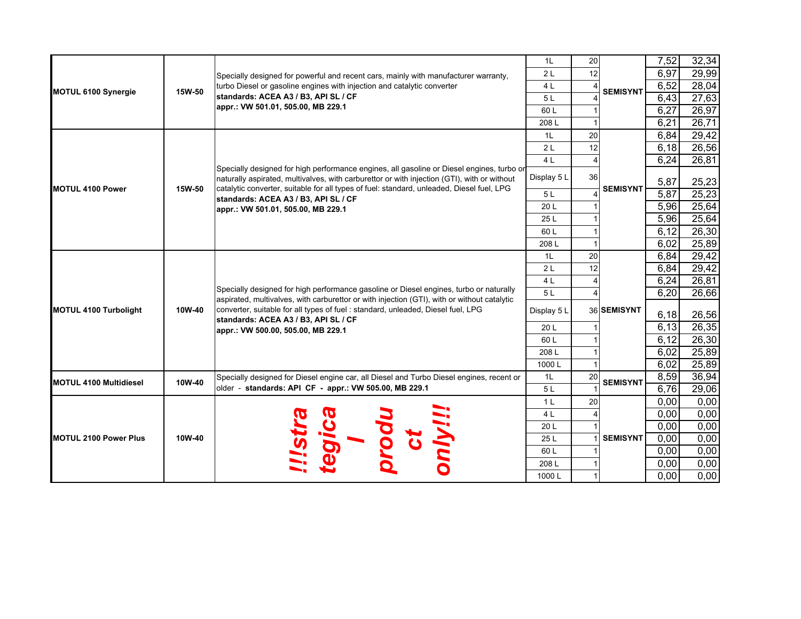|                               |        |                                                                                                                                                                                                                                                                                                                                                        | 1 <sub>L</sub>  | 20 |                 | 7,52  | 32,34 |
|-------------------------------|--------|--------------------------------------------------------------------------------------------------------------------------------------------------------------------------------------------------------------------------------------------------------------------------------------------------------------------------------------------------------|-----------------|----|-----------------|-------|-------|
|                               |        | Specially designed for powerful and recent cars, mainly with manufacturer warranty,                                                                                                                                                                                                                                                                    | 2L              | 12 |                 | 6,97  | 29,99 |
| MOTUL 6100 Synergie           | 15W-50 | turbo Diesel or gasoline engines with injection and catalytic converter                                                                                                                                                                                                                                                                                | 4 <sub>L</sub>  |    | <b>SEMISYNT</b> | 6,52  | 28,04 |
|                               |        | standards: ACEA A3 / B3, API SL / CF                                                                                                                                                                                                                                                                                                                   | 5L              |    |                 | 6,43  | 27,63 |
|                               |        | appr.: VW 501.01, 505.00, MB 229.1                                                                                                                                                                                                                                                                                                                     | 60 L            |    |                 | 6,27  | 26,97 |
|                               |        |                                                                                                                                                                                                                                                                                                                                                        | 208L            |    |                 | 6,21  | 26,71 |
|                               |        |                                                                                                                                                                                                                                                                                                                                                        | 1L              | 20 |                 | 6,84  | 29,42 |
|                               |        |                                                                                                                                                                                                                                                                                                                                                        | 2L              | 12 |                 | 6,18  | 26,56 |
|                               |        |                                                                                                                                                                                                                                                                                                                                                        | 4 <sub>L</sub>  |    |                 | 6,24  | 26,81 |
|                               |        | Specially designed for high performance engines, all gasoline or Diesel engines, turbo or<br>naturally aspirated, multivalves, with carburettor or with injection (GTI), with or without                                                                                                                                                               | Display 5 L     | 36 |                 | 5,87  | 25,23 |
| MOTUL 4100 Power              | 15W-50 | catalytic converter, suitable for all types of fuel: standard, unleaded, Diesel fuel, LPG                                                                                                                                                                                                                                                              | 5L              |    | <b>SEMISYNT</b> | 5,87  | 25,23 |
|                               |        | standards: ACEA A3 / B3, API SL / CF<br>appr.: VW 501.01, 505.00, MB 229.1                                                                                                                                                                                                                                                                             | 20 L            |    |                 | 5,96  | 25,64 |
|                               |        |                                                                                                                                                                                                                                                                                                                                                        | 25 L            |    |                 | 5,96  | 25,64 |
|                               |        |                                                                                                                                                                                                                                                                                                                                                        | 60 L            |    |                 | 6,12  | 26,30 |
|                               |        |                                                                                                                                                                                                                                                                                                                                                        | 208L            |    |                 | 6,02  | 25,89 |
|                               |        |                                                                                                                                                                                                                                                                                                                                                        | 1L              | 20 |                 | 6,84  | 29,42 |
|                               |        | Specially designed for high performance gasoline or Diesel engines, turbo or naturally<br>aspirated, multivalves, with carburettor or with injection (GTI), with or without catalytic<br>converter, suitable for all types of fuel: standard, unleaded, Diesel fuel, LPG<br>standards: ACEA A3 / B3, API SL / CF<br>appr.: VW 500.00, 505.00, MB 229.1 | 2L              | 12 |                 | 6,84  | 29,42 |
|                               | 10W-40 |                                                                                                                                                                                                                                                                                                                                                        | 4 <sub>L</sub>  |    |                 | 6,24  | 26,81 |
|                               |        |                                                                                                                                                                                                                                                                                                                                                        | 5L              |    |                 | 6,20  | 26,66 |
| <b>MOTUL 4100 Turbolight</b>  |        |                                                                                                                                                                                                                                                                                                                                                        | Display 5 L     |    | 36 SEMISYNT     | 6,18  | 26,56 |
|                               |        |                                                                                                                                                                                                                                                                                                                                                        | 20 L            |    |                 | 6, 13 | 26,35 |
|                               |        |                                                                                                                                                                                                                                                                                                                                                        | 60 L            |    |                 | 6,12  | 26,30 |
|                               |        |                                                                                                                                                                                                                                                                                                                                                        | 208 L           |    |                 | 6,02  | 25,89 |
|                               |        |                                                                                                                                                                                                                                                                                                                                                        | 1000L           |    |                 | 6,02  | 25,89 |
|                               | 10W-40 | Specially designed for Diesel engine car, all Diesel and Turbo Diesel engines, recent or                                                                                                                                                                                                                                                               | 1L              | 20 | <b>SEMISYNT</b> | 8,59  | 36,94 |
| <b>MOTUL 4100 Multidiesel</b> |        | older - standards: API CF - appr.: VW 505.00, MB 229.1                                                                                                                                                                                                                                                                                                 | 5L              |    |                 | 6,76  | 29,06 |
|                               |        |                                                                                                                                                                                                                                                                                                                                                        | 1 <sup>L</sup>  | 20 |                 | 0,00  | 0.00  |
|                               |        |                                                                                                                                                                                                                                                                                                                                                        | 4 <sub>L</sub>  |    |                 | 0,00  | 0,00  |
|                               |        |                                                                                                                                                                                                                                                                                                                                                        | 20 <sub>L</sub> |    |                 | 0,00  | 0,00  |
| <b>MOTUL 2100 Power Plus</b>  | 10W-40 |                                                                                                                                                                                                                                                                                                                                                        | 25L             |    | <b>SEMISYNT</b> | 0,00  | 0,00  |
|                               |        |                                                                                                                                                                                                                                                                                                                                                        | 60 L            |    |                 | 0,00  | 0,00  |
|                               |        |                                                                                                                                                                                                                                                                                                                                                        | 208L            |    |                 | 0,00  | 0,00  |
|                               |        |                                                                                                                                                                                                                                                                                                                                                        | 1000L           |    |                 | 0,00  | 0,00  |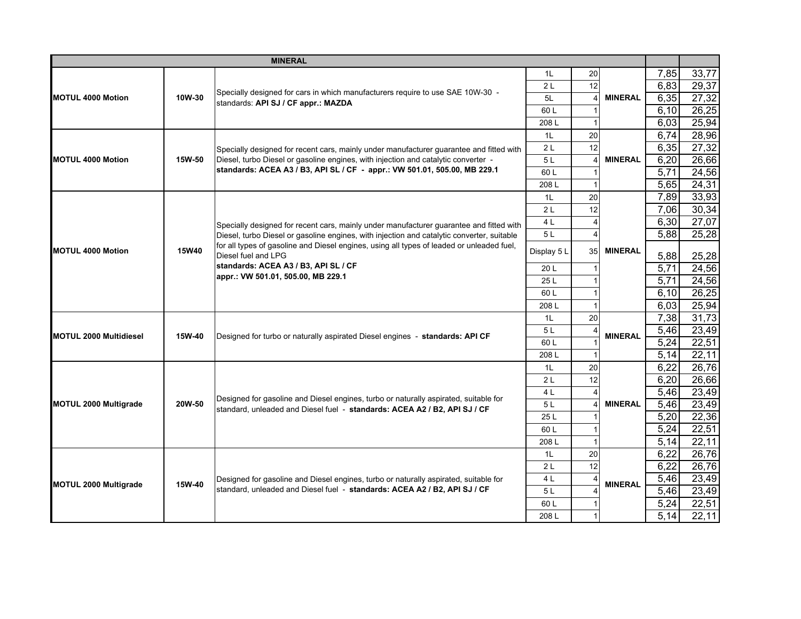| 7,85<br>33,77<br>1L<br><b>20</b><br>12<br>29,37<br>6,83<br>2L<br>Specially designed for cars in which manufacturers require to use SAE 10W-30 -<br>27,32<br>6,35<br>10W-30<br>5L<br><b>MINERAL</b><br>standards: API SJ / CF appr.: MAZDA<br>26,25<br>6,10<br>60 L<br>25,94<br>6,03<br>208L<br>6,74<br>28,96<br>20<br>1L<br>12<br>2L<br>6,35<br>27,32<br>Specially designed for recent cars, mainly under manufacturer guarantee and fitted with<br>Diesel, turbo Diesel or gasoline engines, with injection and catalytic converter -<br>15W-50<br>5L<br><b>MINERAL</b><br>6,20<br>26,66<br>standards: ACEA A3 / B3, API SL / CF - appr.: VW 501.01, 505.00, MB 229.1<br>24,56<br>60L<br>5,71<br>24,31<br>5,65<br>208L<br>33,93<br>7,89<br>1 <sub>L</sub><br>20<br>12<br>30,34<br>7,06<br>2L<br>27,07<br>4 L<br>6,30<br>Specially designed for recent cars, mainly under manufacturer guarantee and fitted with<br>25,28<br>5,88<br>5L<br>Diesel, turbo Diesel or gasoline engines, with injection and catalytic converter, suitable<br>for all types of gasoline and Diesel engines, using all types of leaded or unleaded fuel.<br>15W40<br><b>MINERAL</b><br>35<br>Display 5 L<br>Diesel fuel and LPG<br>5,88<br>25,28<br>standards: ACEA A3 / B3, API SL / CF<br>$\overline{5,71}$<br>24,56<br>20 L<br>appr.: VW 501.01, 505.00, MB 229.1<br>5,71<br>24,56<br>25L<br>26,25<br>60L<br>6, 10<br>25,94<br>6,03<br>208L<br>20<br>7,38<br>31,73<br>1L<br>23,49<br>5L<br>5,46<br>15W-40<br>Designed for turbo or naturally aspirated Diesel engines - standards: API CF<br><b>MINERAL</b><br>22,51<br>5,24<br>60 L<br>22,11<br>5,14<br>208L<br>26,76<br>20<br>6,22<br>1L<br>26,66<br>6,20<br>12<br>2L<br>23,49<br>5,46<br>4 L<br>Designed for gasoline and Diesel engines, turbo or naturally aspirated, suitable for<br>5,46<br>23,49<br>20W-50<br><b>MINERAL</b><br><b>MOTUL 2000 Multigrade</b><br>5L<br>standard, unleaded and Diesel fuel - standards: ACEA A2 / B2, API SJ / CF<br>22,36<br>5,20<br>25L<br>22,51<br>60L<br>5,24<br>22,11<br>5,14<br>208L<br>26,76<br>20<br>6,22<br>1 <sub>L</sub><br>12<br>26,76<br>2L<br>6,22<br>23,49<br>5,46<br>4 L<br>Designed for gasoline and Diesel engines, turbo or naturally aspirated, suitable for<br>15W-40<br><b>MINERAL</b><br><b>MOTUL 2000 Multigrade</b><br>standard, unleaded and Diesel fuel - standards: ACEA A2 / B2, API SJ / CF<br>5,46<br>23,49<br>5L<br>5,24<br>22,51<br>60 L |                               |  | <b>MINERAL</b> |      |  |  |      |       |
|----------------------------------------------------------------------------------------------------------------------------------------------------------------------------------------------------------------------------------------------------------------------------------------------------------------------------------------------------------------------------------------------------------------------------------------------------------------------------------------------------------------------------------------------------------------------------------------------------------------------------------------------------------------------------------------------------------------------------------------------------------------------------------------------------------------------------------------------------------------------------------------------------------------------------------------------------------------------------------------------------------------------------------------------------------------------------------------------------------------------------------------------------------------------------------------------------------------------------------------------------------------------------------------------------------------------------------------------------------------------------------------------------------------------------------------------------------------------------------------------------------------------------------------------------------------------------------------------------------------------------------------------------------------------------------------------------------------------------------------------------------------------------------------------------------------------------------------------------------------------------------------------------------------------------------------------------------------------------------------------------------------------------------------------------------------------------------------------------------------------------------------------------------------------------------------------------------------------------------------------------------------------------------------------------------------------------------------------------------------------------------------------------------------------------------------------|-------------------------------|--|----------------|------|--|--|------|-------|
|                                                                                                                                                                                                                                                                                                                                                                                                                                                                                                                                                                                                                                                                                                                                                                                                                                                                                                                                                                                                                                                                                                                                                                                                                                                                                                                                                                                                                                                                                                                                                                                                                                                                                                                                                                                                                                                                                                                                                                                                                                                                                                                                                                                                                                                                                                                                                                                                                                              |                               |  |                |      |  |  |      |       |
|                                                                                                                                                                                                                                                                                                                                                                                                                                                                                                                                                                                                                                                                                                                                                                                                                                                                                                                                                                                                                                                                                                                                                                                                                                                                                                                                                                                                                                                                                                                                                                                                                                                                                                                                                                                                                                                                                                                                                                                                                                                                                                                                                                                                                                                                                                                                                                                                                                              |                               |  |                |      |  |  |      |       |
|                                                                                                                                                                                                                                                                                                                                                                                                                                                                                                                                                                                                                                                                                                                                                                                                                                                                                                                                                                                                                                                                                                                                                                                                                                                                                                                                                                                                                                                                                                                                                                                                                                                                                                                                                                                                                                                                                                                                                                                                                                                                                                                                                                                                                                                                                                                                                                                                                                              | <b>MOTUL 4000 Motion</b>      |  |                |      |  |  |      |       |
|                                                                                                                                                                                                                                                                                                                                                                                                                                                                                                                                                                                                                                                                                                                                                                                                                                                                                                                                                                                                                                                                                                                                                                                                                                                                                                                                                                                                                                                                                                                                                                                                                                                                                                                                                                                                                                                                                                                                                                                                                                                                                                                                                                                                                                                                                                                                                                                                                                              |                               |  |                |      |  |  |      |       |
|                                                                                                                                                                                                                                                                                                                                                                                                                                                                                                                                                                                                                                                                                                                                                                                                                                                                                                                                                                                                                                                                                                                                                                                                                                                                                                                                                                                                                                                                                                                                                                                                                                                                                                                                                                                                                                                                                                                                                                                                                                                                                                                                                                                                                                                                                                                                                                                                                                              |                               |  |                |      |  |  |      |       |
|                                                                                                                                                                                                                                                                                                                                                                                                                                                                                                                                                                                                                                                                                                                                                                                                                                                                                                                                                                                                                                                                                                                                                                                                                                                                                                                                                                                                                                                                                                                                                                                                                                                                                                                                                                                                                                                                                                                                                                                                                                                                                                                                                                                                                                                                                                                                                                                                                                              |                               |  |                |      |  |  |      |       |
|                                                                                                                                                                                                                                                                                                                                                                                                                                                                                                                                                                                                                                                                                                                                                                                                                                                                                                                                                                                                                                                                                                                                                                                                                                                                                                                                                                                                                                                                                                                                                                                                                                                                                                                                                                                                                                                                                                                                                                                                                                                                                                                                                                                                                                                                                                                                                                                                                                              |                               |  |                |      |  |  |      |       |
|                                                                                                                                                                                                                                                                                                                                                                                                                                                                                                                                                                                                                                                                                                                                                                                                                                                                                                                                                                                                                                                                                                                                                                                                                                                                                                                                                                                                                                                                                                                                                                                                                                                                                                                                                                                                                                                                                                                                                                                                                                                                                                                                                                                                                                                                                                                                                                                                                                              | MOTUL 4000 Motion             |  |                |      |  |  |      |       |
|                                                                                                                                                                                                                                                                                                                                                                                                                                                                                                                                                                                                                                                                                                                                                                                                                                                                                                                                                                                                                                                                                                                                                                                                                                                                                                                                                                                                                                                                                                                                                                                                                                                                                                                                                                                                                                                                                                                                                                                                                                                                                                                                                                                                                                                                                                                                                                                                                                              |                               |  |                |      |  |  |      |       |
|                                                                                                                                                                                                                                                                                                                                                                                                                                                                                                                                                                                                                                                                                                                                                                                                                                                                                                                                                                                                                                                                                                                                                                                                                                                                                                                                                                                                                                                                                                                                                                                                                                                                                                                                                                                                                                                                                                                                                                                                                                                                                                                                                                                                                                                                                                                                                                                                                                              |                               |  |                |      |  |  |      |       |
|                                                                                                                                                                                                                                                                                                                                                                                                                                                                                                                                                                                                                                                                                                                                                                                                                                                                                                                                                                                                                                                                                                                                                                                                                                                                                                                                                                                                                                                                                                                                                                                                                                                                                                                                                                                                                                                                                                                                                                                                                                                                                                                                                                                                                                                                                                                                                                                                                                              |                               |  |                |      |  |  |      |       |
|                                                                                                                                                                                                                                                                                                                                                                                                                                                                                                                                                                                                                                                                                                                                                                                                                                                                                                                                                                                                                                                                                                                                                                                                                                                                                                                                                                                                                                                                                                                                                                                                                                                                                                                                                                                                                                                                                                                                                                                                                                                                                                                                                                                                                                                                                                                                                                                                                                              |                               |  |                |      |  |  |      |       |
|                                                                                                                                                                                                                                                                                                                                                                                                                                                                                                                                                                                                                                                                                                                                                                                                                                                                                                                                                                                                                                                                                                                                                                                                                                                                                                                                                                                                                                                                                                                                                                                                                                                                                                                                                                                                                                                                                                                                                                                                                                                                                                                                                                                                                                                                                                                                                                                                                                              |                               |  |                |      |  |  |      |       |
|                                                                                                                                                                                                                                                                                                                                                                                                                                                                                                                                                                                                                                                                                                                                                                                                                                                                                                                                                                                                                                                                                                                                                                                                                                                                                                                                                                                                                                                                                                                                                                                                                                                                                                                                                                                                                                                                                                                                                                                                                                                                                                                                                                                                                                                                                                                                                                                                                                              |                               |  |                |      |  |  |      |       |
|                                                                                                                                                                                                                                                                                                                                                                                                                                                                                                                                                                                                                                                                                                                                                                                                                                                                                                                                                                                                                                                                                                                                                                                                                                                                                                                                                                                                                                                                                                                                                                                                                                                                                                                                                                                                                                                                                                                                                                                                                                                                                                                                                                                                                                                                                                                                                                                                                                              | <b>MOTUL 4000 Motion</b>      |  |                |      |  |  |      |       |
|                                                                                                                                                                                                                                                                                                                                                                                                                                                                                                                                                                                                                                                                                                                                                                                                                                                                                                                                                                                                                                                                                                                                                                                                                                                                                                                                                                                                                                                                                                                                                                                                                                                                                                                                                                                                                                                                                                                                                                                                                                                                                                                                                                                                                                                                                                                                                                                                                                              |                               |  |                |      |  |  |      |       |
|                                                                                                                                                                                                                                                                                                                                                                                                                                                                                                                                                                                                                                                                                                                                                                                                                                                                                                                                                                                                                                                                                                                                                                                                                                                                                                                                                                                                                                                                                                                                                                                                                                                                                                                                                                                                                                                                                                                                                                                                                                                                                                                                                                                                                                                                                                                                                                                                                                              |                               |  |                |      |  |  |      |       |
|                                                                                                                                                                                                                                                                                                                                                                                                                                                                                                                                                                                                                                                                                                                                                                                                                                                                                                                                                                                                                                                                                                                                                                                                                                                                                                                                                                                                                                                                                                                                                                                                                                                                                                                                                                                                                                                                                                                                                                                                                                                                                                                                                                                                                                                                                                                                                                                                                                              |                               |  |                |      |  |  |      |       |
|                                                                                                                                                                                                                                                                                                                                                                                                                                                                                                                                                                                                                                                                                                                                                                                                                                                                                                                                                                                                                                                                                                                                                                                                                                                                                                                                                                                                                                                                                                                                                                                                                                                                                                                                                                                                                                                                                                                                                                                                                                                                                                                                                                                                                                                                                                                                                                                                                                              |                               |  |                |      |  |  |      |       |
|                                                                                                                                                                                                                                                                                                                                                                                                                                                                                                                                                                                                                                                                                                                                                                                                                                                                                                                                                                                                                                                                                                                                                                                                                                                                                                                                                                                                                                                                                                                                                                                                                                                                                                                                                                                                                                                                                                                                                                                                                                                                                                                                                                                                                                                                                                                                                                                                                                              |                               |  |                |      |  |  |      |       |
|                                                                                                                                                                                                                                                                                                                                                                                                                                                                                                                                                                                                                                                                                                                                                                                                                                                                                                                                                                                                                                                                                                                                                                                                                                                                                                                                                                                                                                                                                                                                                                                                                                                                                                                                                                                                                                                                                                                                                                                                                                                                                                                                                                                                                                                                                                                                                                                                                                              |                               |  |                |      |  |  |      |       |
|                                                                                                                                                                                                                                                                                                                                                                                                                                                                                                                                                                                                                                                                                                                                                                                                                                                                                                                                                                                                                                                                                                                                                                                                                                                                                                                                                                                                                                                                                                                                                                                                                                                                                                                                                                                                                                                                                                                                                                                                                                                                                                                                                                                                                                                                                                                                                                                                                                              | <b>MOTUL 2000 Multidiesel</b> |  |                |      |  |  |      |       |
|                                                                                                                                                                                                                                                                                                                                                                                                                                                                                                                                                                                                                                                                                                                                                                                                                                                                                                                                                                                                                                                                                                                                                                                                                                                                                                                                                                                                                                                                                                                                                                                                                                                                                                                                                                                                                                                                                                                                                                                                                                                                                                                                                                                                                                                                                                                                                                                                                                              |                               |  |                |      |  |  |      |       |
|                                                                                                                                                                                                                                                                                                                                                                                                                                                                                                                                                                                                                                                                                                                                                                                                                                                                                                                                                                                                                                                                                                                                                                                                                                                                                                                                                                                                                                                                                                                                                                                                                                                                                                                                                                                                                                                                                                                                                                                                                                                                                                                                                                                                                                                                                                                                                                                                                                              |                               |  |                |      |  |  |      |       |
|                                                                                                                                                                                                                                                                                                                                                                                                                                                                                                                                                                                                                                                                                                                                                                                                                                                                                                                                                                                                                                                                                                                                                                                                                                                                                                                                                                                                                                                                                                                                                                                                                                                                                                                                                                                                                                                                                                                                                                                                                                                                                                                                                                                                                                                                                                                                                                                                                                              |                               |  |                |      |  |  |      |       |
|                                                                                                                                                                                                                                                                                                                                                                                                                                                                                                                                                                                                                                                                                                                                                                                                                                                                                                                                                                                                                                                                                                                                                                                                                                                                                                                                                                                                                                                                                                                                                                                                                                                                                                                                                                                                                                                                                                                                                                                                                                                                                                                                                                                                                                                                                                                                                                                                                                              |                               |  |                |      |  |  |      |       |
|                                                                                                                                                                                                                                                                                                                                                                                                                                                                                                                                                                                                                                                                                                                                                                                                                                                                                                                                                                                                                                                                                                                                                                                                                                                                                                                                                                                                                                                                                                                                                                                                                                                                                                                                                                                                                                                                                                                                                                                                                                                                                                                                                                                                                                                                                                                                                                                                                                              |                               |  |                |      |  |  |      |       |
|                                                                                                                                                                                                                                                                                                                                                                                                                                                                                                                                                                                                                                                                                                                                                                                                                                                                                                                                                                                                                                                                                                                                                                                                                                                                                                                                                                                                                                                                                                                                                                                                                                                                                                                                                                                                                                                                                                                                                                                                                                                                                                                                                                                                                                                                                                                                                                                                                                              |                               |  |                |      |  |  |      |       |
|                                                                                                                                                                                                                                                                                                                                                                                                                                                                                                                                                                                                                                                                                                                                                                                                                                                                                                                                                                                                                                                                                                                                                                                                                                                                                                                                                                                                                                                                                                                                                                                                                                                                                                                                                                                                                                                                                                                                                                                                                                                                                                                                                                                                                                                                                                                                                                                                                                              |                               |  |                |      |  |  |      |       |
|                                                                                                                                                                                                                                                                                                                                                                                                                                                                                                                                                                                                                                                                                                                                                                                                                                                                                                                                                                                                                                                                                                                                                                                                                                                                                                                                                                                                                                                                                                                                                                                                                                                                                                                                                                                                                                                                                                                                                                                                                                                                                                                                                                                                                                                                                                                                                                                                                                              |                               |  |                |      |  |  |      |       |
|                                                                                                                                                                                                                                                                                                                                                                                                                                                                                                                                                                                                                                                                                                                                                                                                                                                                                                                                                                                                                                                                                                                                                                                                                                                                                                                                                                                                                                                                                                                                                                                                                                                                                                                                                                                                                                                                                                                                                                                                                                                                                                                                                                                                                                                                                                                                                                                                                                              |                               |  |                |      |  |  |      |       |
|                                                                                                                                                                                                                                                                                                                                                                                                                                                                                                                                                                                                                                                                                                                                                                                                                                                                                                                                                                                                                                                                                                                                                                                                                                                                                                                                                                                                                                                                                                                                                                                                                                                                                                                                                                                                                                                                                                                                                                                                                                                                                                                                                                                                                                                                                                                                                                                                                                              |                               |  |                |      |  |  |      |       |
|                                                                                                                                                                                                                                                                                                                                                                                                                                                                                                                                                                                                                                                                                                                                                                                                                                                                                                                                                                                                                                                                                                                                                                                                                                                                                                                                                                                                                                                                                                                                                                                                                                                                                                                                                                                                                                                                                                                                                                                                                                                                                                                                                                                                                                                                                                                                                                                                                                              |                               |  |                |      |  |  |      |       |
|                                                                                                                                                                                                                                                                                                                                                                                                                                                                                                                                                                                                                                                                                                                                                                                                                                                                                                                                                                                                                                                                                                                                                                                                                                                                                                                                                                                                                                                                                                                                                                                                                                                                                                                                                                                                                                                                                                                                                                                                                                                                                                                                                                                                                                                                                                                                                                                                                                              |                               |  |                |      |  |  |      |       |
|                                                                                                                                                                                                                                                                                                                                                                                                                                                                                                                                                                                                                                                                                                                                                                                                                                                                                                                                                                                                                                                                                                                                                                                                                                                                                                                                                                                                                                                                                                                                                                                                                                                                                                                                                                                                                                                                                                                                                                                                                                                                                                                                                                                                                                                                                                                                                                                                                                              |                               |  |                |      |  |  |      |       |
|                                                                                                                                                                                                                                                                                                                                                                                                                                                                                                                                                                                                                                                                                                                                                                                                                                                                                                                                                                                                                                                                                                                                                                                                                                                                                                                                                                                                                                                                                                                                                                                                                                                                                                                                                                                                                                                                                                                                                                                                                                                                                                                                                                                                                                                                                                                                                                                                                                              |                               |  |                | 208L |  |  | 5,14 | 22,11 |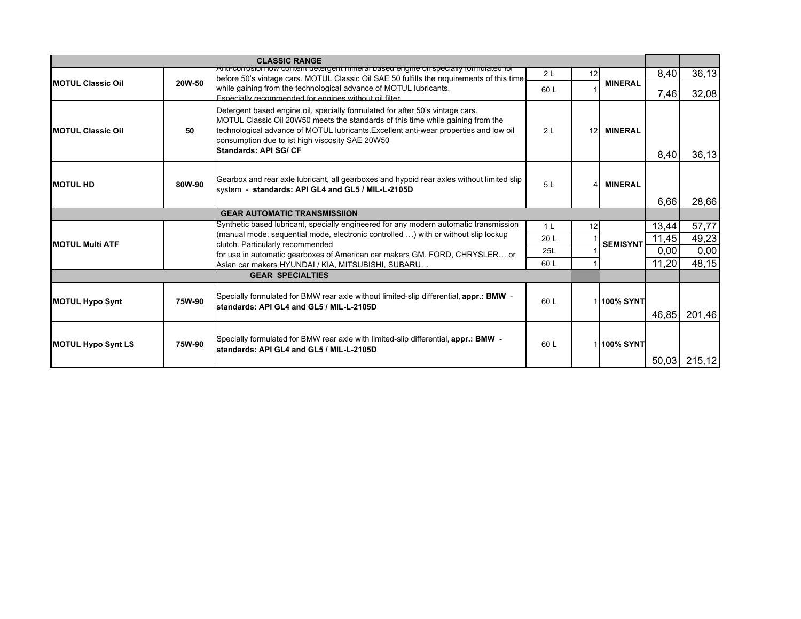|                           |        | <b>CLASSIC RANGE</b>                                                                                                                                                                                                                                                                                                                  |                |                 |                 |       |        |
|---------------------------|--------|---------------------------------------------------------------------------------------------------------------------------------------------------------------------------------------------------------------------------------------------------------------------------------------------------------------------------------------|----------------|-----------------|-----------------|-------|--------|
|                           |        | Anti-corrosion fow content detergent mineral based engine off specially formulated for<br>before 50's vintage cars. MOTUL Classic Oil SAE 50 fulfills the requirements of this time                                                                                                                                                   | 2L             | 12              |                 | 8,40  | 36,13  |
| <b>IMOTUL Classic Oil</b> | 20W-50 | while gaining from the technological advance of MOTUL lubricants.<br>Especially recommended for engines without oil filter                                                                                                                                                                                                            | 60 L           |                 | <b>MINERAL</b>  | 7,46  | 32,08  |
| <b>IMOTUL Classic Oil</b> | 50     | Detergent based engine oil, specially formulated for after 50's vintage cars.<br>MOTUL Classic Oil 20W50 meets the standards of this time while gaining from the<br>technological advance of MOTUL lubricants. Excellent anti-wear properties and low oil<br>consumption due to ist high viscosity SAE 20W50<br>Standards: API SG/ CF | 2 <sub>L</sub> | 12 <sup>1</sup> | <b>MINERAL</b>  | 8,40  | 36,13  |
| <b>MOTUL HD</b>           | 80W-90 | Gearbox and rear axle lubricant, all gearboxes and hypoid rear axles without limited slip<br>system - standards: API GL4 and GL5 / MIL-L-2105D                                                                                                                                                                                        | 5L             | Δ               | <b>MINERAL</b>  | 6,66  | 28,66  |
|                           |        | <b>GEAR AUTOMATIC TRANSMISSIION</b>                                                                                                                                                                                                                                                                                                   |                |                 |                 |       |        |
|                           |        | Synthetic based lubricant, specially engineered for any modern automatic transmission                                                                                                                                                                                                                                                 | 1 <sup>L</sup> | 12              |                 | 13,44 | 57,77  |
| <b>MOTUL Multi ATF</b>    |        | (manual mode, sequential mode, electronic controlled ) with or without slip lockup                                                                                                                                                                                                                                                    | 20 L           |                 | <b>SEMISYNT</b> | 11,45 | 49,23  |
|                           |        | clutch. Particularly recommended<br>for use in automatic gearboxes of American car makers GM, FORD, CHRYSLER or                                                                                                                                                                                                                       | 25L            |                 |                 | 0,00  | 0,00   |
|                           |        | Asian car makers HYUNDAI / KIA, MITSUBISHI, SUBARU                                                                                                                                                                                                                                                                                    | 60 L           |                 |                 | 11,20 | 48,15  |
|                           |        | <b>GEAR SPECIALTIES</b>                                                                                                                                                                                                                                                                                                               |                |                 |                 |       |        |
| <b>MOTUL Hypo Synt</b>    | 75W-90 | Specially formulated for BMW rear axle without limited-slip differential, appr.: BMW -<br>standards: API GL4 and GL5 / MIL-L-2105D                                                                                                                                                                                                    | 60L            |                 | 1100% SYNT      | 46.85 | 201,46 |
| <b>MOTUL Hypo Synt LS</b> | 75W-90 | Specially formulated for BMW rear axle with limited-slip differential, appr.: BMW -<br>standards: API GL4 and GL5 / MIL-L-2105D                                                                                                                                                                                                       | 60 L           |                 | 1100% SYNT      |       |        |
|                           |        |                                                                                                                                                                                                                                                                                                                                       |                |                 |                 | 50,03 | 215,12 |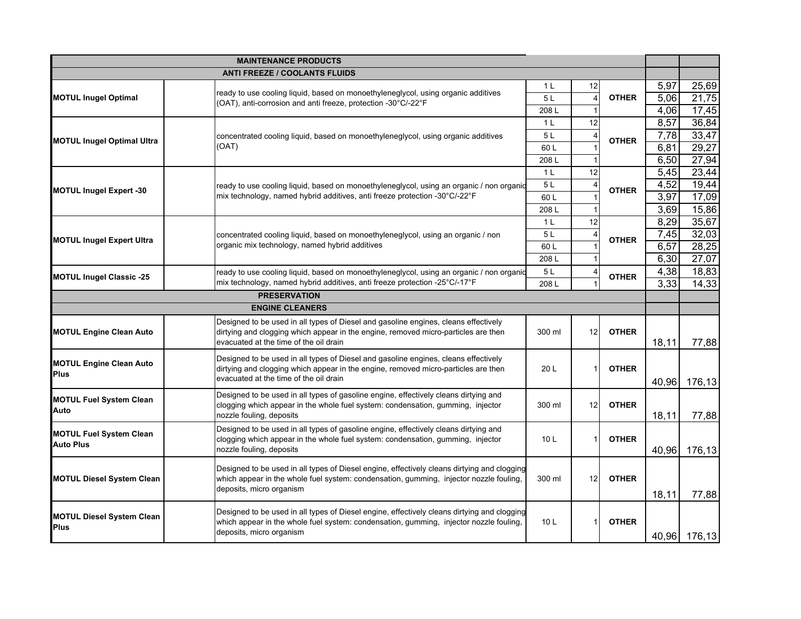|                                                    | <b>MAINTENANCE PRODUCTS</b>                                                                                                                                                                                         |                 |                |              |       |              |
|----------------------------------------------------|---------------------------------------------------------------------------------------------------------------------------------------------------------------------------------------------------------------------|-----------------|----------------|--------------|-------|--------------|
|                                                    | <b>ANTI FREEZE / COOLANTS FLUIDS</b>                                                                                                                                                                                |                 |                |              |       |              |
|                                                    |                                                                                                                                                                                                                     | 1 <sup>L</sup>  | 12             |              | 5,97  | 25,69        |
| <b>MOTUL Inugel Optimal</b>                        | ready to use cooling liquid, based on monoethyleneglycol, using organic additives<br>(OAT), anti-corrosion and anti freeze, protection -30°C/-22°F                                                                  | 5L              | $\overline{4}$ | <b>OTHER</b> | 5,06  | 21,75        |
|                                                    |                                                                                                                                                                                                                     | 208L            |                |              | 4,06  | 17,45        |
|                                                    |                                                                                                                                                                                                                     | 1 <sub>L</sub>  | 12             |              | 8,57  | 36,84        |
|                                                    | concentrated cooling liquid, based on monoethyleneglycol, using organic additives                                                                                                                                   | 5 L             |                | <b>OTHER</b> | 7,78  | 33,47        |
| <b>MOTUL Inugel Optimal Ultra</b>                  | (OAT)                                                                                                                                                                                                               | 60L             |                |              | 6,81  | 29,27        |
|                                                    |                                                                                                                                                                                                                     | 208L            |                |              | 6,50  | 27,94        |
|                                                    |                                                                                                                                                                                                                     | 1 <sub>L</sub>  | 12             |              | 5,45  | 23,44        |
|                                                    | ready to use cooling liquid, based on monoethyleneglycol, using an organic / non organic                                                                                                                            | 5L              |                | <b>OTHER</b> | 4,52  | 19,44        |
| <b>MOTUL Inugel Expert -30</b>                     | mix technology, named hybrid additives, anti freeze protection -30°C/-22°F                                                                                                                                          | 60L             |                |              | 3,97  | 17,09        |
|                                                    |                                                                                                                                                                                                                     | 208L            |                |              | 3,69  | 15,86        |
|                                                    |                                                                                                                                                                                                                     | 1 <sub>L</sub>  | 12             |              | 8,29  | 35,67        |
|                                                    | concentrated cooling liquid, based on monoethyleneglycol, using an organic / non                                                                                                                                    | 5L              |                | <b>OTHER</b> | 7,45  | 32,03        |
| <b>MOTUL Inugel Expert Ultra</b>                   | organic mix technology, named hybrid additives                                                                                                                                                                      | 60L             |                |              | 6,57  | 28,25        |
|                                                    |                                                                                                                                                                                                                     | 208L            |                |              | 6,30  | 27,07        |
|                                                    | ready to use cooling liquid, based on monoethyleneglycol, using an organic / non organic                                                                                                                            | 5L              | 4              |              | 4,38  | 18,83        |
| <b>MOTUL Inugel Classic -25</b>                    | mix technology, named hybrid additives, anti freeze protection -25°C/-17°F                                                                                                                                          | 208L            |                | <b>OTHER</b> | 3.33  | 14,33        |
|                                                    | <b>PRESERVATION</b>                                                                                                                                                                                                 |                 |                |              |       |              |
|                                                    | <b>ENGINE CLEANERS</b>                                                                                                                                                                                              |                 |                |              |       |              |
| <b>MOTUL Engine Clean Auto</b>                     | Designed to be used in all types of Diesel and gasoline engines, cleans effectively<br>dirtying and clogging which appear in the engine, removed micro-particles are then<br>evacuated at the time of the oil drain | 300 ml          | 12             | <b>OTHER</b> | 18,11 | 77,88        |
| <b>MOTUL Engine Clean Auto</b><br><b>Plus</b>      | Designed to be used in all types of Diesel and gasoline engines, cleans effectively<br>dirtying and clogging which appear in the engine, removed micro-particles are then<br>evacuated at the time of the oil drain | 20 L            |                | <b>OTHER</b> | 40,96 | 176,13       |
| <b>MOTUL Fuel System Clean</b><br>Auto             | Designed to be used in all types of gasoline engine, effectively cleans dirtying and<br>clogging which appear in the whole fuel system: condensation, gumming, injector<br>nozzle fouling, deposits                 | 300 ml          | 12             | <b>OTHER</b> | 18,11 | 77,88        |
| <b>MOTUL Fuel System Clean</b><br><b>Auto Plus</b> | Designed to be used in all types of gasoline engine, effectively cleans dirtying and<br>clogging which appear in the whole fuel system: condensation, gumming, injector<br>nozzle fouling, deposits                 | 10 <sub>L</sub> |                | <b>OTHER</b> | 40,96 | 176,13       |
| <b>MOTUL Diesel System Clean</b>                   | Designed to be used in all types of Diesel engine, effectively cleans dirtying and clogging<br>which appear in the whole fuel system: condensation, gumming, injector nozzle fouling,<br>deposits, micro organism   | 300 ml          | 12             | <b>OTHER</b> | 18,11 | 77,88        |
| <b>MOTUL Diesel System Clean</b><br><b>Plus</b>    | Designed to be used in all types of Diesel engine, effectively cleans dirtying and clogging<br>which appear in the whole fuel system: condensation, gumming, injector nozzle fouling,<br>deposits, micro organism   | 10L             |                | <b>OTHER</b> |       | 40,96 176,13 |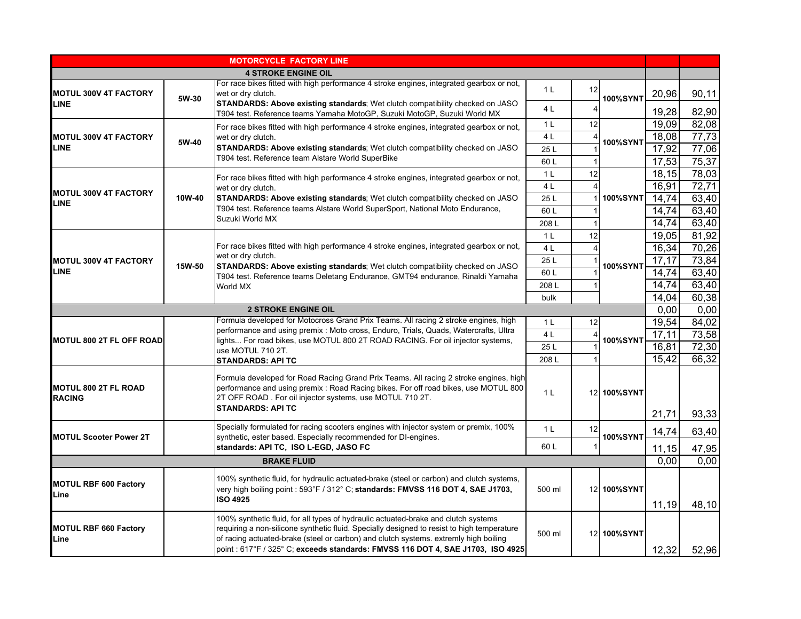|                                       |                                                                                                                                                                                             | <b>MOTORCYCLE FACTORY LINE</b>                                                                                                                                                                                                                                                                                                                              |                |                 |                 |        |       |
|---------------------------------------|---------------------------------------------------------------------------------------------------------------------------------------------------------------------------------------------|-------------------------------------------------------------------------------------------------------------------------------------------------------------------------------------------------------------------------------------------------------------------------------------------------------------------------------------------------------------|----------------|-----------------|-----------------|--------|-------|
|                                       |                                                                                                                                                                                             | <b>4 STROKE ENGINE OIL</b>                                                                                                                                                                                                                                                                                                                                  |                |                 |                 |        |       |
| MOTUL 300V 4T FACTORY                 | 5W-30                                                                                                                                                                                       | For race bikes fitted with high performance 4 stroke engines, integrated gearbox or not,<br>wet or dry clutch.                                                                                                                                                                                                                                              | 1 <sup>L</sup> | 12              | <b>100%SYNT</b> | 20,96  | 90,11 |
| <b>LINE</b>                           |                                                                                                                                                                                             | STANDARDS: Above existing standards; Wet clutch compatibility checked on JASO<br>T904 test. Reference teams Yamaha MotoGP, Suzuki MotoGP, Suzuki World MX                                                                                                                                                                                                   | 4 L            | Δ               |                 | 19,28  | 82,90 |
|                                       |                                                                                                                                                                                             | For race bikes fitted with high performance 4 stroke engines, integrated gearbox or not,                                                                                                                                                                                                                                                                    | 1 <sub>L</sub> | 12              |                 | 19,09  | 82,08 |
| <b>MOTUL 300V 4T FACTORY</b>          | 5W-40                                                                                                                                                                                       | wet or dry clutch.                                                                                                                                                                                                                                                                                                                                          | 4 L            |                 | 100%SYNT        | 18,08  | 77,73 |
| <b>LINE</b>                           |                                                                                                                                                                                             | STANDARDS: Above existing standards; Wet clutch compatibility checked on JASO                                                                                                                                                                                                                                                                               | 25L            |                 |                 | 17,92  | 77,06 |
|                                       |                                                                                                                                                                                             | T904 test. Reference team Alstare World SuperBike                                                                                                                                                                                                                                                                                                           | 60L            |                 |                 | 17,53  | 75,37 |
|                                       |                                                                                                                                                                                             | For race bikes fitted with high performance 4 stroke engines, integrated gearbox or not,                                                                                                                                                                                                                                                                    | 1 <sub>L</sub> | 12              |                 | 18,15  | 78,03 |
| <b>MOTUL 300V 4T FACTORY</b>          |                                                                                                                                                                                             | wet or dry clutch.                                                                                                                                                                                                                                                                                                                                          | 4 <sub>L</sub> |                 |                 | 16,91  | 72,71 |
| <b>LINE</b>                           | 10W-40                                                                                                                                                                                      | <b>STANDARDS: Above existing standards</b> ; Wet clutch compatibility checked on JASO                                                                                                                                                                                                                                                                       | 25 L           |                 | <b>100%SYNT</b> | 14,74  | 63,40 |
|                                       |                                                                                                                                                                                             | T904 test. Reference teams Alstare World SuperSport, National Moto Endurance,                                                                                                                                                                                                                                                                               | 60L            |                 |                 | 14,74  | 63,40 |
|                                       |                                                                                                                                                                                             | Suzuki World MX                                                                                                                                                                                                                                                                                                                                             | 208L           |                 |                 | 14,74  | 63,40 |
|                                       |                                                                                                                                                                                             |                                                                                                                                                                                                                                                                                                                                                             | 1 <sup>L</sup> | 12              |                 | 19,05  | 81,92 |
|                                       |                                                                                                                                                                                             | For race bikes fitted with high performance 4 stroke engines, integrated gearbox or not,                                                                                                                                                                                                                                                                    | 4 L            |                 |                 | 16,34  | 70,26 |
| <b>MOTUL 300V 4T FACTORY</b>          | 15W-50                                                                                                                                                                                      | wet or dry clutch.<br><b>STANDARDS: Above existing standards</b> ; Wet clutch compatibility checked on JASO<br>T904 test. Reference teams Deletang Endurance, GMT94 endurance, Rinaldi Yamaha                                                                                                                                                               | 25L            |                 | 100%SYNT        | 17,17  | 73,84 |
| <b>LINE</b>                           |                                                                                                                                                                                             |                                                                                                                                                                                                                                                                                                                                                             | 60L            |                 |                 | 14,74  | 63,40 |
|                                       |                                                                                                                                                                                             | World MX                                                                                                                                                                                                                                                                                                                                                    | 208L           |                 |                 | 14,74  | 63,40 |
|                                       |                                                                                                                                                                                             |                                                                                                                                                                                                                                                                                                                                                             | bulk           |                 |                 | 14,04  | 60,38 |
|                                       |                                                                                                                                                                                             | <b>2 STROKE ENGINE OIL</b>                                                                                                                                                                                                                                                                                                                                  |                |                 |                 | 0,00   | 0,00  |
|                                       |                                                                                                                                                                                             | Formula developed for Motocross Grand Prix Teams. All racing 2 stroke engines, high                                                                                                                                                                                                                                                                         | 1 <sup>L</sup> | 12              |                 | 19,54  | 84,02 |
| MOTUL 800 2T FL OFF ROAD              | performance and using premix : Moto cross, Enduro, Trials, Quads, Watercrafts, Ultra<br>lights For road bikes, use MOTUL 800 2T ROAD RACING. For oil injector systems,<br>use MOTUL 710 2T. | 4 <sub>L</sub>                                                                                                                                                                                                                                                                                                                                              |                | <b>100%SYNT</b> | 17,11           | 73,58  |       |
|                                       |                                                                                                                                                                                             | 25 L                                                                                                                                                                                                                                                                                                                                                        |                |                 | 16,81           | 72,30  |       |
|                                       |                                                                                                                                                                                             | <b>STANDARDS: API TC</b>                                                                                                                                                                                                                                                                                                                                    | 208L           |                 |                 | 15,42  | 66,32 |
| MOTUL 800 2T FL ROAD<br><b>RACING</b> |                                                                                                                                                                                             | Formula developed for Road Racing Grand Prix Teams. All racing 2 stroke engines, high<br>performance and using premix : Road Racing bikes. For off road bikes, use MOTUL 800<br>2T OFF ROAD. For oil injector systems, use MOTUL 710 2T.<br><b>STANDARDS: API TC</b>                                                                                        | 1 <sub>L</sub> |                 | 12 100%SYNT     | 21,71  | 93,33 |
|                                       |                                                                                                                                                                                             | Specially formulated for racing scooters engines with injector system or premix, 100%                                                                                                                                                                                                                                                                       |                |                 |                 |        |       |
| <b>MOTUL Scooter Power 2T</b>         |                                                                                                                                                                                             | synthetic, ester based. Especially recommended for DI-engines.                                                                                                                                                                                                                                                                                              | 1 <sub>L</sub> | 12              | <b>100%SYNT</b> | 14,74  | 63,40 |
|                                       |                                                                                                                                                                                             | standards: API TC, ISO L-EGD, JASO FC                                                                                                                                                                                                                                                                                                                       | 60L            |                 |                 | 11, 15 | 47,95 |
|                                       |                                                                                                                                                                                             | <b>BRAKE FLUID</b>                                                                                                                                                                                                                                                                                                                                          |                |                 |                 | 0.00   | 0,00  |
| <b>MOTUL RBF 600 Factory</b><br>Line  |                                                                                                                                                                                             | 100% synthetic fluid, for hydraulic actuated-brake (steel or carbon) and clutch systems,<br>very high boiling point : 593°F / 312°C; standards: FMVSS 116 DOT 4, SAE J1703,<br><b>ISO 4925</b>                                                                                                                                                              | 500 ml         |                 | 12 100%SYNT     | 11,19  | 48,10 |
| <b>MOTUL RBF 660 Factory</b><br>Line  |                                                                                                                                                                                             | 100% synthetic fluid, for all types of hydraulic actuated-brake and clutch systems<br>requiring a non-silicone synthetic fluid. Specially designed to resist to high temperature<br>of racing actuated-brake (steel or carbon) and clutch systems. extremly high boiling<br>point : 617°F / 325° C; exceeds standards: FMVSS 116 DOT 4, SAE J1703, ISO 4925 | 500 ml         |                 | 12 100%SYNT     | 12,32  | 52,96 |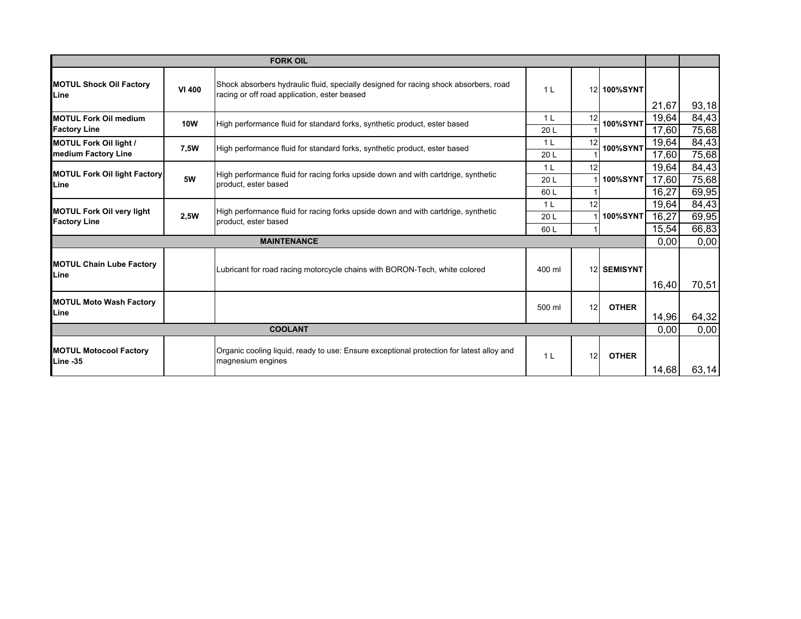|                                                         |                | <b>FORK OIL</b>                                                                                                                      |                 |    |                 |       |       |
|---------------------------------------------------------|----------------|--------------------------------------------------------------------------------------------------------------------------------------|-----------------|----|-----------------|-------|-------|
| <b>MOTUL Shock Oil Factory</b><br>Line                  | <b>VI 400</b>  | Shock absorbers hydraulic fluid, specially designed for racing shock absorbers, road<br>racing or off road application, ester beased | 1 <sup>L</sup>  |    | 12 100%SYNT     |       |       |
|                                                         |                |                                                                                                                                      |                 |    |                 | 21,67 | 93,18 |
| <b>MOTUL Fork Oil medium</b>                            | <b>10W</b>     | High performance fluid for standard forks, synthetic product, ester based                                                            | 1 <sup>L</sup>  | 12 | <b>100%SYNT</b> | 19,64 | 84,43 |
| <b>Factory Line</b>                                     |                |                                                                                                                                      | 20L             |    |                 | 17,60 | 75,68 |
| <b>MOTUL Fork Oil light /</b>                           | 7,5W           | High performance fluid for standard forks, synthetic product, ester based                                                            | 1 <sub>L</sub>  | 12 | <b>100%SYNT</b> | 19,64 | 84,43 |
| medium Factory Line                                     |                |                                                                                                                                      | 20 L            |    |                 | 17,60 | 75,68 |
| <b>MOTUL Fork Oil light Factory</b>                     |                | High performance fluid for racing forks upside down and with cartdrige, synthetic                                                    | 1 <sub>L</sub>  | 12 |                 | 19,64 | 84,43 |
| Line                                                    | 5W             | product, ester based                                                                                                                 | 20 <sub>L</sub> |    | <b>100%SYNT</b> | 17,60 | 75,68 |
|                                                         |                |                                                                                                                                      | 60 L            |    |                 | 16,27 | 69,95 |
|                                                         |                | High performance fluid for racing forks upside down and with cartdrige, synthetic                                                    | 1 <sub>L</sub>  | 12 |                 | 19,64 | 84,43 |
| <b>MOTUL Fork Oil very light</b><br><b>Factory Line</b> | 2,5W           | product, ester based                                                                                                                 | 20 L            |    | <b>100%SYNT</b> | 16,27 | 69,95 |
|                                                         |                |                                                                                                                                      | 60 L            |    |                 | 15,54 | 66,83 |
|                                                         |                | <b>MAINTENANCE</b>                                                                                                                   |                 |    |                 | 0,00  | 0,00  |
| <b>MOTUL Chain Lube Factory</b><br>Line                 |                | Lubricant for road racing motorcycle chains with BORON-Tech, white colored                                                           | 400 ml          |    | 12 SEMISYNT     |       |       |
|                                                         |                |                                                                                                                                      |                 |    |                 | 16,40 | 70,51 |
| <b>MOTUL Moto Wash Factory</b>                          |                |                                                                                                                                      | 500 ml          | 12 | <b>OTHER</b>    |       |       |
| Line                                                    |                |                                                                                                                                      |                 |    |                 | 14,96 | 64,32 |
|                                                         | <b>COOLANT</b> |                                                                                                                                      |                 |    |                 | 0,00  | 0,00  |
| <b>MOTUL Motocool Factory</b>                           |                | Organic cooling liquid, ready to use: Ensure exceptional protection for latest alloy and                                             | 1 <sub>L</sub>  | 12 | <b>OTHER</b>    |       |       |
| Line -35                                                |                | magnesium engines                                                                                                                    |                 |    |                 | 14,68 | 63,14 |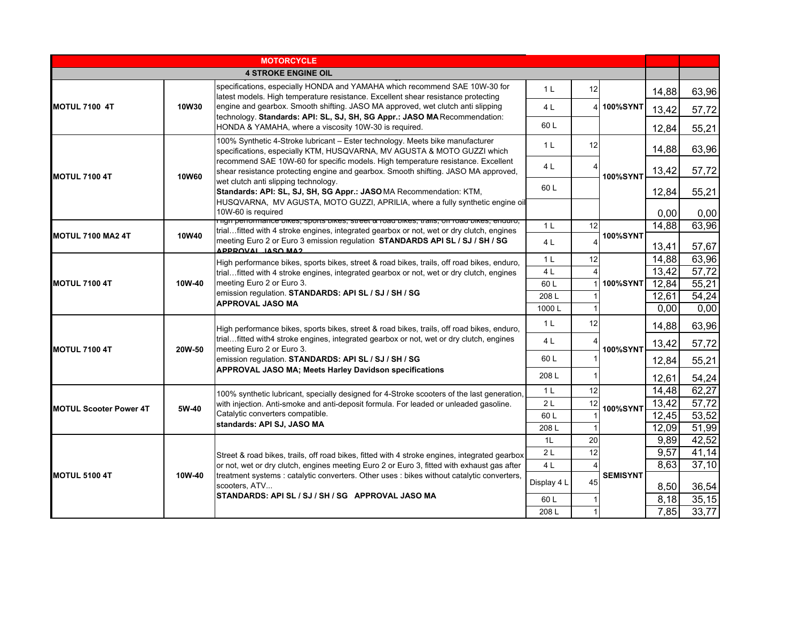|                               |        | <b>MOTORCYCLE</b>                                                                                                                                                                                                                                                           |                |    |                 |               |               |
|-------------------------------|--------|-----------------------------------------------------------------------------------------------------------------------------------------------------------------------------------------------------------------------------------------------------------------------------|----------------|----|-----------------|---------------|---------------|
|                               |        | <b>4 STROKE ENGINE OIL</b>                                                                                                                                                                                                                                                  |                |    |                 |               |               |
|                               |        | specifications, especially HONDA and YAMAHA which recommend SAE 10W-30 for<br>latest models. High temperature resistance. Excellent shear resistance protecting                                                                                                             | 1 <sup>L</sup> | 12 |                 | 14,88         | 63,96         |
| MOTUL 7100 4T                 | 10W30  | engine and gearbox. Smooth shifting. JASO MA approved, wet clutch anti slipping<br>technology. Standards: API: SL, SJ, SH, SG Appr.: JASO MA Recommendation:                                                                                                                | 4 L            |    | 4 100%SYNT      | 13,42         | 57,72         |
|                               |        | HONDA & YAMAHA, where a viscosity 10W-30 is required.                                                                                                                                                                                                                       | 60L            |    |                 | 12,84         | 55,21         |
|                               |        | 100% Synthetic 4-Stroke lubricant - Ester technology. Meets bike manufacturer<br>specifications, especially KTM, HUSQVARNA, MV AGUSTA & MOTO GUZZI which                                                                                                                    | 1 <sup>L</sup> | 12 |                 | 14,88         | 63,96         |
| <b>MOTUL 7100 4T</b>          | 10W60  | recommend SAE 10W-60 for specific models. High temperature resistance. Excellent<br>shear resistance protecting engine and gearbox. Smooth shifting. JASO MA approved,                                                                                                      | 4 L            |    | <b>100%SYNT</b> | 13,42         | 57,72         |
|                               |        | wet clutch anti slipping technology.<br>Standards: API: SL, SJ, SH, SG Appr.: JASOMA Recommendation: KTM,                                                                                                                                                                   | 60 L           |    |                 | 12,84         | 55,21         |
|                               |        | HUSQVARNA, MV AGUSTA, MOTO GUZZI, APRILIA, where a fully synthetic engine oil<br>10W-60 is required                                                                                                                                                                         |                |    |                 |               |               |
|                               |        | $\overline{\rm n}$ וס periormance bikes, sports bikes, street $\alpha$ road bikes, trails, on road bikes, enduro,                                                                                                                                                           | 1 <sub>L</sub> | 12 |                 | 0.00<br>14,88 | 0,00<br>63,96 |
| <b>MOTUL 7100 MA2 4T</b>      | 10W40  | trialfitted with 4 stroke engines, integrated gearbox or not, wet or dry clutch, engines<br>meeting Euro 2 or Euro 3 emission regulation STANDARDS API SL / SJ / SH / SG                                                                                                    |                |    | <b>100%SYNT</b> |               |               |
|                               |        | APPROVAL, JASO MA2                                                                                                                                                                                                                                                          | 4 L            |    |                 | 13,41         | 57,67         |
|                               |        | High performance bikes, sports bikes, street & road bikes, trails, off road bikes, enduro,                                                                                                                                                                                  | 1 <sub>L</sub> | 12 |                 | 14,88         | 63,96         |
|                               |        | trialfitted with 4 stroke engines, integrated gearbox or not, wet or dry clutch, engines                                                                                                                                                                                    | 4 L            |    |                 | 13,42         | 57,72         |
| <b>MOTUL 7100 4T</b>          | 10W-40 | meeting Euro 2 or Euro 3.<br>emission regulation. STANDARDS: API SL / SJ / SH / SG                                                                                                                                                                                          | 60L            |    | <b>100%SYNT</b> | 12,84         | 55,21         |
|                               |        | <b>APPROVAL JASO MA</b>                                                                                                                                                                                                                                                     | 208L           |    |                 | 12,61         | 54,24         |
|                               |        |                                                                                                                                                                                                                                                                             | 1000L          |    |                 | 0,00          | 0,00          |
|                               |        | High performance bikes, sports bikes, street & road bikes, trails, off road bikes, enduro,<br>trialfitted with4 stroke engines, integrated gearbox or not, wet or dry clutch, engines<br>meeting Euro 2 or Euro 3.<br>emission regulation. STANDARDS: API SL / SJ / SH / SG | 1 <sup>L</sup> | 12 |                 | 14,88         | 63,96         |
| <b>IMOTUL 7100 4T</b>         | 20W-50 |                                                                                                                                                                                                                                                                             | 4 L            |    | <b>100%SYNT</b> | 13,42         | 57,72         |
|                               |        |                                                                                                                                                                                                                                                                             | 60 L           |    |                 | 12,84         | 55,21         |
|                               |        | APPROVAL JASO MA; Meets Harley Davidson specifications                                                                                                                                                                                                                      | 208L           |    |                 | 12,61         | 54,24         |
|                               |        | 100% synthetic lubricant, specially designed for 4-Stroke scooters of the last generation,                                                                                                                                                                                  | 1 <sup>L</sup> | 12 |                 | 14,48         | 62,27         |
| <b>MOTUL Scooter Power 4T</b> | 5W-40  | with injection. Anti-smoke and anti-deposit formula. For leaded or unleaded gasoline.                                                                                                                                                                                       | 2L             | 12 | <b>100%SYNT</b> | 13,42         | 57,72         |
|                               |        | Catalytic converters compatible.<br>standards: API SJ, JASO MA                                                                                                                                                                                                              | 60L            |    |                 | 12,45         | 53,52         |
|                               |        |                                                                                                                                                                                                                                                                             | 208L           |    |                 | 12,09         | 51,99         |
|                               |        |                                                                                                                                                                                                                                                                             | 1 <sub>L</sub> | 20 |                 | 9,89          | 42,52         |
| <b>MOTUL 5100 4T</b>          |        | Street & road bikes, trails, off road bikes, fitted with 4 stroke engines, integrated gearbox                                                                                                                                                                               | 2L             | 12 |                 | 9,57<br>8,63  | 41,14         |
|                               |        | or not, wet or dry clutch, engines meeting Euro 2 or Euro 3, fitted with exhaust gas after<br>treatment systems : catalytic converters. Other uses : bikes without catalytic converters,                                                                                    | 4 L            |    | <b>SEMISYNT</b> |               | 37,10         |
|                               | 10W-40 | scooters, ATV                                                                                                                                                                                                                                                               | Display 4 L    | 45 |                 | 8,50          | 36,54         |
|                               |        | STANDARDS: API SL / SJ / SH / SG APPROVAL JASO MA                                                                                                                                                                                                                           | 60L            |    |                 | 8,18          | 35,15         |
|                               |        |                                                                                                                                                                                                                                                                             | 208L           |    |                 | 7,85          | 33,77         |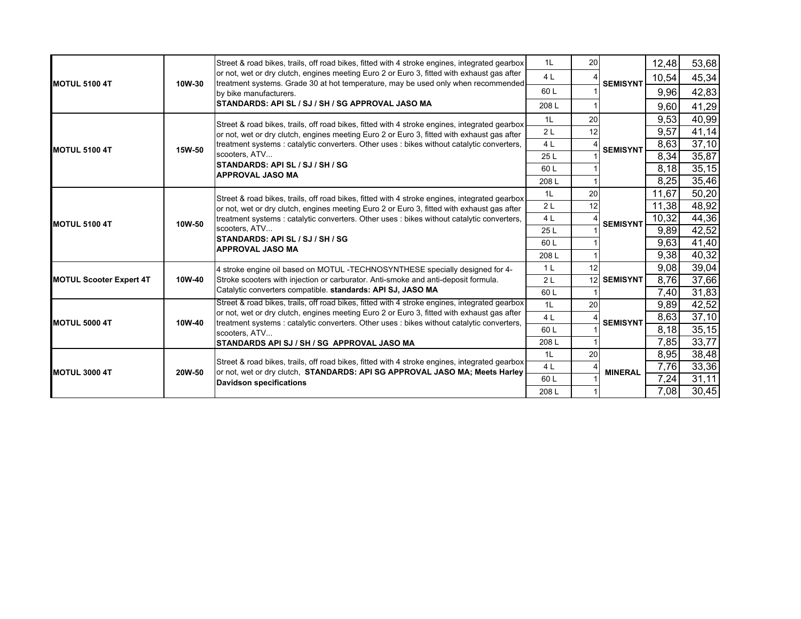|                                |        | Street & road bikes, trails, off road bikes, fitted with 4 stroke engines, integrated gearbox                                                                                                                                                                                             | 1 <sub>L</sub> | 20 |                 | 12,48 | 53,68  |
|--------------------------------|--------|-------------------------------------------------------------------------------------------------------------------------------------------------------------------------------------------------------------------------------------------------------------------------------------------|----------------|----|-----------------|-------|--------|
|                                |        | or not, wet or dry clutch, engines meeting Euro 2 or Euro 3, fitted with exhaust gas after                                                                                                                                                                                                | 4 <sub>L</sub> |    |                 | 10,54 | 45,34  |
| <b>MOTUL 5100 4T</b>           | 10W-30 | treatment systems. Grade 30 at hot temperature, may be used only when recommended<br>by bike manufacturers.                                                                                                                                                                               | 60L            |    | <b>SEMISYNT</b> | 9,96  | 42,83  |
|                                |        | STANDARDS: API SL / SJ / SH / SG APPROVAL JASO MA                                                                                                                                                                                                                                         | 208L           |    |                 | 9,60  | 41,29  |
|                                |        |                                                                                                                                                                                                                                                                                           | 1L             | 20 |                 | 9,53  | 40,99  |
|                                |        | Street & road bikes, trails, off road bikes, fitted with 4 stroke engines, integrated gearbox<br>or not, wet or dry clutch, engines meeting Euro 2 or Euro 3, fitted with exhaust gas after                                                                                               | 2L             | 12 |                 | 9,57  | 41,14  |
|                                |        | treatment systems : catalytic converters. Other uses : bikes without catalytic converters,                                                                                                                                                                                                | 4 L            |    |                 | 8,63  | 37,10  |
| <b>MOTUL 5100 4T</b>           | 15W-50 | scooters, ATV                                                                                                                                                                                                                                                                             | 25L            |    | <b>SEMISYNT</b> | 8,34  | 35,87  |
|                                |        | <b>ISTANDARDS: API SL / SJ / SH / SG</b>                                                                                                                                                                                                                                                  | 60 L           |    |                 | 8,18  | 35,15  |
|                                |        | <b>APPROVAL JASO MA</b>                                                                                                                                                                                                                                                                   | 208L           |    |                 | 8,25  | 35,46  |
|                                |        | Street & road bikes, trails, off road bikes, fitted with 4 stroke engines, integrated gearbox<br>or not, wet or dry clutch, engines meeting Euro 2 or Euro 3, fitted with exhaust gas after<br>treatment systems : catalytic converters. Other uses : bikes without catalytic converters, | 1L             | 20 |                 | 11,67 | 50,20  |
|                                |        |                                                                                                                                                                                                                                                                                           | 2L             | 12 |                 | 11,38 | 48,92  |
|                                | 10W-50 |                                                                                                                                                                                                                                                                                           | 4 L            |    |                 | 10,32 | 44,36  |
| <b>MOTUL 5100 4T</b>           |        | scooters, ATV                                                                                                                                                                                                                                                                             | 25L            |    | <b>SEMISYNT</b> | 9,89  | 42,52  |
|                                |        | <b>STANDARDS: API SL / SJ / SH / SG</b>                                                                                                                                                                                                                                                   | 60 L           |    |                 | 9,63  | 41,40  |
|                                |        | <b>APPROVAL JASO MA</b>                                                                                                                                                                                                                                                                   | 208L           |    |                 | 9,38  | 40,32  |
|                                |        | 4 stroke engine oil based on MOTUL -TECHNOSYNTHESE specially designed for 4-<br>Stroke scooters with injection or carburator. Anti-smoke and anti-deposit formula.                                                                                                                        | 1 <sup>L</sup> | 12 |                 | 9,08  | 39,04  |
| <b>MOTUL Scooter Expert 4T</b> | 10W-40 |                                                                                                                                                                                                                                                                                           | 2L             |    | 12 SEMISYNT     | 8,76  | 37,66  |
|                                |        | Catalytic converters compatible. standards: API SJ, JASO MA                                                                                                                                                                                                                               | 60 L           |    |                 | 7,40  | 31,83  |
|                                |        | Street & road bikes, trails, off road bikes, fitted with 4 stroke engines, integrated gearbox                                                                                                                                                                                             | 1L             | 20 |                 | 9,89  | 42,52  |
| MOTUL 5000 4T                  | 10W-40 | or not, wet or dry clutch, engines meeting Euro 2 or Euro 3, fitted with exhaust gas after                                                                                                                                                                                                | 4 <sub>L</sub> |    | <b>SEMISYNT</b> | 8,63  | 37,10  |
|                                |        | treatment systems : catalytic converters. Other uses : bikes without catalytic converters,<br>scooters, ATV                                                                                                                                                                               | 60L            |    |                 | 8,18  | 35, 15 |
|                                |        | STANDARDS API SJ / SH / SG APPROVAL JASO MA                                                                                                                                                                                                                                               | 208L           |    |                 | 7,85  | 33,77  |
|                                |        |                                                                                                                                                                                                                                                                                           | 1L             | 20 |                 | 8,95  | 38,48  |
| <b>MOTUL 3000 4T</b>           | 20W-50 | Street & road bikes, trails, off road bikes, fitted with 4 stroke engines, integrated gearbox<br>or not, wet or dry clutch, STANDARDS: API SG APPROVAL JASO MA; Meets Harley                                                                                                              | 4 <sub>L</sub> |    | <b>MINERAL</b>  | 7,76  | 33,36  |
|                                |        | <b>Davidson specifications</b>                                                                                                                                                                                                                                                            | 60L            |    |                 | 7,24  | 31,11  |
|                                |        |                                                                                                                                                                                                                                                                                           | 208L           |    |                 | 7,08  | 30,45  |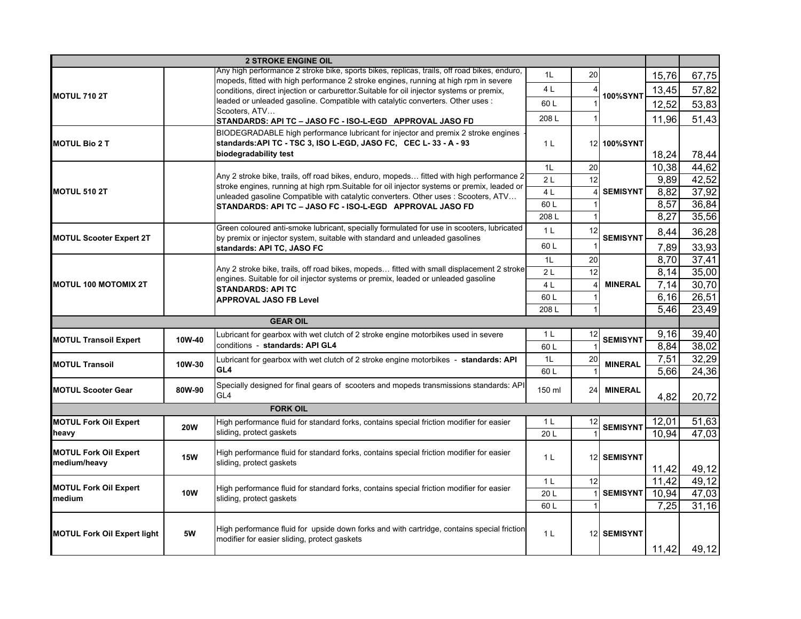|                                    |            | <b>2 STROKE ENGINE OIL</b>                                                                                                                                                        |                |                 |                    |              |                |
|------------------------------------|------------|-----------------------------------------------------------------------------------------------------------------------------------------------------------------------------------|----------------|-----------------|--------------------|--------------|----------------|
|                                    |            | Any high performance 2 stroke bike, sports bikes, replicas, trails, off road bikes, enduro,                                                                                       | 1 <sub>L</sub> | 20              |                    | 15,76        | 67,75          |
|                                    |            | mopeds, fitted with high performance 2 stroke engines, running at high rpm in severe<br>conditions, direct injection or carburettor. Suitable for oil injector systems or premix, | 4 L            |                 |                    | 13,45        | 57,82          |
| <b>IMOTUL 710 2T</b>               |            | leaded or unleaded gasoline. Compatible with catalytic converters. Other uses :                                                                                                   | 60L            |                 | 100%SYNT           | 12,52        | 53,83          |
|                                    |            | Scooters, ATV                                                                                                                                                                     |                |                 |                    |              |                |
|                                    |            | STANDARDS: API TC - JASO FC - ISO-L-EGD APPROVAL JASO FD                                                                                                                          | 208L           |                 |                    | 11,96        | 51,43          |
| <b>IMOTUL Bio 2 T</b>              |            | BIODEGRADABLE high performance lubricant for injector and premix 2 stroke engines<br>standards: API TC - TSC 3, ISO L-EGD, JASO FC, CEC L-33 - A - 93                             | 1 <sup>L</sup> |                 | 12 100%SYNT        |              |                |
|                                    |            | biodegradability test                                                                                                                                                             |                |                 |                    | 18,24        | 78,44          |
|                                    |            |                                                                                                                                                                                   | 1L             | 20              |                    | 10,38        | 44,62          |
|                                    |            | Any 2 stroke bike, trails, off road bikes, enduro, mopeds fitted with high performance 2                                                                                          | 2L             | 12              |                    | 9,89         | 42,52          |
| <b>MOTUL 510 2T</b>                |            | stroke engines, running at high rpm. Suitable for oil injector systems or premix, leaded or                                                                                       | 4L             |                 | <b>SEMISYNT</b>    | 8,82         | 37,92          |
|                                    |            | unleaded gasoline Compatible with catalytic converters. Other uses: Scooters, ATV<br>STANDARDS: API TC - JASO FC - ISO-L-EGD APPROVAL JASO FD                                     | 60L            |                 |                    | 8,57         | 36,84          |
|                                    |            |                                                                                                                                                                                   | 208L           |                 |                    | 8,27         | 35,56          |
|                                    |            | Green coloured anti-smoke lubricant, specially formulated for use in scooters, lubricated                                                                                         | 1 <sub>L</sub> | 12              |                    | 8,44         | 36,28          |
| <b>MOTUL Scooter Expert 2T</b>     |            | by premix or injector system, suitable with standard and unleaded gasolines                                                                                                       | 60L            |                 | <b>SEMISYNT</b>    |              |                |
|                                    |            | standards: API TC, JASO FC                                                                                                                                                        |                | 20              |                    | 7,89<br>8,70 | 33,93<br>37,41 |
|                                    |            | Any 2 stroke bike, trails, off road bikes, mopeds fitted with small displacement 2 stroke                                                                                         | 1L<br>2L       | 12              |                    | 8,14         | 35,00          |
| <b>MOTUL 100 MOTOMIX 2T</b>        |            | engines. Suitable for oil injector systems or premix, leaded or unleaded gasoline                                                                                                 | 4L             |                 | <b>MINERAL</b>     | 7,14         | 30,70          |
|                                    |            | <b>STANDARDS: API TC</b>                                                                                                                                                          | 60L            |                 |                    | 6,16         | 26,51          |
|                                    |            | <b>APPROVAL JASO FB Level</b>                                                                                                                                                     | 208L           |                 |                    | 5,46         | 23,49          |
|                                    |            | <b>GEAR OIL</b>                                                                                                                                                                   |                |                 |                    |              |                |
|                                    |            | Lubricant for gearbox with wet clutch of 2 stroke engine motorbikes used in severe                                                                                                | 1 <sub>L</sub> | 12              |                    | 9,16         | 39,40          |
| <b>MOTUL Transoil Expert</b>       | 10W-40     | conditions - standards: API GL4                                                                                                                                                   | 60L            |                 | <b>SEMISYNT</b>    | 8,84         | 38,02          |
|                                    |            | Lubricant for gearbox with wet clutch of 2 stroke engine motorbikes - standards: API                                                                                              | 1L             | 20              |                    | 7,51         | 32,29          |
| <b>MOTUL Transoil</b>              | 10W-30     | GL <sub>4</sub>                                                                                                                                                                   | 60L            |                 | <b>MINERAL</b>     | 5,66         | 24,36          |
|                                    |            | Specially designed for final gears of scooters and mopeds transmissions standards: API                                                                                            |                |                 |                    |              |                |
| <b>MOTUL Scooter Gear</b>          | 80W-90     | GL <sub>4</sub>                                                                                                                                                                   | 150 ml         | 24 <sub>l</sub> | <b>MINERAL</b>     | 4,82         | 20,72          |
|                                    |            | <b>FORK OIL</b>                                                                                                                                                                   |                |                 |                    |              |                |
| <b>MOTUL Fork Oil Expert</b>       | <b>20W</b> | High performance fluid for standard forks, contains special friction modifier for easier                                                                                          | 1 <sub>L</sub> | 12              | <b>SEMISYNT</b>    | 12,01        | 51,63          |
| heavy                              |            | sliding, protect gaskets                                                                                                                                                          | 20L            |                 |                    | 10,94        | 47,03          |
| <b>MOTUL Fork Oil Expert</b>       |            | High performance fluid for standard forks, contains special friction modifier for easier                                                                                          |                |                 |                    |              |                |
| medium/heavy                       | <b>15W</b> | sliding, protect gaskets                                                                                                                                                          | 1 <sup>L</sup> |                 | 12 SEMISYNT        |              |                |
|                                    |            |                                                                                                                                                                                   |                |                 |                    | 11,42        | 49,12          |
| <b>MOTUL Fork Oil Expert</b>       |            | High performance fluid for standard forks, contains special friction modifier for easier                                                                                          | 1 <sub>L</sub> | 12              |                    | 11,42        | 49,12          |
| medium                             | <b>10W</b> | sliding, protect gaskets                                                                                                                                                          | 20L            |                 | <b>SEMISYNT</b>    | 10,94        | 47,03          |
|                                    |            |                                                                                                                                                                                   | 60L            |                 |                    | 7,25         | 31,16          |
|                                    |            | High performance fluid for upside down forks and with cartridge, contains special friction                                                                                        |                |                 |                    |              |                |
| <b>MOTUL Fork Oil Expert light</b> | 5W         | modifier for easier sliding, protect gaskets                                                                                                                                      | 1 <sup>L</sup> |                 | <b>12 SEMISYNT</b> |              |                |
|                                    |            |                                                                                                                                                                                   |                |                 |                    | 11,42        | 49,12          |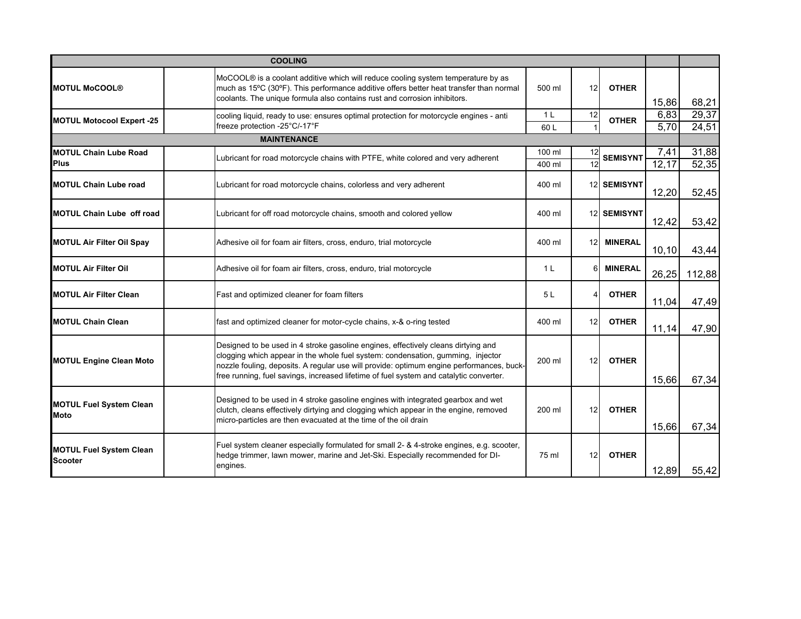|                                                  | <b>COOLING</b>                                                                                                                                                                                                                                                                                                                                             |                        |                 |                    |               |                |
|--------------------------------------------------|------------------------------------------------------------------------------------------------------------------------------------------------------------------------------------------------------------------------------------------------------------------------------------------------------------------------------------------------------------|------------------------|-----------------|--------------------|---------------|----------------|
| <b>MOTUL MoCOOL®</b>                             | MoCOOL® is a coolant additive which will reduce cooling system temperature by as<br>much as 15°C (30°F). This performance additive offers better heat transfer than normal<br>coolants. The unique formula also contains rust and corrosion inhibitors.                                                                                                    | 500 ml                 | 12              | <b>OTHER</b>       | 15,86         | 68,21          |
| <b>MOTUL Motocool Expert -25</b>                 | cooling liquid, ready to use: ensures optimal protection for motorcycle engines - anti<br>freeze protection -25°C/-17°F                                                                                                                                                                                                                                    | 1 <sup>L</sup><br>60 L | 12              | <b>OTHER</b>       | 6,83<br>5,70  | 29,37<br>24,51 |
|                                                  | <b>MAINTENANCE</b>                                                                                                                                                                                                                                                                                                                                         |                        |                 |                    |               |                |
| <b>MOTUL Chain Lube Road</b><br><b>Plus</b>      | Lubricant for road motorcycle chains with PTFE, white colored and very adherent                                                                                                                                                                                                                                                                            | 100 ml<br>400 ml       | 12<br>12        | <b>SEMISYNT</b>    | 7,41<br>12,17 | 31,88<br>52,35 |
| <b>MOTUL Chain Lube road</b>                     | Lubricant for road motorcycle chains, colorless and very adherent                                                                                                                                                                                                                                                                                          | 400 ml                 |                 | <b>12 SEMISYNT</b> | 12,20         | 52,45          |
| <b>MOTUL Chain Lube off road</b>                 | Lubricant for off road motorcycle chains, smooth and colored yellow                                                                                                                                                                                                                                                                                        | 400 ml                 |                 | 12 SEMISYNT        | 12,42         | 53,42          |
| <b>MOTUL Air Filter Oil Spay</b>                 | Adhesive oil for foam air filters, cross, enduro, trial motorcycle                                                                                                                                                                                                                                                                                         | 400 ml                 | 12 <sub>l</sub> | <b>MINERAL</b>     | 10, 10        | 43,44          |
| <b>MOTUL Air Filter Oil</b>                      | Adhesive oil for foam air filters, cross, enduro, trial motorcycle                                                                                                                                                                                                                                                                                         | 1 <sup>L</sup>         | 6               | <b>MINERAL</b>     | 26,25         | 112,88         |
| <b>MOTUL Air Filter Clean</b>                    | Fast and optimized cleaner for foam filters                                                                                                                                                                                                                                                                                                                | 5 L                    |                 | <b>OTHER</b>       | 11,04         | 47,49          |
| <b>MOTUL Chain Clean</b>                         | fast and optimized cleaner for motor-cycle chains, x-& o-ring tested                                                                                                                                                                                                                                                                                       | 400 ml                 | 12              | <b>OTHER</b>       | 11,14         | 47,90          |
| <b>MOTUL Engine Clean Moto</b>                   | Designed to be used in 4 stroke gasoline engines, effectively cleans dirtying and<br>clogging which appear in the whole fuel system: condensation, gumming, injector<br>nozzle fouling, deposits. A regular use will provide: optimum engine performances, buck-<br>free running, fuel savings, increased lifetime of fuel system and catalytic converter. | 200 ml                 | 12              | <b>OTHER</b>       | 15,66         | 67,34          |
| <b>MOTUL Fuel System Clean</b><br>Moto           | Designed to be used in 4 stroke gasoline engines with integrated gearbox and wet<br>clutch, cleans effectively dirtying and clogging which appear in the engine, removed<br>micro-particles are then evacuated at the time of the oil drain                                                                                                                | 200 ml                 | 12              | <b>OTHER</b>       | 15,66         | 67,34          |
| <b>MOTUL Fuel System Clean</b><br><b>Scooter</b> | Fuel system cleaner especially formulated for small 2- & 4-stroke engines, e.g. scooter,<br>hedge trimmer, lawn mower, marine and Jet-Ski. Especially recommended for DI-<br>engines.                                                                                                                                                                      | 75 ml                  | 12              | <b>OTHER</b>       | 12,89         | 55,42          |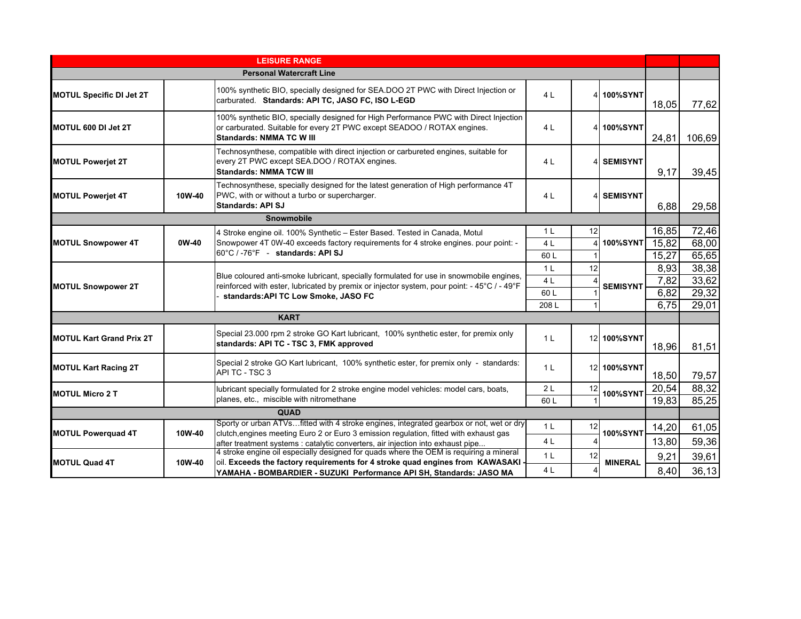|                                 |                   | <b>LEISURE RANGE</b>                                                                                                                                                                                |                |    |                 |       |        |
|---------------------------------|-------------------|-----------------------------------------------------------------------------------------------------------------------------------------------------------------------------------------------------|----------------|----|-----------------|-------|--------|
|                                 |                   | <b>Personal Watercraft Line</b>                                                                                                                                                                     |                |    |                 |       |        |
| <b>MOTUL Specific DI Jet 2T</b> |                   | 100% synthetic BIO, specially designed for SEA.DOO 2T PWC with Direct Injection or<br>carburated. Standards: API TC, JASO FC, ISO L-EGD                                                             | 4L             |    | 4 100%SYNT      | 18,05 | 77,62  |
| MOTUL 600 DI Jet 2T             |                   | 100% synthetic BIO, specially designed for High Performance PWC with Direct Injection<br>or carburated. Suitable for every 2T PWC except SEADOO / ROTAX engines.<br><b>Standards: NMMA TC W III</b> | 4 L            |    | 4 100%SYNT      | 24,81 | 106,69 |
| <b>MOTUL Poweriet 2T</b>        |                   | Technosynthese, compatible with direct injection or carbureted engines, suitable for<br>every 2T PWC except SEA.DOO / ROTAX engines.<br><b>Standards: NMMA TCW III</b>                              | 4 L            |    | 4 SEMISYNT      | 9,17  | 39,45  |
| <b>MOTUL Poweriet 4T</b>        | 10W-40            | Technosynthese, specially designed for the latest generation of High performance 4T<br>PWC, with or without a turbo or supercharger.<br><b>Standards: API SJ</b>                                    | 4 L            |    | 4 SEMISYNT      | 6,88  | 29,58  |
|                                 | <b>Snowmobile</b> |                                                                                                                                                                                                     |                |    |                 |       |        |
|                                 |                   | 4 Stroke engine oil. 100% Synthetic - Ester Based. Tested in Canada, Motul                                                                                                                          | 1 L            | 12 |                 | 16,85 | 72,46  |
| <b>MOTUL Snowpower 4T</b>       | 0W-40             | Snowpower 4T 0W-40 exceeds factory requirements for 4 stroke engines. pour point: -                                                                                                                 | 4 <sub>L</sub> |    | 4 100%SYNT      | 15,82 | 68,00  |
|                                 |                   | 60°C / -76°F - standards: API SJ                                                                                                                                                                    | 60L            |    |                 | 15,27 | 65,65  |
|                                 |                   | Blue coloured anti-smoke lubricant, specially formulated for use in snowmobile engines,                                                                                                             | 1 <sup>L</sup> | 12 |                 | 8,93  | 38,38  |
| <b>MOTUL Snowpower 2T</b>       |                   | reinforced with ester, lubricated by premix or injector system, pour point: - 45°C / - 49°F                                                                                                         | 4 L            |    | <b>SEMISYNT</b> | 7,82  | 33,62  |
|                                 |                   | standards: API TC Low Smoke, JASO FC                                                                                                                                                                | 60L            |    |                 | 6,82  | 29,32  |
|                                 |                   |                                                                                                                                                                                                     | 208L           |    |                 | 6,75  | 29,01  |
|                                 |                   | <b>KART</b>                                                                                                                                                                                         |                |    |                 |       |        |
| <b>MOTUL Kart Grand Prix 2T</b> |                   | Special 23.000 rpm 2 stroke GO Kart lubricant, 100% synthetic ester, for premix only<br>standards: API TC - TSC 3, FMK approved                                                                     | 1 <sup>L</sup> |    | 12 100%SYNT     | 18,96 | 81,51  |
| <b>MOTUL Kart Racing 2T</b>     |                   | Special 2 stroke GO Kart lubricant, 100% synthetic ester, for premix only - standards:<br>API TC - TSC 3                                                                                            | 1 <sup>L</sup> |    | 12 100%SYNT     | 18,50 | 79,57  |
| <b>MOTUL Micro 2 T</b>          |                   | lubricant specially formulated for 2 stroke engine model vehicles: model cars, boats,                                                                                                               | 2L             | 12 | <b>100%SYNT</b> | 20,54 | 88,32  |
|                                 |                   | planes, etc., miscible with nitromethane                                                                                                                                                            | 60 L           |    |                 | 19,83 | 85,25  |
|                                 |                   | <b>QUAD</b>                                                                                                                                                                                         |                |    |                 |       |        |
| <b>MOTUL Powerquad 4T</b>       | 10W-40            | Sporty or urban ATVs fitted with 4 stroke engines, integrated gearbox or not, wet or dry<br>clutch, engines meeting Euro 2 or Euro 3 emission regulation, fitted with exhaust gas                   | 1 <sup>L</sup> | 12 | <b>100%SYNT</b> | 14,20 | 61,05  |
|                                 |                   | after treatment systems : catalytic converters, air injection into exhaust pipe                                                                                                                     | 4 <sub>L</sub> |    |                 | 13,80 | 59,36  |
|                                 |                   | 4 stroke engine oil especially designed for quads where the OEM is requiring a mineral                                                                                                              | 1 <sup>L</sup> | 12 |                 | 9,21  | 39,61  |
| <b>MOTUL Quad 4T</b>            | 10W-40            | oil. Exceeds the factory requirements for 4 stroke quad engines from KAWASAKI                                                                                                                       | 4 L            |    | <b>MINERAL</b>  | 8,40  | 36, 13 |
|                                 |                   | YAMAHA - BOMBARDIER - SUZUKI Performance API SH, Standards: JASO MA                                                                                                                                 |                |    |                 |       |        |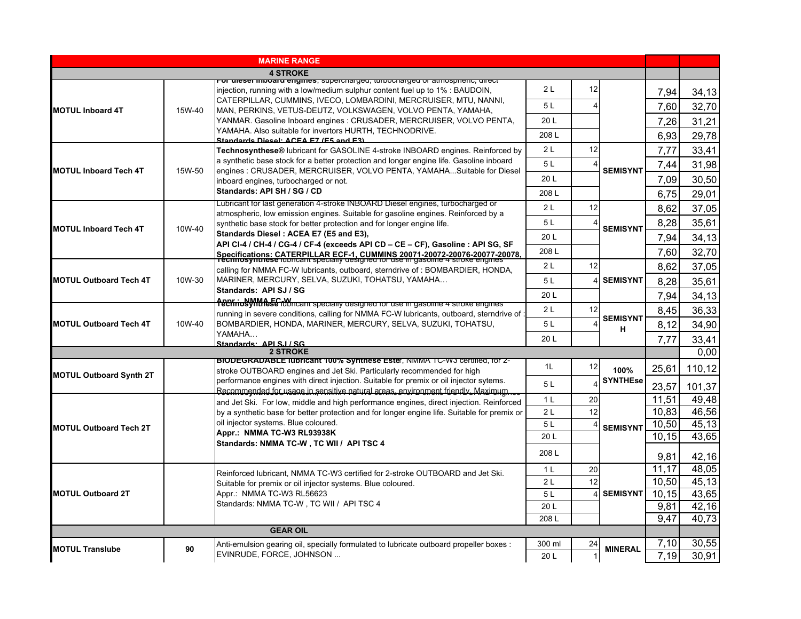| <b>4 STROKE</b><br>or dieser modaru engines, supercharged, turbocharged or atmospheric, uirect<br>2L<br>12<br>injection, running with a low/medium sulphur content fuel up to 1% : BAUDOIN,<br>7,94<br>34, 13<br>CATERPILLAR, CUMMINS, IVECO, LOMBARDINI, MERCRUISER, MTU, NANNI,<br>5L<br>7,60<br>32,70<br>4<br><b>MOTUL Inboard 4T</b><br>15W-40<br>MAN, PERKINS, VETUS-DEUTZ, VOLKSWAGEN, VOLVO PENTA, YAMAHA,<br>20 <sub>L</sub><br>YANMAR. Gasoline Inboard engines : CRUSADER, MERCRUISER, VOLVO PENTA,<br>31,21<br>7,26<br>YAMAHA. Also suitable for invertors HURTH, TECHNODRIVE.<br>208L<br>29,78<br>6,93<br>Standards Digsol: ACEA E7 (E5 and E3)<br>12<br>2L<br>7,77<br>33,41<br>Technosynthese® lubricant for GASOLINE 4-stroke INBOARD engines. Reinforced by<br>a synthetic base stock for a better protection and longer engine life. Gasoline inboard<br>5L<br>7,44<br>31,98<br>engines : CRUSADER, MERCRUISER, VOLVO PENTA, YAMAHASuitable for Diesel<br><b>MOTUL Inboard Tech 4T</b><br>15W-50<br><b>SEMISYNT</b><br>20 <sub>L</sub><br>7,09<br>30,50<br>inboard engines, turbocharged or not.<br>Standards: API SH / SG / CD<br>208L<br>29,01<br>6,75<br>Lubricant for last generation 4-stroke INBOARD Diesel engines, turbocharged or<br>2L<br>12<br>8.62<br>37,05<br>atmospheric, low emission engines. Suitable for gasoline engines. Reinforced by a<br>5L<br>8,28<br>35,61<br>synthetic base stock for better protection and for longer engine life.<br>10W-40<br><b>SEMISYNT</b><br>Standards Diesel: ACEA E7 (E5 and E3),<br>20L<br>7,94<br>34,13<br>API CI-4 / CH-4 / CG-4 / CF-4 (exceeds API CD - CE - CF), Gasoline : API SG, SF<br>208L<br>32,70<br>7,60<br>Specifications: CATERPILLAR ECF-1, CUMMINS 20071-20072-20076-20077-20078.<br>2L<br>12<br>8,62<br>37,05<br>calling for NMMA FC-W lubricants, outboard, sterndrive of : BOMBARDIER, HONDA,<br>MARINER, MERCURY, SELVA, SUZUKI, TOHATSU, YAMAHA<br>10W-30<br><b>SEMISYNT</b><br><b>MOTUL Outboard Tech 4T</b><br>5L<br>8,28<br>35,61<br>Standards: API SJ / SG<br>20L<br>7,94<br>34,13<br>2L<br>12<br>8,45<br>36,33<br>running in severe conditions, calling for NMMA FC-W lubricants, outboard, sterndrive of :<br><b>SEMISYNT</b><br>BOMBARDIER, HONDA, MARINER, MERCURY, SELVA, SUZUKI, TOHATSU,<br><b>MOTUL Outboard Tech 4T</b><br>10W-40<br>5L<br>8,12<br>34,90<br>н<br>YAMAHA<br>20L<br>33,41<br>7,77<br>Standards: API S.I / SG<br>0.00<br><b>2 STROKE</b><br>BIODEGRADABLE IUDricant 100% Synthese Ester, NMMA TC-W3 certified, for 2-<br>1L<br>12<br>25,61<br>110.12<br>100%<br>stroke OUTBOARD engines and Jet Ski. Particularly recommended for high<br><b>MOTUL Outboard Synth 2T</b><br>performance engines with direct injection. Suitable for premix or oil injector sytems.<br><b>SYNTHEse</b><br>5L<br>23,57<br>101,37<br>Recommended for usage in sensitive natural areas environment friendly Maximum<br>49,48<br>11.51<br>1 <sub>L</sub><br>20<br>and Jet Ski. For low, middle and high performance engines, direct injection. Reinforced<br>12<br>10,83<br>46,56<br>2 <sub>L</sub><br>by a synthetic base for better protection and for longer engine life. Suitable for premix or<br>oil injector systems. Blue coloured.<br>10,50<br>45,13<br>5L<br><b>SEMISYNT</b><br>Appr.: NMMA TC-W3 RL93938K<br>43,65<br>20L<br>10.15<br>Standards: NMMA TC-W, TC WII / API TSC 4<br>208L<br>9,81<br>42,16<br>11,17<br>48,05<br>20<br>1 <sub>L</sub><br>Reinforced lubricant, NMMA TC-W3 certified for 2-stroke OUTBOARD and Jet Ski.<br>10,50<br>45,13<br>2L<br>12<br>Suitable for premix or oil injector systems. Blue coloured.<br>Appr.: NMMA TC-W3 RL56623<br><b>SEMISYNT</b><br>10,15<br><b>MOTUL Outboard 2T</b><br>5L<br>43,65<br>Standards: NMMA TC-W, TC WII / API TSC 4<br>9,81<br>42,16<br>20L<br>40,73<br>9,47<br>208L<br><b>GEAR OIL</b><br>7,10<br>30.55<br>300 ml<br>Anti-emulsion gearing oil, specially formulated to lubricate outboard propeller boxes :<br>24<br><b>MOTUL Translube</b><br>90<br><b>MINERAL</b><br>EVINRUDE, FORCE, JOHNSON<br>20L |                               | <b>MARINE RANGE</b> |  |      |       |
|-------------------------------------------------------------------------------------------------------------------------------------------------------------------------------------------------------------------------------------------------------------------------------------------------------------------------------------------------------------------------------------------------------------------------------------------------------------------------------------------------------------------------------------------------------------------------------------------------------------------------------------------------------------------------------------------------------------------------------------------------------------------------------------------------------------------------------------------------------------------------------------------------------------------------------------------------------------------------------------------------------------------------------------------------------------------------------------------------------------------------------------------------------------------------------------------------------------------------------------------------------------------------------------------------------------------------------------------------------------------------------------------------------------------------------------------------------------------------------------------------------------------------------------------------------------------------------------------------------------------------------------------------------------------------------------------------------------------------------------------------------------------------------------------------------------------------------------------------------------------------------------------------------------------------------------------------------------------------------------------------------------------------------------------------------------------------------------------------------------------------------------------------------------------------------------------------------------------------------------------------------------------------------------------------------------------------------------------------------------------------------------------------------------------------------------------------------------------------------------------------------------------------------------------------------------------------------------------------------------------------------------------------------------------------------------------------------------------------------------------------------------------------------------------------------------------------------------------------------------------------------------------------------------------------------------------------------------------------------------------------------------------------------------------------------------------------------------------------------------------------------------------------------------------------------------------------------------------------------------------------------------------------------------------------------------------------------------------------------------------------------------------------------------------------------------------------------------------------------------------------------------------------------------------------------------------------------------------------------------------------------------------------------------------------------------------------------------------------------------------------------------------------------------------------------------------------------------------------------------------------------------------------------------------------------------------------------------------------------------------------------------------------------------------------------------------------------|-------------------------------|---------------------|--|------|-------|
|                                                                                                                                                                                                                                                                                                                                                                                                                                                                                                                                                                                                                                                                                                                                                                                                                                                                                                                                                                                                                                                                                                                                                                                                                                                                                                                                                                                                                                                                                                                                                                                                                                                                                                                                                                                                                                                                                                                                                                                                                                                                                                                                                                                                                                                                                                                                                                                                                                                                                                                                                                                                                                                                                                                                                                                                                                                                                                                                                                                                                                                                                                                                                                                                                                                                                                                                                                                                                                                                                                                                                                                                                                                                                                                                                                                                                                                                                                                                                                                                                                                                               |                               |                     |  |      |       |
|                                                                                                                                                                                                                                                                                                                                                                                                                                                                                                                                                                                                                                                                                                                                                                                                                                                                                                                                                                                                                                                                                                                                                                                                                                                                                                                                                                                                                                                                                                                                                                                                                                                                                                                                                                                                                                                                                                                                                                                                                                                                                                                                                                                                                                                                                                                                                                                                                                                                                                                                                                                                                                                                                                                                                                                                                                                                                                                                                                                                                                                                                                                                                                                                                                                                                                                                                                                                                                                                                                                                                                                                                                                                                                                                                                                                                                                                                                                                                                                                                                                                               |                               |                     |  |      |       |
|                                                                                                                                                                                                                                                                                                                                                                                                                                                                                                                                                                                                                                                                                                                                                                                                                                                                                                                                                                                                                                                                                                                                                                                                                                                                                                                                                                                                                                                                                                                                                                                                                                                                                                                                                                                                                                                                                                                                                                                                                                                                                                                                                                                                                                                                                                                                                                                                                                                                                                                                                                                                                                                                                                                                                                                                                                                                                                                                                                                                                                                                                                                                                                                                                                                                                                                                                                                                                                                                                                                                                                                                                                                                                                                                                                                                                                                                                                                                                                                                                                                                               |                               |                     |  |      |       |
|                                                                                                                                                                                                                                                                                                                                                                                                                                                                                                                                                                                                                                                                                                                                                                                                                                                                                                                                                                                                                                                                                                                                                                                                                                                                                                                                                                                                                                                                                                                                                                                                                                                                                                                                                                                                                                                                                                                                                                                                                                                                                                                                                                                                                                                                                                                                                                                                                                                                                                                                                                                                                                                                                                                                                                                                                                                                                                                                                                                                                                                                                                                                                                                                                                                                                                                                                                                                                                                                                                                                                                                                                                                                                                                                                                                                                                                                                                                                                                                                                                                                               |                               |                     |  |      |       |
|                                                                                                                                                                                                                                                                                                                                                                                                                                                                                                                                                                                                                                                                                                                                                                                                                                                                                                                                                                                                                                                                                                                                                                                                                                                                                                                                                                                                                                                                                                                                                                                                                                                                                                                                                                                                                                                                                                                                                                                                                                                                                                                                                                                                                                                                                                                                                                                                                                                                                                                                                                                                                                                                                                                                                                                                                                                                                                                                                                                                                                                                                                                                                                                                                                                                                                                                                                                                                                                                                                                                                                                                                                                                                                                                                                                                                                                                                                                                                                                                                                                                               |                               |                     |  |      |       |
|                                                                                                                                                                                                                                                                                                                                                                                                                                                                                                                                                                                                                                                                                                                                                                                                                                                                                                                                                                                                                                                                                                                                                                                                                                                                                                                                                                                                                                                                                                                                                                                                                                                                                                                                                                                                                                                                                                                                                                                                                                                                                                                                                                                                                                                                                                                                                                                                                                                                                                                                                                                                                                                                                                                                                                                                                                                                                                                                                                                                                                                                                                                                                                                                                                                                                                                                                                                                                                                                                                                                                                                                                                                                                                                                                                                                                                                                                                                                                                                                                                                                               |                               |                     |  |      |       |
|                                                                                                                                                                                                                                                                                                                                                                                                                                                                                                                                                                                                                                                                                                                                                                                                                                                                                                                                                                                                                                                                                                                                                                                                                                                                                                                                                                                                                                                                                                                                                                                                                                                                                                                                                                                                                                                                                                                                                                                                                                                                                                                                                                                                                                                                                                                                                                                                                                                                                                                                                                                                                                                                                                                                                                                                                                                                                                                                                                                                                                                                                                                                                                                                                                                                                                                                                                                                                                                                                                                                                                                                                                                                                                                                                                                                                                                                                                                                                                                                                                                                               |                               |                     |  |      |       |
|                                                                                                                                                                                                                                                                                                                                                                                                                                                                                                                                                                                                                                                                                                                                                                                                                                                                                                                                                                                                                                                                                                                                                                                                                                                                                                                                                                                                                                                                                                                                                                                                                                                                                                                                                                                                                                                                                                                                                                                                                                                                                                                                                                                                                                                                                                                                                                                                                                                                                                                                                                                                                                                                                                                                                                                                                                                                                                                                                                                                                                                                                                                                                                                                                                                                                                                                                                                                                                                                                                                                                                                                                                                                                                                                                                                                                                                                                                                                                                                                                                                                               |                               |                     |  |      |       |
|                                                                                                                                                                                                                                                                                                                                                                                                                                                                                                                                                                                                                                                                                                                                                                                                                                                                                                                                                                                                                                                                                                                                                                                                                                                                                                                                                                                                                                                                                                                                                                                                                                                                                                                                                                                                                                                                                                                                                                                                                                                                                                                                                                                                                                                                                                                                                                                                                                                                                                                                                                                                                                                                                                                                                                                                                                                                                                                                                                                                                                                                                                                                                                                                                                                                                                                                                                                                                                                                                                                                                                                                                                                                                                                                                                                                                                                                                                                                                                                                                                                                               |                               |                     |  |      |       |
|                                                                                                                                                                                                                                                                                                                                                                                                                                                                                                                                                                                                                                                                                                                                                                                                                                                                                                                                                                                                                                                                                                                                                                                                                                                                                                                                                                                                                                                                                                                                                                                                                                                                                                                                                                                                                                                                                                                                                                                                                                                                                                                                                                                                                                                                                                                                                                                                                                                                                                                                                                                                                                                                                                                                                                                                                                                                                                                                                                                                                                                                                                                                                                                                                                                                                                                                                                                                                                                                                                                                                                                                                                                                                                                                                                                                                                                                                                                                                                                                                                                                               |                               |                     |  |      |       |
|                                                                                                                                                                                                                                                                                                                                                                                                                                                                                                                                                                                                                                                                                                                                                                                                                                                                                                                                                                                                                                                                                                                                                                                                                                                                                                                                                                                                                                                                                                                                                                                                                                                                                                                                                                                                                                                                                                                                                                                                                                                                                                                                                                                                                                                                                                                                                                                                                                                                                                                                                                                                                                                                                                                                                                                                                                                                                                                                                                                                                                                                                                                                                                                                                                                                                                                                                                                                                                                                                                                                                                                                                                                                                                                                                                                                                                                                                                                                                                                                                                                                               |                               |                     |  |      |       |
|                                                                                                                                                                                                                                                                                                                                                                                                                                                                                                                                                                                                                                                                                                                                                                                                                                                                                                                                                                                                                                                                                                                                                                                                                                                                                                                                                                                                                                                                                                                                                                                                                                                                                                                                                                                                                                                                                                                                                                                                                                                                                                                                                                                                                                                                                                                                                                                                                                                                                                                                                                                                                                                                                                                                                                                                                                                                                                                                                                                                                                                                                                                                                                                                                                                                                                                                                                                                                                                                                                                                                                                                                                                                                                                                                                                                                                                                                                                                                                                                                                                                               |                               |                     |  |      |       |
|                                                                                                                                                                                                                                                                                                                                                                                                                                                                                                                                                                                                                                                                                                                                                                                                                                                                                                                                                                                                                                                                                                                                                                                                                                                                                                                                                                                                                                                                                                                                                                                                                                                                                                                                                                                                                                                                                                                                                                                                                                                                                                                                                                                                                                                                                                                                                                                                                                                                                                                                                                                                                                                                                                                                                                                                                                                                                                                                                                                                                                                                                                                                                                                                                                                                                                                                                                                                                                                                                                                                                                                                                                                                                                                                                                                                                                                                                                                                                                                                                                                                               | <b>MOTUL Inboard Tech 4T</b>  |                     |  |      |       |
|                                                                                                                                                                                                                                                                                                                                                                                                                                                                                                                                                                                                                                                                                                                                                                                                                                                                                                                                                                                                                                                                                                                                                                                                                                                                                                                                                                                                                                                                                                                                                                                                                                                                                                                                                                                                                                                                                                                                                                                                                                                                                                                                                                                                                                                                                                                                                                                                                                                                                                                                                                                                                                                                                                                                                                                                                                                                                                                                                                                                                                                                                                                                                                                                                                                                                                                                                                                                                                                                                                                                                                                                                                                                                                                                                                                                                                                                                                                                                                                                                                                                               |                               |                     |  |      |       |
|                                                                                                                                                                                                                                                                                                                                                                                                                                                                                                                                                                                                                                                                                                                                                                                                                                                                                                                                                                                                                                                                                                                                                                                                                                                                                                                                                                                                                                                                                                                                                                                                                                                                                                                                                                                                                                                                                                                                                                                                                                                                                                                                                                                                                                                                                                                                                                                                                                                                                                                                                                                                                                                                                                                                                                                                                                                                                                                                                                                                                                                                                                                                                                                                                                                                                                                                                                                                                                                                                                                                                                                                                                                                                                                                                                                                                                                                                                                                                                                                                                                                               |                               |                     |  |      |       |
|                                                                                                                                                                                                                                                                                                                                                                                                                                                                                                                                                                                                                                                                                                                                                                                                                                                                                                                                                                                                                                                                                                                                                                                                                                                                                                                                                                                                                                                                                                                                                                                                                                                                                                                                                                                                                                                                                                                                                                                                                                                                                                                                                                                                                                                                                                                                                                                                                                                                                                                                                                                                                                                                                                                                                                                                                                                                                                                                                                                                                                                                                                                                                                                                                                                                                                                                                                                                                                                                                                                                                                                                                                                                                                                                                                                                                                                                                                                                                                                                                                                                               |                               |                     |  |      |       |
|                                                                                                                                                                                                                                                                                                                                                                                                                                                                                                                                                                                                                                                                                                                                                                                                                                                                                                                                                                                                                                                                                                                                                                                                                                                                                                                                                                                                                                                                                                                                                                                                                                                                                                                                                                                                                                                                                                                                                                                                                                                                                                                                                                                                                                                                                                                                                                                                                                                                                                                                                                                                                                                                                                                                                                                                                                                                                                                                                                                                                                                                                                                                                                                                                                                                                                                                                                                                                                                                                                                                                                                                                                                                                                                                                                                                                                                                                                                                                                                                                                                                               |                               |                     |  |      |       |
|                                                                                                                                                                                                                                                                                                                                                                                                                                                                                                                                                                                                                                                                                                                                                                                                                                                                                                                                                                                                                                                                                                                                                                                                                                                                                                                                                                                                                                                                                                                                                                                                                                                                                                                                                                                                                                                                                                                                                                                                                                                                                                                                                                                                                                                                                                                                                                                                                                                                                                                                                                                                                                                                                                                                                                                                                                                                                                                                                                                                                                                                                                                                                                                                                                                                                                                                                                                                                                                                                                                                                                                                                                                                                                                                                                                                                                                                                                                                                                                                                                                                               |                               |                     |  |      |       |
|                                                                                                                                                                                                                                                                                                                                                                                                                                                                                                                                                                                                                                                                                                                                                                                                                                                                                                                                                                                                                                                                                                                                                                                                                                                                                                                                                                                                                                                                                                                                                                                                                                                                                                                                                                                                                                                                                                                                                                                                                                                                                                                                                                                                                                                                                                                                                                                                                                                                                                                                                                                                                                                                                                                                                                                                                                                                                                                                                                                                                                                                                                                                                                                                                                                                                                                                                                                                                                                                                                                                                                                                                                                                                                                                                                                                                                                                                                                                                                                                                                                                               |                               |                     |  |      |       |
|                                                                                                                                                                                                                                                                                                                                                                                                                                                                                                                                                                                                                                                                                                                                                                                                                                                                                                                                                                                                                                                                                                                                                                                                                                                                                                                                                                                                                                                                                                                                                                                                                                                                                                                                                                                                                                                                                                                                                                                                                                                                                                                                                                                                                                                                                                                                                                                                                                                                                                                                                                                                                                                                                                                                                                                                                                                                                                                                                                                                                                                                                                                                                                                                                                                                                                                                                                                                                                                                                                                                                                                                                                                                                                                                                                                                                                                                                                                                                                                                                                                                               |                               |                     |  |      |       |
|                                                                                                                                                                                                                                                                                                                                                                                                                                                                                                                                                                                                                                                                                                                                                                                                                                                                                                                                                                                                                                                                                                                                                                                                                                                                                                                                                                                                                                                                                                                                                                                                                                                                                                                                                                                                                                                                                                                                                                                                                                                                                                                                                                                                                                                                                                                                                                                                                                                                                                                                                                                                                                                                                                                                                                                                                                                                                                                                                                                                                                                                                                                                                                                                                                                                                                                                                                                                                                                                                                                                                                                                                                                                                                                                                                                                                                                                                                                                                                                                                                                                               |                               |                     |  |      |       |
|                                                                                                                                                                                                                                                                                                                                                                                                                                                                                                                                                                                                                                                                                                                                                                                                                                                                                                                                                                                                                                                                                                                                                                                                                                                                                                                                                                                                                                                                                                                                                                                                                                                                                                                                                                                                                                                                                                                                                                                                                                                                                                                                                                                                                                                                                                                                                                                                                                                                                                                                                                                                                                                                                                                                                                                                                                                                                                                                                                                                                                                                                                                                                                                                                                                                                                                                                                                                                                                                                                                                                                                                                                                                                                                                                                                                                                                                                                                                                                                                                                                                               |                               |                     |  |      |       |
|                                                                                                                                                                                                                                                                                                                                                                                                                                                                                                                                                                                                                                                                                                                                                                                                                                                                                                                                                                                                                                                                                                                                                                                                                                                                                                                                                                                                                                                                                                                                                                                                                                                                                                                                                                                                                                                                                                                                                                                                                                                                                                                                                                                                                                                                                                                                                                                                                                                                                                                                                                                                                                                                                                                                                                                                                                                                                                                                                                                                                                                                                                                                                                                                                                                                                                                                                                                                                                                                                                                                                                                                                                                                                                                                                                                                                                                                                                                                                                                                                                                                               |                               |                     |  |      |       |
|                                                                                                                                                                                                                                                                                                                                                                                                                                                                                                                                                                                                                                                                                                                                                                                                                                                                                                                                                                                                                                                                                                                                                                                                                                                                                                                                                                                                                                                                                                                                                                                                                                                                                                                                                                                                                                                                                                                                                                                                                                                                                                                                                                                                                                                                                                                                                                                                                                                                                                                                                                                                                                                                                                                                                                                                                                                                                                                                                                                                                                                                                                                                                                                                                                                                                                                                                                                                                                                                                                                                                                                                                                                                                                                                                                                                                                                                                                                                                                                                                                                                               |                               |                     |  |      |       |
|                                                                                                                                                                                                                                                                                                                                                                                                                                                                                                                                                                                                                                                                                                                                                                                                                                                                                                                                                                                                                                                                                                                                                                                                                                                                                                                                                                                                                                                                                                                                                                                                                                                                                                                                                                                                                                                                                                                                                                                                                                                                                                                                                                                                                                                                                                                                                                                                                                                                                                                                                                                                                                                                                                                                                                                                                                                                                                                                                                                                                                                                                                                                                                                                                                                                                                                                                                                                                                                                                                                                                                                                                                                                                                                                                                                                                                                                                                                                                                                                                                                                               |                               |                     |  |      |       |
|                                                                                                                                                                                                                                                                                                                                                                                                                                                                                                                                                                                                                                                                                                                                                                                                                                                                                                                                                                                                                                                                                                                                                                                                                                                                                                                                                                                                                                                                                                                                                                                                                                                                                                                                                                                                                                                                                                                                                                                                                                                                                                                                                                                                                                                                                                                                                                                                                                                                                                                                                                                                                                                                                                                                                                                                                                                                                                                                                                                                                                                                                                                                                                                                                                                                                                                                                                                                                                                                                                                                                                                                                                                                                                                                                                                                                                                                                                                                                                                                                                                                               |                               |                     |  |      |       |
|                                                                                                                                                                                                                                                                                                                                                                                                                                                                                                                                                                                                                                                                                                                                                                                                                                                                                                                                                                                                                                                                                                                                                                                                                                                                                                                                                                                                                                                                                                                                                                                                                                                                                                                                                                                                                                                                                                                                                                                                                                                                                                                                                                                                                                                                                                                                                                                                                                                                                                                                                                                                                                                                                                                                                                                                                                                                                                                                                                                                                                                                                                                                                                                                                                                                                                                                                                                                                                                                                                                                                                                                                                                                                                                                                                                                                                                                                                                                                                                                                                                                               |                               |                     |  |      |       |
|                                                                                                                                                                                                                                                                                                                                                                                                                                                                                                                                                                                                                                                                                                                                                                                                                                                                                                                                                                                                                                                                                                                                                                                                                                                                                                                                                                                                                                                                                                                                                                                                                                                                                                                                                                                                                                                                                                                                                                                                                                                                                                                                                                                                                                                                                                                                                                                                                                                                                                                                                                                                                                                                                                                                                                                                                                                                                                                                                                                                                                                                                                                                                                                                                                                                                                                                                                                                                                                                                                                                                                                                                                                                                                                                                                                                                                                                                                                                                                                                                                                                               | <b>MOTUL Outboard Tech 2T</b> |                     |  |      |       |
|                                                                                                                                                                                                                                                                                                                                                                                                                                                                                                                                                                                                                                                                                                                                                                                                                                                                                                                                                                                                                                                                                                                                                                                                                                                                                                                                                                                                                                                                                                                                                                                                                                                                                                                                                                                                                                                                                                                                                                                                                                                                                                                                                                                                                                                                                                                                                                                                                                                                                                                                                                                                                                                                                                                                                                                                                                                                                                                                                                                                                                                                                                                                                                                                                                                                                                                                                                                                                                                                                                                                                                                                                                                                                                                                                                                                                                                                                                                                                                                                                                                                               |                               |                     |  |      |       |
|                                                                                                                                                                                                                                                                                                                                                                                                                                                                                                                                                                                                                                                                                                                                                                                                                                                                                                                                                                                                                                                                                                                                                                                                                                                                                                                                                                                                                                                                                                                                                                                                                                                                                                                                                                                                                                                                                                                                                                                                                                                                                                                                                                                                                                                                                                                                                                                                                                                                                                                                                                                                                                                                                                                                                                                                                                                                                                                                                                                                                                                                                                                                                                                                                                                                                                                                                                                                                                                                                                                                                                                                                                                                                                                                                                                                                                                                                                                                                                                                                                                                               |                               |                     |  |      |       |
|                                                                                                                                                                                                                                                                                                                                                                                                                                                                                                                                                                                                                                                                                                                                                                                                                                                                                                                                                                                                                                                                                                                                                                                                                                                                                                                                                                                                                                                                                                                                                                                                                                                                                                                                                                                                                                                                                                                                                                                                                                                                                                                                                                                                                                                                                                                                                                                                                                                                                                                                                                                                                                                                                                                                                                                                                                                                                                                                                                                                                                                                                                                                                                                                                                                                                                                                                                                                                                                                                                                                                                                                                                                                                                                                                                                                                                                                                                                                                                                                                                                                               |                               |                     |  |      |       |
|                                                                                                                                                                                                                                                                                                                                                                                                                                                                                                                                                                                                                                                                                                                                                                                                                                                                                                                                                                                                                                                                                                                                                                                                                                                                                                                                                                                                                                                                                                                                                                                                                                                                                                                                                                                                                                                                                                                                                                                                                                                                                                                                                                                                                                                                                                                                                                                                                                                                                                                                                                                                                                                                                                                                                                                                                                                                                                                                                                                                                                                                                                                                                                                                                                                                                                                                                                                                                                                                                                                                                                                                                                                                                                                                                                                                                                                                                                                                                                                                                                                                               |                               |                     |  |      |       |
|                                                                                                                                                                                                                                                                                                                                                                                                                                                                                                                                                                                                                                                                                                                                                                                                                                                                                                                                                                                                                                                                                                                                                                                                                                                                                                                                                                                                                                                                                                                                                                                                                                                                                                                                                                                                                                                                                                                                                                                                                                                                                                                                                                                                                                                                                                                                                                                                                                                                                                                                                                                                                                                                                                                                                                                                                                                                                                                                                                                                                                                                                                                                                                                                                                                                                                                                                                                                                                                                                                                                                                                                                                                                                                                                                                                                                                                                                                                                                                                                                                                                               |                               |                     |  |      |       |
|                                                                                                                                                                                                                                                                                                                                                                                                                                                                                                                                                                                                                                                                                                                                                                                                                                                                                                                                                                                                                                                                                                                                                                                                                                                                                                                                                                                                                                                                                                                                                                                                                                                                                                                                                                                                                                                                                                                                                                                                                                                                                                                                                                                                                                                                                                                                                                                                                                                                                                                                                                                                                                                                                                                                                                                                                                                                                                                                                                                                                                                                                                                                                                                                                                                                                                                                                                                                                                                                                                                                                                                                                                                                                                                                                                                                                                                                                                                                                                                                                                                                               |                               |                     |  |      |       |
|                                                                                                                                                                                                                                                                                                                                                                                                                                                                                                                                                                                                                                                                                                                                                                                                                                                                                                                                                                                                                                                                                                                                                                                                                                                                                                                                                                                                                                                                                                                                                                                                                                                                                                                                                                                                                                                                                                                                                                                                                                                                                                                                                                                                                                                                                                                                                                                                                                                                                                                                                                                                                                                                                                                                                                                                                                                                                                                                                                                                                                                                                                                                                                                                                                                                                                                                                                                                                                                                                                                                                                                                                                                                                                                                                                                                                                                                                                                                                                                                                                                                               |                               |                     |  |      |       |
|                                                                                                                                                                                                                                                                                                                                                                                                                                                                                                                                                                                                                                                                                                                                                                                                                                                                                                                                                                                                                                                                                                                                                                                                                                                                                                                                                                                                                                                                                                                                                                                                                                                                                                                                                                                                                                                                                                                                                                                                                                                                                                                                                                                                                                                                                                                                                                                                                                                                                                                                                                                                                                                                                                                                                                                                                                                                                                                                                                                                                                                                                                                                                                                                                                                                                                                                                                                                                                                                                                                                                                                                                                                                                                                                                                                                                                                                                                                                                                                                                                                                               |                               |                     |  |      |       |
|                                                                                                                                                                                                                                                                                                                                                                                                                                                                                                                                                                                                                                                                                                                                                                                                                                                                                                                                                                                                                                                                                                                                                                                                                                                                                                                                                                                                                                                                                                                                                                                                                                                                                                                                                                                                                                                                                                                                                                                                                                                                                                                                                                                                                                                                                                                                                                                                                                                                                                                                                                                                                                                                                                                                                                                                                                                                                                                                                                                                                                                                                                                                                                                                                                                                                                                                                                                                                                                                                                                                                                                                                                                                                                                                                                                                                                                                                                                                                                                                                                                                               |                               |                     |  |      |       |
|                                                                                                                                                                                                                                                                                                                                                                                                                                                                                                                                                                                                                                                                                                                                                                                                                                                                                                                                                                                                                                                                                                                                                                                                                                                                                                                                                                                                                                                                                                                                                                                                                                                                                                                                                                                                                                                                                                                                                                                                                                                                                                                                                                                                                                                                                                                                                                                                                                                                                                                                                                                                                                                                                                                                                                                                                                                                                                                                                                                                                                                                                                                                                                                                                                                                                                                                                                                                                                                                                                                                                                                                                                                                                                                                                                                                                                                                                                                                                                                                                                                                               |                               |                     |  | 7,19 | 30,91 |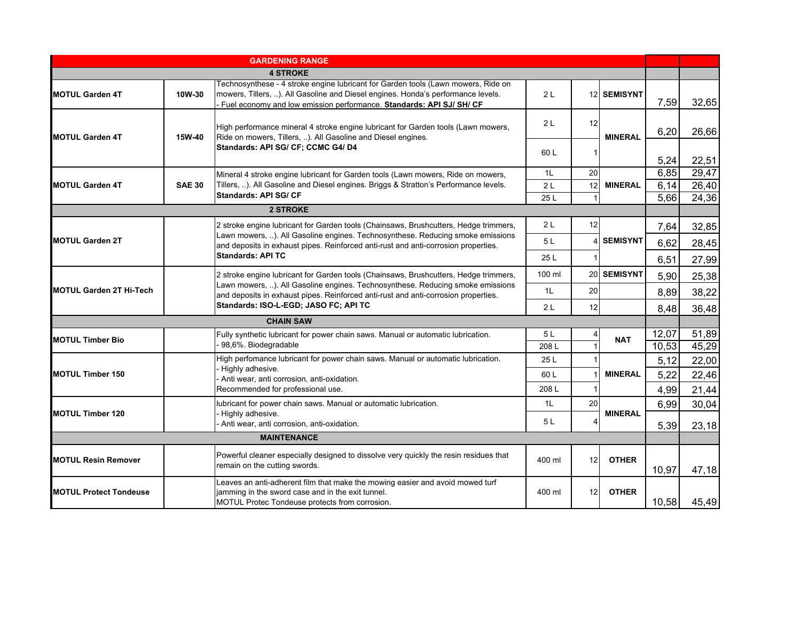|                                |               | <b>GARDENING RANGE</b>                                                                                                                                                                                                                          |                |    |                |       |       |
|--------------------------------|---------------|-------------------------------------------------------------------------------------------------------------------------------------------------------------------------------------------------------------------------------------------------|----------------|----|----------------|-------|-------|
|                                |               | <b>4 STROKE</b>                                                                                                                                                                                                                                 |                |    |                |       |       |
| <b>MOTUL Garden 4T</b>         | 10W-30        | Technosynthese - 4 stroke engine lubricant for Garden tools (Lawn mowers, Ride on<br>mowers, Tillers, ). All Gasoline and Diesel engines. Honda's performance levels.<br>- Fuel economy and low emission performance. Standards: API SJ/ SH/ CF | 2 <sub>L</sub> |    | 12 SEMISYNT    | 7,59  | 32,65 |
| <b>MOTUL Garden 4T</b>         | 15W-40        | High performance mineral 4 stroke engine lubricant for Garden tools (Lawn mowers,<br>Ride on mowers, Tillers, ). All Gasoline and Diesel engines.                                                                                               | 2L             | 12 | <b>MINERAL</b> | 6,20  | 26,66 |
|                                |               | Standards: API SG/ CF; CCMC G4/ D4                                                                                                                                                                                                              | 60L            | -1 |                | 5,24  | 22,51 |
|                                |               | Mineral 4 stroke engine lubricant for Garden tools (Lawn mowers, Ride on mowers,                                                                                                                                                                | 1L             | 20 |                | 6,85  | 29,47 |
| <b>MOTUL Garden 4T</b>         | <b>SAE 30</b> | Tillers, ). All Gasoline and Diesel engines. Briggs & Stratton's Performance levels.                                                                                                                                                            | 2L             | 12 | <b>MINERAL</b> | 6,14  | 26,40 |
|                                |               | <b>Standards: API SG/ CF</b>                                                                                                                                                                                                                    | 25 L           |    |                | 5,66  | 24,36 |
|                                |               | <b>2 STROKE</b>                                                                                                                                                                                                                                 |                |    |                |       |       |
|                                |               | 2 stroke engine lubricant for Garden tools (Chainsaws, Brushcutters, Hedge trimmers,                                                                                                                                                            | 2L             | 12 |                | 7,64  | 32,85 |
| <b>MOTUL Garden 2T</b>         |               | Lawn mowers, ). All Gasoline engines. Technosynthese. Reducing smoke emissions<br>and deposits in exhaust pipes. Reinforced anti-rust and anti-corrosion properties.                                                                            | 5 L            |    | 4 SEMISYNT     | 6,62  | 28,45 |
|                                |               | <b>Standards: API TC</b>                                                                                                                                                                                                                        | 25 L           |    |                | 6,51  | 27,99 |
|                                |               | 2 stroke engine lubricant for Garden tools (Chainsaws, Brushcutters, Hedge trimmers,<br>Lawn mowers, ). All Gasoline engines. Technosynthese. Reducing smoke emissions                                                                          | 100 ml         |    | 20 SEMISYNT    | 5,90  | 25,38 |
| <b>MOTUL Garden 2T Hi-Tech</b> |               | and deposits in exhaust pipes. Reinforced anti-rust and anti-corrosion properties.<br>Standards: ISO-L-EGD; JASO FC; API TC                                                                                                                     | 1L             | 20 |                | 8,89  | 38,22 |
|                                |               |                                                                                                                                                                                                                                                 | 2L             | 12 |                | 8,48  | 36,48 |
|                                |               | <b>CHAIN SAW</b>                                                                                                                                                                                                                                |                |    |                |       |       |
| <b>MOTUL Timber Bio</b>        |               | Fully synthetic lubricant for power chain saws. Manual or automatic lubrication.                                                                                                                                                                | 5L             |    | <b>NAT</b>     | 12,07 | 51,89 |
|                                |               | 98,6%. Biodegradable                                                                                                                                                                                                                            | 208L           |    |                | 10,53 | 45,29 |
|                                |               | High perfomance lubricant for power chain saws. Manual or automatic lubrication.                                                                                                                                                                | 25L            |    |                | 5,12  | 22,00 |
| <b>MOTUL Timber 150</b>        |               | Highly adhesive.<br>Anti wear, anti corrosion, anti-oxidation.                                                                                                                                                                                  | 60L            |    | <b>MINERAL</b> | 5,22  | 22,46 |
|                                |               | Recommended for professional use.                                                                                                                                                                                                               | 208L           |    |                | 4,99  | 21,44 |
|                                |               | lubricant for power chain saws. Manual or automatic lubrication.                                                                                                                                                                                | 1L             | 20 |                | 6,99  | 30,04 |
| <b>MOTUL Timber 120</b>        |               | Highly adhesive.<br>Anti wear, anti corrosion, anti-oxidation.                                                                                                                                                                                  | 5 L            |    | <b>MINERAL</b> | 5,39  | 23,18 |
|                                |               | <b>MAINTENANCE</b>                                                                                                                                                                                                                              |                |    |                |       |       |
|                                |               | Powerful cleaner especially designed to dissolve very quickly the resin residues that                                                                                                                                                           |                |    |                |       |       |
| <b>MOTUL Resin Remover</b>     |               | remain on the cutting swords.                                                                                                                                                                                                                   | 400 ml         | 12 | <b>OTHER</b>   | 10,97 | 47,18 |
| <b>MOTUL Protect Tondeuse</b>  |               | Leaves an anti-adherent film that make the mowing easier and avoid mowed turf<br>jamming in the sword case and in the exit tunnel.<br>MOTUL Protec Tondeuse protects from corrosion.                                                            | 400 ml         | 12 | <b>OTHER</b>   | 10,58 | 45,49 |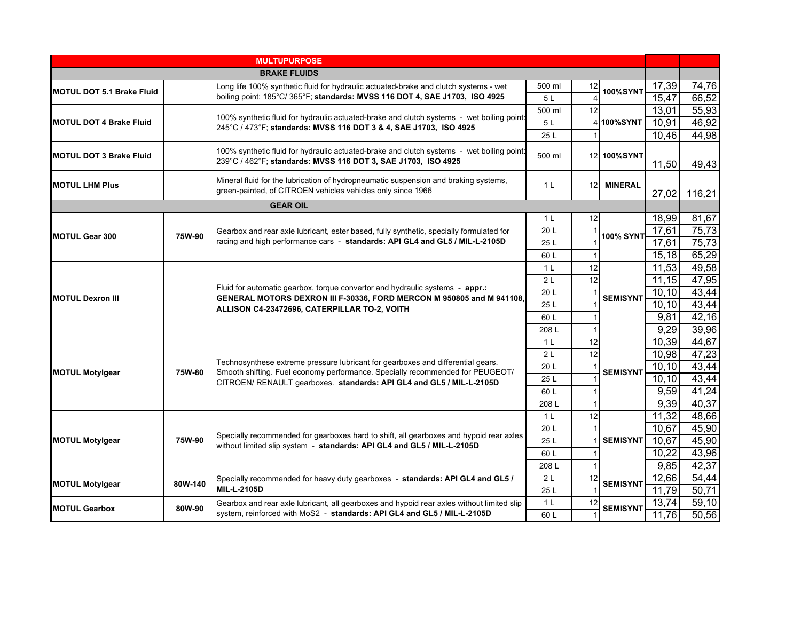|                                  |         | <b>MULTUPURPOSE</b>                                                                                                                                                  |                |    |                  |                |                |
|----------------------------------|---------|----------------------------------------------------------------------------------------------------------------------------------------------------------------------|----------------|----|------------------|----------------|----------------|
|                                  |         | <b>BRAKE FLUIDS</b>                                                                                                                                                  |                |    |                  |                |                |
| <b>MOTUL DOT 5.1 Brake Fluid</b> |         | Long life 100% synthetic fluid for hydraulic actuated-brake and clutch systems - wet                                                                                 | 500 ml         | 12 | <b>100%SYNT</b>  | 17,39          | 74,76          |
|                                  |         | boiling point: 185°C/365°F; standards: MVSS 116 DOT 4, SAE J1703, ISO 4925                                                                                           | 5L             |    |                  | 15,47          | 66,52          |
|                                  |         | 100% synthetic fluid for hydraulic actuated-brake and clutch systems - wet boiling point:                                                                            | 500 ml         | 12 |                  | 13,01          | 55,93          |
| <b>MOTUL DOT 4 Brake Fluid</b>   |         | 245°C / 473°F; standards: MVSS 116 DOT 3 & 4, SAE J1703, ISO 4925                                                                                                    | 5L             |    | 4100%SYNT        | 10,91          | 46,92          |
|                                  |         |                                                                                                                                                                      | 25L            |    |                  | 10,46          | 44,98          |
| <b>MOTUL DOT 3 Brake Fluid</b>   |         | 100% synthetic fluid for hydraulic actuated-brake and clutch systems - wet boiling point<br>239°C / 462°F; standards: MVSS 116 DOT 3, SAE J1703, ISO 4925            | 500 ml         |    | 12 100%SYNT      | 11,50          | 49,43          |
| <b>MOTUL LHM Plus</b>            |         | Mineral fluid for the lubrication of hydropneumatic suspension and braking systems,<br>green-painted, of CITROEN vehicles vehicles only since 1966                   | 1 <sup>L</sup> |    | 12 MINERAL       | 27,02          | 116,21         |
| <b>GEAR OIL</b>                  |         |                                                                                                                                                                      |                |    |                  |                |                |
|                                  |         |                                                                                                                                                                      | 1 <sup>L</sup> | 12 |                  | 18,99          | 81,67          |
| <b>MOTUL Gear 300</b>            | 75W-90  | Gearbox and rear axle lubricant, ester based, fully synthetic, specially formulated for                                                                              | 20 L           |    | <b>100% SYNT</b> | 17,61          | 75,73          |
|                                  |         | racing and high performance cars - standards: API GL4 and GL5 / MIL-L-2105D                                                                                          | 25L            |    |                  | 17,61          | 75,73          |
|                                  |         |                                                                                                                                                                      | 60L            |    |                  | 15,18          | 65,29          |
|                                  |         |                                                                                                                                                                      | 1 <sub>L</sub> | 12 |                  | 11,53          | 49,58          |
|                                  |         |                                                                                                                                                                      | 2L             | 12 |                  | 11,15          | 47,95          |
| <b>MOTUL Dexron III</b>          |         | Fluid for automatic gearbox, torque convertor and hydraulic systems - appr.:<br>GENERAL MOTORS DEXRON III F-30336, FORD MERCON M 950805 and M 941108,                | 20 L           |    | <b>SEMISYNT</b>  | 10,10          | 43,44          |
|                                  |         | ALLISON C4-23472696, CATERPILLAR TO-2, VOITH                                                                                                                         | 25L            |    |                  | 10,10          | 43,44          |
|                                  |         |                                                                                                                                                                      | 60L            |    |                  | 9,81           | 42,16          |
|                                  |         |                                                                                                                                                                      | 208L           |    |                  | 9,29           | 39,96          |
|                                  |         |                                                                                                                                                                      | 1 <sub>L</sub> | 12 |                  | 10,39          | 44,67          |
|                                  |         | Technosynthese extreme pressure lubricant for gearboxes and differential gears.                                                                                      | 2L             | 12 |                  | 10,98          | 47,23          |
| <b>MOTUL Motylgear</b>           | 75W-80  | Smooth shifting. Fuel economy performance. Specially recommended for PEUGEOT/                                                                                        | 20L            |    | <b>SEMISYNT</b>  | 10,10          | 43,44          |
|                                  |         | CITROEN/ RENAULT gearboxes. standards: API GL4 and GL5 / MIL-L-2105D                                                                                                 | 25L            |    |                  | 10,10          | 43,44          |
|                                  |         |                                                                                                                                                                      | 60L            |    |                  | 9,59           | 41,24          |
|                                  |         |                                                                                                                                                                      | 208L           |    |                  | 9,39           | 40,37          |
|                                  |         |                                                                                                                                                                      | 1 <sup>L</sup> | 12 |                  | 11,32          | 48,66          |
|                                  |         | Specially recommended for gearboxes hard to shift, all gearboxes and hypoid rear axles                                                                               | 20L            |    |                  | 10,67          | 45,90          |
| <b>MOTUL Motylgear</b>           | 75W-90  | without limited slip system - standards: API GL4 and GL5 / MIL-L-2105D                                                                                               | 25L            |    | <b>SEMISYNT</b>  | 10,67          | 45,90          |
|                                  |         |                                                                                                                                                                      | 60L            |    |                  | 10,22          | 43,96          |
|                                  |         |                                                                                                                                                                      | 208L           |    |                  | 9,85           | 42,37          |
| <b>MOTUL Motylgear</b>           | 80W-140 | Specially recommended for heavy duty gearboxes - standards: API GL4 and GL5 /<br><b>MIL-L-2105D</b>                                                                  | 2L<br>25 L     | 12 | <b>SEMISYNT</b>  | 12,66<br>11,79 | 54,44<br>50,71 |
|                                  |         |                                                                                                                                                                      | 1 <sup>L</sup> | 12 |                  | 13,74          | 59,10          |
| <b>MOTUL Gearbox</b>             | 80W-90  | Gearbox and rear axle lubricant, all gearboxes and hypoid rear axles without limited slip<br>system, reinforced with MoS2 - standards: API GL4 and GL5 / MIL-L-2105D | 60 L           |    | <b>SEMISYNT</b>  | 11,76          | 50,56          |
|                                  |         |                                                                                                                                                                      |                |    |                  |                |                |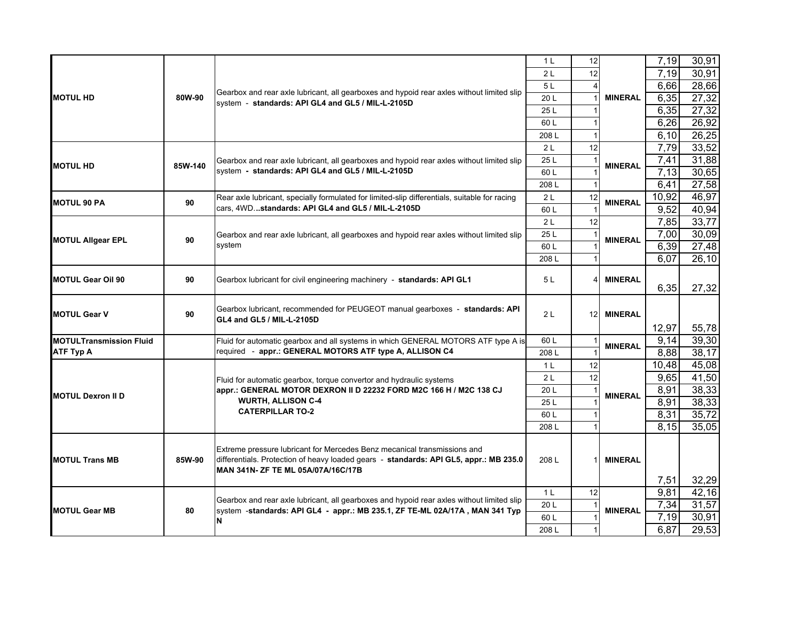|                                |         |                                                                                                                                                | 1 <sup>L</sup> | 12              |                | 7,19         | 30,91          |
|--------------------------------|---------|------------------------------------------------------------------------------------------------------------------------------------------------|----------------|-----------------|----------------|--------------|----------------|
|                                |         |                                                                                                                                                | 2L             | 12              |                | 7,19         | 30,91          |
|                                |         |                                                                                                                                                | 5L             |                 |                | 6,66         | 28,66          |
| <b>MOTUL HD</b>                | 80W-90  | Gearbox and rear axle lubricant, all gearboxes and hypoid rear axles without limited slip<br>system - standards: API GL4 and GL5 / MIL-L-2105D | 20 L           | $\overline{1}$  | <b>MINERAL</b> | 6,35         | 27,32          |
|                                |         |                                                                                                                                                | 25L            |                 |                | 6,35         | 27,32          |
|                                |         |                                                                                                                                                | 60 L           |                 |                | 6,26         | 26,92          |
|                                |         |                                                                                                                                                | 208L           | $\overline{1}$  |                | 6,10         | 26,25          |
|                                |         |                                                                                                                                                | 2L             | 12              |                | 7,79         | 33,52          |
| <b>MOTUL HD</b>                | 85W-140 | Gearbox and rear axle lubricant, all gearboxes and hypoid rear axles without limited slip                                                      | 25L            | -1              | <b>MINERAL</b> | 7,41         | 31,88          |
|                                |         | system - standards: API GL4 and GL5 / MIL-L-2105D                                                                                              | 60L            |                 |                | 7,13         | 30,65          |
|                                |         |                                                                                                                                                | 208L           |                 |                | 6,41         | 27,58          |
| <b>MOTUL 90 PA</b>             | 90      | Rear axle lubricant, specially formulated for limited-slip differentials, suitable for racing                                                  | 2L             | 12              | <b>MINERAL</b> | 10,92        | 46,97          |
|                                |         | cars. 4WDstandards: API GL4 and GL5 / MIL-L-2105D                                                                                              | 60 L           |                 |                | 9,52         | 40,94          |
|                                |         |                                                                                                                                                | 2L             | 12              |                | 7,85         | 33,77          |
| <b>MOTUL Allgear EPL</b>       | 90      | Gearbox and rear axle lubricant, all gearboxes and hypoid rear axles without limited slip                                                      | 25L            |                 | <b>MINERAL</b> | 7,00         | 30,09          |
|                                |         | system                                                                                                                                         | 60L            |                 |                | 6,39         | 27,48          |
|                                |         |                                                                                                                                                | 208L           |                 |                | 6,07         | 26,10          |
|                                |         |                                                                                                                                                |                |                 |                |              |                |
| <b>MOTUL Gear Oil 90</b>       | 90      | Gearbox lubricant for civil engineering machinery - standards: API GL1                                                                         | 5L             | $\overline{4}$  | <b>MINERAL</b> | 6,35         | 27,32          |
|                                |         |                                                                                                                                                |                |                 |                |              |                |
| <b>MOTUL Gear V</b>            | 90      | Gearbox lubricant, recommended for PEUGEOT manual gearboxes - standards: API                                                                   | 2L             | 12 <sup>1</sup> | <b>MINERAL</b> |              |                |
|                                |         | GL4 and GL5 / MIL-L-2105D                                                                                                                      |                |                 |                | 12,97        | 55,78          |
| <b>MOTULTransmission Fluid</b> |         | Fluid for automatic gearbox and all systems in which GENERAL MOTORS ATF type A is                                                              | 60L            |                 |                | 9,14         | 39,30          |
| <b>ATF Typ A</b>               |         | required - appr.: GENERAL MOTORS ATF type A, ALLISON C4                                                                                        | 208L           |                 | <b>MINERAL</b> | 8,88         | 38,17          |
|                                |         |                                                                                                                                                | 1 <sup>L</sup> | 12              |                | 10,48        | 45,08          |
|                                |         | Fluid for automatic gearbox, torque convertor and hydraulic systems                                                                            | 2L             | 12              |                | 9,65         | 41,50          |
|                                |         | appr.: GENERAL MOTOR DEXRON II D 22232 FORD M2C 166 H / M2C 138 CJ                                                                             | 20 L           |                 |                | 8,91         | 38,33          |
| <b>MOTUL Dexron II D</b>       |         | <b>WURTH, ALLISON C-4</b>                                                                                                                      | 25L            |                 | <b>MINERAL</b> | 8,91         | 38,33          |
|                                |         | <b>CATERPILLAR TO-2</b>                                                                                                                        | 60L            |                 |                | 8,31         | 35,72          |
|                                |         |                                                                                                                                                | 208L           |                 |                | 8,15         | 35,05          |
|                                |         |                                                                                                                                                |                |                 |                |              |                |
|                                |         | Extreme pressure lubricant for Mercedes Benz mecanical transmissions and                                                                       |                |                 |                |              |                |
| <b>MOTUL Trans MB</b>          | 85W-90  | differentials. Protection of heavy loaded gears - standards: API GL5, appr.: MB 235.0                                                          | 208L           |                 | <b>MINERAL</b> |              |                |
|                                |         |                                                                                                                                                |                |                 |                |              |                |
|                                |         | IMAN 341N- ZF TE ML 05A/07A/16C/17B                                                                                                            |                |                 |                |              |                |
|                                |         |                                                                                                                                                |                |                 |                | 7,51         | 32,29          |
|                                |         | Gearbox and rear axle lubricant, all gearboxes and hypoid rear axles without limited slip                                                      | 1 <sup>L</sup> | 12<br>-1        |                | 9,81         | 42,16          |
| <b>MOTUL Gear MB</b>           | 80      | system -standards: API GL4 - appr.: MB 235.1, ZF TE-ML 02A/17A, MAN 341 Typ<br>lΝ                                                              | 20 L<br>60L    |                 | <b>MINERAL</b> | 7,34<br>7,19 | 31,57<br>30,91 |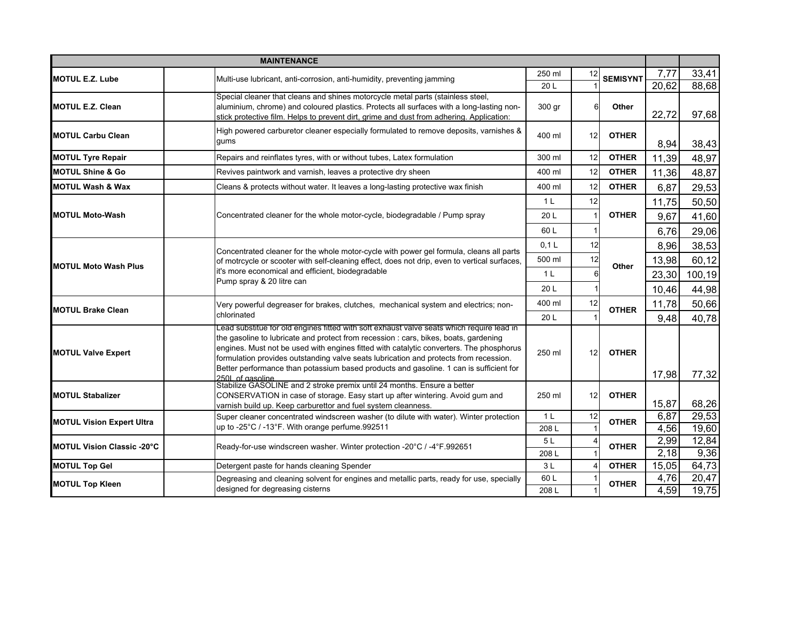|                                   | <b>MAINTENANCE</b>                                                                                                                                                                                                                                                                                                                                                                                                                                              |                |    |                 |              |                    |
|-----------------------------------|-----------------------------------------------------------------------------------------------------------------------------------------------------------------------------------------------------------------------------------------------------------------------------------------------------------------------------------------------------------------------------------------------------------------------------------------------------------------|----------------|----|-----------------|--------------|--------------------|
| <b>MOTUL E.Z. Lube</b>            | Multi-use lubricant, anti-corrosion, anti-humidity, preventing jamming                                                                                                                                                                                                                                                                                                                                                                                          | 250 ml         | 12 | <b>SEMISYNT</b> | 7,77         | 33,41              |
|                                   |                                                                                                                                                                                                                                                                                                                                                                                                                                                                 | 20L            |    |                 | 20,62        | 88,68              |
| <b>MOTUL E.Z. Clean</b>           | Special cleaner that cleans and shines motorcycle metal parts (stainless steel,<br>aluminium, chrome) and coloured plastics. Protects all surfaces with a long-lasting non-<br>stick protective film. Helps to prevent dirt, grime and dust from adhering. Application:                                                                                                                                                                                         | 300 gr         | 6  | Other           | 22,72        | 97,68              |
| <b>MOTUL Carbu Clean</b>          | High powered carburetor cleaner especially formulated to remove deposits, varnishes &<br>gums                                                                                                                                                                                                                                                                                                                                                                   | 400 ml         | 12 | <b>OTHER</b>    | 8,94         | 38,43              |
| <b>MOTUL Tyre Repair</b>          | Repairs and reinflates tyres, with or without tubes, Latex formulation                                                                                                                                                                                                                                                                                                                                                                                          | 300 ml         | 12 | <b>OTHER</b>    | 11,39        | 48,97              |
| <b>MOTUL Shine &amp; Go</b>       | Revives paintwork and varnish, leaves a protective dry sheen                                                                                                                                                                                                                                                                                                                                                                                                    | 400 ml         | 12 | <b>OTHER</b>    | 11,36        | 48,87              |
| <b>MOTUL Wash &amp; Wax</b>       | Cleans & protects without water. It leaves a long-lasting protective wax finish                                                                                                                                                                                                                                                                                                                                                                                 | 400 ml         | 12 | <b>OTHER</b>    | 6,87         | 29,53              |
|                                   |                                                                                                                                                                                                                                                                                                                                                                                                                                                                 | 1 <sub>L</sub> | 12 |                 | 11,75        | 50,50              |
| <b>MOTUL Moto-Wash</b>            | Concentrated cleaner for the whole motor-cycle, biodegradable / Pump spray                                                                                                                                                                                                                                                                                                                                                                                      | 20 L           |    | <b>OTHER</b>    | 9,67         | 41,60              |
|                                   |                                                                                                                                                                                                                                                                                                                                                                                                                                                                 | 60L            |    |                 | 6,76         | 29,06              |
|                                   | Concentrated cleaner for the whole motor-cycle with power gel formula, cleans all parts                                                                                                                                                                                                                                                                                                                                                                         | 0.1L           | 12 |                 | 8,96         | 38,53              |
| <b>MOTUL Moto Wash Plus</b>       | of motrcycle or scooter with self-cleaning effect, does not drip, even to vertical surfaces,                                                                                                                                                                                                                                                                                                                                                                    | 500 ml         | 12 | Other           | 13,98        | 60,12              |
|                                   | it's more economical and efficient, biodegradable                                                                                                                                                                                                                                                                                                                                                                                                               | 1 <sub>L</sub> |    |                 | 23,30        | 100,19             |
|                                   | Pump spray & 20 litre can                                                                                                                                                                                                                                                                                                                                                                                                                                       | 20 L           |    |                 | 10,46        | 44,98              |
|                                   | Very powerful degreaser for brakes, clutches, mechanical system and electrics; non-<br>chlorinated                                                                                                                                                                                                                                                                                                                                                              | 400 ml         | 12 | <b>OTHER</b>    | 11,78        | 50,66              |
| <b>MOTUL Brake Clean</b>          |                                                                                                                                                                                                                                                                                                                                                                                                                                                                 | 20L            |    |                 | 9,48         | 40,78              |
| <b>MOTUL Valve Expert</b>         | Lead substitue for old engines fitted with soft exhaust valve seats which require lead in<br>the gasoline to lubricate and protect from recession : cars, bikes, boats, gardening<br>engines. Must not be used with engines fitted with catalytic converters. The phosphorus<br>formulation provides outstanding valve seats lubrication and protects from recession.<br>Better performance than potassium based products and gasoline. 1 can is sufficient for | 250 ml         | 12 | <b>OTHER</b>    | 17,98        | 77,32              |
|                                   | 250L of gasoline<br>Stabilize GASOLINE and 2 stroke premix until 24 months. Ensure a better                                                                                                                                                                                                                                                                                                                                                                     |                |    |                 |              |                    |
| <b>MOTUL Stabalizer</b>           | CONSERVATION in case of storage. Easy start up after wintering. Avoid gum and<br>varnish build up. Keep carburettor and fuel system cleanness.                                                                                                                                                                                                                                                                                                                  | 250 ml         | 12 | <b>OTHER</b>    | 15,87        | 68,26              |
| <b>MOTUL Vision Expert Ultra</b>  | Super cleaner concentrated windscreen washer (to dilute with water). Winter protection                                                                                                                                                                                                                                                                                                                                                                          | 1 <sub>L</sub> | 12 | <b>OTHER</b>    | 6,87         | 29,53              |
|                                   | up to -25°C / -13°F. With orange perfume.992511                                                                                                                                                                                                                                                                                                                                                                                                                 | 208L<br>5L     |    |                 | 4,56         | 19,60<br>12,84     |
| <b>MOTUL Vision Classic -20°C</b> | Ready-for-use windscreen washer. Winter protection -20°C / -4°F.992651                                                                                                                                                                                                                                                                                                                                                                                          | 208L           |    | <b>OTHER</b>    | 2,99<br>2,18 | 9,36               |
| <b>MOTUL Top Gel</b>              | Detergent paste for hands cleaning Spender                                                                                                                                                                                                                                                                                                                                                                                                                      | 3L             |    | <b>OTHER</b>    | 15,05        | 64,73              |
|                                   | Degreasing and cleaning solvent for engines and metallic parts, ready for use, specially                                                                                                                                                                                                                                                                                                                                                                        | 60L            |    |                 | 4,76         | $\overline{20,}47$ |
| <b>MOTUL Top Kleen</b>            | designed for degreasing cisterns                                                                                                                                                                                                                                                                                                                                                                                                                                | 208L           |    | <b>OTHER</b>    | 4,59         | 19,75              |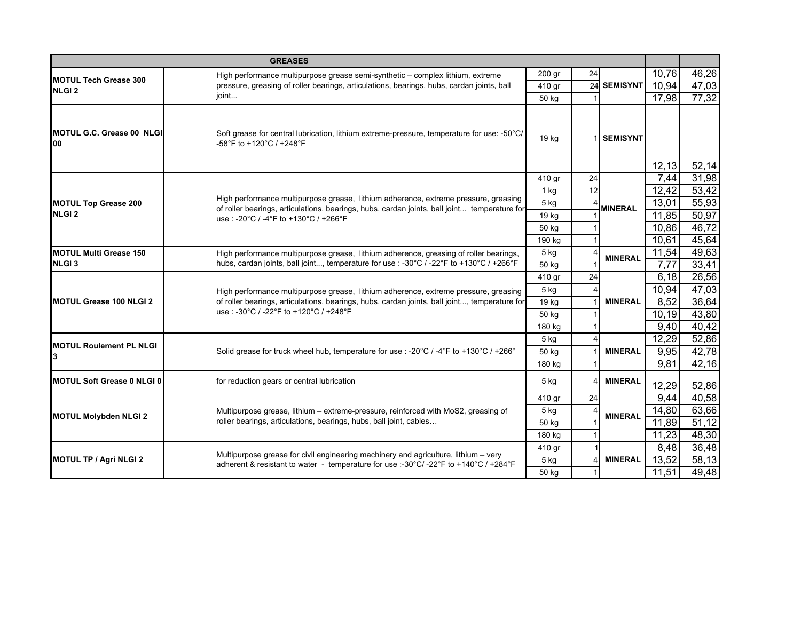|                                                   | <b>GREASES</b>                                                                                                                                                              |          |    |                |       |       |
|---------------------------------------------------|-----------------------------------------------------------------------------------------------------------------------------------------------------------------------------|----------|----|----------------|-------|-------|
|                                                   | High performance multipurpose grease semi-synthetic - complex lithium, extreme                                                                                              | $200$ gr | 24 |                | 10,76 | 46,26 |
| <b>MOTUL Tech Grease 300</b><br>NLGI <sub>2</sub> | pressure, greasing of roller bearings, articulations, bearings, hubs, cardan joints, ball                                                                                   | 410 gr   |    | 24 SEMISYNT    | 10,94 | 47,03 |
|                                                   | joint                                                                                                                                                                       | 50 kg    |    |                | 17,98 | 77,32 |
| <b>MOTUL G.C. Grease 00 NLGII</b><br>100          | Soft grease for central lubrication, lithium extreme-pressure, temperature for use: -50°C/<br>-58°F to +120°C / +248°F                                                      | 19 kg    |    | 1 SEMISYNT     | 12,13 | 52,14 |
|                                                   |                                                                                                                                                                             | 410 gr   | 24 |                | 7,44  | 31,98 |
|                                                   | High performance multipurpose grease, lithium adherence, extreme pressure, greasing                                                                                         | 1 kg     | 12 |                | 12,42 | 53,42 |
| <b>MOTUL Top Grease 200</b>                       | of roller bearings, articulations, bearings, hubs, cardan joints, ball joint temperature for                                                                                | 5 kg     |    | <b>MINERAL</b> | 13,01 | 55,93 |
| NLGI <sub>2</sub>                                 | use: -20°C / -4°F to +130°C / +266°F                                                                                                                                        | 19 kg    |    |                | 11,85 | 50,97 |
|                                                   |                                                                                                                                                                             | 50 kg    |    |                | 10,86 | 46,72 |
|                                                   |                                                                                                                                                                             | 190 kg   |    |                | 10,61 | 45,64 |
| <b>MOTUL Multi Grease 150</b>                     | High performance multipurpose grease, lithium adherence, greasing of roller bearings,                                                                                       | 5 kg     |    | <b>MINERAL</b> | 11,54 | 49,63 |
| NLGI <sub>3</sub>                                 | hubs, cardan joints, ball joint, temperature for use : -30°C / -22°F to +130°C / +266°F                                                                                     | 50 kg    |    |                | 7,77  | 33,41 |
|                                                   | High performance multipurpose grease, lithium adherence, extreme pressure, greasing                                                                                         | 410 gr   | 24 |                | 6.18  | 26,56 |
|                                                   |                                                                                                                                                                             | 5 kg     |    |                | 10,94 | 47,03 |
| <b>MOTUL Grease 100 NLGI 2</b>                    | of roller bearings, articulations, bearings, hubs, cardan joints, ball joint, temperature for                                                                               | 19 kg    |    | <b>MINERAL</b> | 8,52  | 36,64 |
|                                                   | use: -30°C / -22°F to +120°C / +248°F                                                                                                                                       | 50 kg    |    |                | 10,19 | 43,80 |
|                                                   |                                                                                                                                                                             | 180 kg   |    |                | 9,40  | 40,42 |
| <b>MOTUL Roulement PL NLGI</b>                    |                                                                                                                                                                             | $5$ kg   |    |                | 12,29 | 52,86 |
|                                                   | Solid grease for truck wheel hub, temperature for use : - $20^{\circ}C / -4^{\circ}F$ to +130°C / +266°                                                                     | 50 kg    |    | <b>MINERAL</b> | 9,95  | 42,78 |
|                                                   |                                                                                                                                                                             | 180 kg   |    |                | 9,81  | 42,16 |
| <b>MOTUL Soft Grease 0 NLGI 0</b>                 | for reduction gears or central lubrication                                                                                                                                  | $5$ kg   |    | <b>MINERAL</b> | 12,29 | 52,86 |
|                                                   |                                                                                                                                                                             | 410 gr   | 24 |                | 9,44  | 40,58 |
| <b>MOTUL Molybden NLGI 2</b>                      | Multipurpose grease, lithium - extreme-pressure, reinforced with MoS2, greasing of                                                                                          | 5 kg     |    | <b>MINERAL</b> | 14,80 | 63,66 |
|                                                   | roller bearings, articulations, bearings, hubs, ball joint, cables                                                                                                          | 50 kg    |    |                | 11,89 | 51,12 |
|                                                   |                                                                                                                                                                             | 180 kg   |    |                | 11,23 | 48,30 |
|                                                   |                                                                                                                                                                             | 410 gr   |    |                | 8,48  | 36,48 |
| <b>MOTUL TP / Agri NLGI 2</b>                     | Multipurpose grease for civil engineering machinery and agriculture, lithium - very<br>adherent & resistant to water - temperature for use :- 30°C/-22°F to +140°C / +284°F | $5$ kg   |    | <b>MINERAL</b> | 13,52 | 58,13 |
|                                                   |                                                                                                                                                                             | 50 kg    |    |                | 11,51 | 49,48 |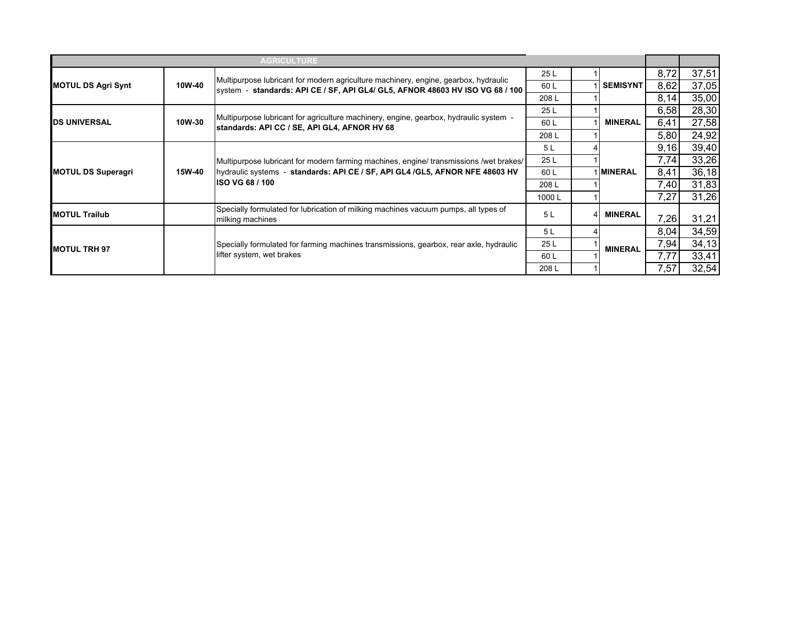|                           |        | <b>AGRICULTURE</b>                                                                                                                                                                                |       |                 |      |       |
|---------------------------|--------|---------------------------------------------------------------------------------------------------------------------------------------------------------------------------------------------------|-------|-----------------|------|-------|
|                           |        |                                                                                                                                                                                                   | 25 L  |                 | 8,72 | 37,51 |
| <b>MOTUL DS Agri Synt</b> | 10W-40 | Multipurpose lubricant for modern agriculture machinery, engine, gearbox, hydraulic<br> system - standards: API CE / SF, API GL4/ GL5, AFNOR 48603 HV ISO VG 68 / 100                             | 60L   | <b>SEMISYNT</b> | 8,62 | 37,05 |
|                           |        |                                                                                                                                                                                                   | 208L  |                 | 8,14 | 35,00 |
|                           |        |                                                                                                                                                                                                   | 25 L  |                 | 6,58 | 28,30 |
| <b>DS UNIVERSAL</b>       | 10W-30 | Multipurpose lubricant for agriculture machinery, engine, gearbox, hydraulic system -<br>standards: API CC / SE, API GL4, AFNOR HV 68                                                             | 60 L  | <b>MINERAL</b>  | 6,41 | 27,58 |
|                           |        |                                                                                                                                                                                                   | 208 L |                 | 5,80 | 24,92 |
|                           |        | Multipurpose lubricant for modern farming machines, engine/ transmissions /wet brakes/<br>hydraulic systems - standards: API CE / SF, API GL4 / GL5, AFNOR NFE 48603 HV<br><b>ISO VG 68 / 100</b> | 5 L   |                 | 9,16 | 39,40 |
|                           | 15W-40 |                                                                                                                                                                                                   | 25 L  |                 | 7,74 | 33,26 |
| <b>MOTUL DS Superagri</b> |        |                                                                                                                                                                                                   | 60 L  | <b>MINERAL</b>  | 8,41 | 36,18 |
|                           |        |                                                                                                                                                                                                   | 208L  |                 | 7,40 | 31,83 |
|                           |        |                                                                                                                                                                                                   | 1000L |                 | 7,27 | 31,26 |
| <b>MOTUL Trailub</b>      |        | Specially formulated for lubrication of milking machines vacuum pumps, all types of<br>milking machines                                                                                           | 5L    | <b>MINERAL</b>  | 7,26 | 31,21 |
|                           |        |                                                                                                                                                                                                   | 5 L   |                 | 8,04 | 34,59 |
| <b>IMOTUL TRH 97</b>      |        | Specially formulated for farming machines transmissions, gearbox, rear axle, hydraulic                                                                                                            | 25 L  | <b>MINERAL</b>  | 7,94 | 34,13 |
|                           |        | lifter system, wet brakes                                                                                                                                                                         | 60 L  |                 | 7,77 | 33,41 |
|                           |        |                                                                                                                                                                                                   | 208L  |                 | 7,57 | 32,54 |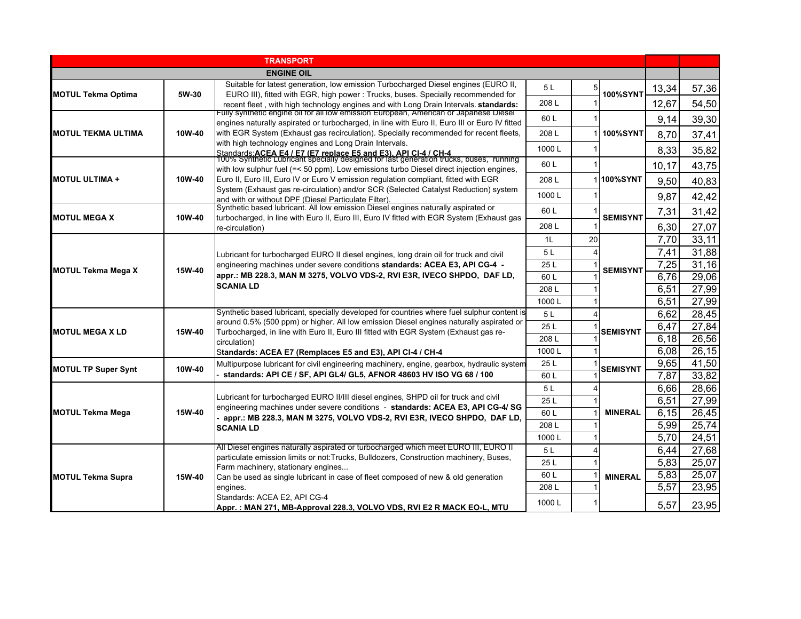|                            |        | <b>TRANSPORT</b>                                                                                                                                                                      |       |    |                   |       |       |
|----------------------------|--------|---------------------------------------------------------------------------------------------------------------------------------------------------------------------------------------|-------|----|-------------------|-------|-------|
|                            |        | <b>ENGINE OIL</b>                                                                                                                                                                     |       |    |                   |       |       |
|                            |        | Suitable for latest generation, low emission Turbocharged Diesel engines (EURO II,                                                                                                    | 5 L   |    |                   | 13,34 | 57,36 |
| <b>MOTUL Tekma Optima</b>  | 5W-30  | EURO III), fitted with EGR, high power: Trucks, buses. Specially recommended for                                                                                                      | 208L  |    | <b>100%SYNT</b>   |       |       |
|                            |        | recent fleet, with high technology engines and with Long Drain Intervals. standards:<br>ully synthetic engine oil for all low emission European, American or Japanese Diesel          |       |    |                   | 12,67 | 54,50 |
|                            |        | engines naturally aspirated or turbocharged, in line with Euro II, Euro III or Euro IV fitted                                                                                         | 60 L  |    |                   | 9,14  | 39,30 |
| <b>MOTUL TEKMA ULTIMA</b>  | 10W-40 | with EGR System (Exhaust gas recirculation). Specially recommended for recent fleets,                                                                                                 | 208L  |    | <b>100%SYNT</b>   | 8,70  | 37,41 |
|                            |        | with high technology engines and Long Drain Intervals.                                                                                                                                | 1000L |    |                   | 8,33  | 35,82 |
|                            |        | Standards: <b>ACEA E4 / E7 (E7 replace E5 and E3). API CI-4 / CH-4</b><br>100% Synthetic Lubricant specially designed for last generation trucks, buses, running                      | 60 L  |    |                   |       |       |
|                            |        | with low sulphur fuel (=< 50 ppm). Low emissions turbo Diesel direct injection engines,                                                                                               |       |    |                   | 10,17 | 43,75 |
| <b>MOTUL ULTIMA +</b>      | 10W-40 | Euro II, Euro III, Euro IV or Euro V emission regulation compliant, fitted with EGR                                                                                                   | 208L  |    | 1 <b>100%SYNT</b> | 9,50  | 40,83 |
|                            |        | System (Exhaust gas re-circulation) and/or SCR (Selected Catalyst Reduction) system<br>and with or without DPF (Diesel Particulate Filter).                                           | 1000L |    |                   | 9,87  | 42,42 |
|                            |        | Synthetic based lubricant. All low emission Diesel engines naturally aspirated or                                                                                                     | 60L   |    |                   | 7,31  | 31,42 |
| <b>MOTUL MEGA X</b>        | 10W-40 | turbocharged, in line with Euro II, Euro III, Euro IV fitted with EGR System (Exhaust gas                                                                                             |       |    | <b>SEMISYNT</b>   |       |       |
|                            |        | re-circulation)                                                                                                                                                                       | 208L  |    |                   | 6,30  | 27,07 |
|                            | 15W-40 |                                                                                                                                                                                       | 1L    | 20 |                   | 7,70  | 33,11 |
|                            |        | Lubricant for turbocharged EURO II diesel engines, long drain oil for truck and civil                                                                                                 | 5L    |    |                   | 7,41  | 31,88 |
| <b>MOTUL Tekma Mega X</b>  |        | engineering machines under severe conditions standards: ACEA E3, API CG-4 -                                                                                                           | 25 L  |    | <b>SEMISYNT</b>   | 7,25  | 31,16 |
|                            |        | appr.: MB 228.3, MAN M 3275, VOLVO VDS-2, RVI E3R, IVECO SHPDO, DAF LD,<br><b>SCANIA LD</b>                                                                                           | 60L   |    |                   | 6,76  | 29,06 |
|                            |        |                                                                                                                                                                                       | 208L  |    |                   | 6,51  | 27,99 |
|                            |        |                                                                                                                                                                                       | 1000L |    |                   | 6,51  | 27,99 |
|                            |        | Synthetic based lubricant, specially developed for countries where fuel sulphur content is<br>around 0.5% (500 ppm) or higher. All low emission Diesel engines naturally aspirated or | 5L    |    |                   | 6,62  | 28,45 |
| <b>MOTUL MEGA X LD</b>     | 15W-40 | Turbocharged, in line with Euro II, Euro III fitted with EGR System (Exhaust gas re-                                                                                                  | 25 L  |    | <b>SEMISYNT</b>   | 6,47  | 27,84 |
|                            |        | circulation)                                                                                                                                                                          | 208L  |    |                   | 6.18  | 26,56 |
|                            |        | Standards: ACEA E7 (Remplaces E5 and E3), API CI-4 / CH-4                                                                                                                             | 1000L |    |                   | 6,08  | 26,15 |
| <b>MOTUL TP Super Synt</b> | 10W-40 | Multipurpose lubricant for civil engineering machinery, engine, gearbox, hydraulic system                                                                                             | 25 L  |    | <b>SEMISYNT</b>   | 9,65  | 41,50 |
|                            |        | standards: API CE / SF, API GL4/ GL5, AFNOR 48603 HV ISO VG 68 / 100                                                                                                                  | 60 L  |    |                   | 7,87  | 33,82 |
|                            |        |                                                                                                                                                                                       | 5L    |    |                   | 6,66  | 28,66 |
|                            |        | Lubricant for turbocharged EURO II/III diesel engines, SHPD oil for truck and civil<br>engineering machines under severe conditions - standards: ACEA E3, API CG-4/ SG                | 25 L  |    |                   | 6,51  | 27,99 |
| <b>MOTUL Tekma Mega</b>    | 15W-40 | appr.: MB 228.3, MAN M 3275, VOLVO VDS-2, RVI E3R, IVECO SHPDO, DAF LD,                                                                                                               | 60 L  |    | <b>MINERAL</b>    | 6,15  | 26,45 |
|                            |        | <b>SCANIA LD</b>                                                                                                                                                                      | 208L  |    |                   | 5,99  | 25,74 |
|                            |        |                                                                                                                                                                                       | 1000L |    |                   | 5,70  | 24,51 |
|                            |        | All Diesel engines naturally aspirated or turbocharged which meet EURO III, EURO II                                                                                                   | 5L    |    |                   | 6,44  | 27,68 |
|                            |        | particulate emission limits or not: Trucks, Bulldozers, Construction machinery, Buses,<br>Farm machinery, stationary engines                                                          | 25L   |    |                   | 5,83  | 25,07 |
| <b>MOTUL Tekma Supra</b>   | 15W-40 | Can be used as single lubricant in case of fleet composed of new & old generation                                                                                                     | 60 L  |    | <b>MINERAL</b>    | 5,83  | 25,07 |
|                            |        | engines.                                                                                                                                                                              | 208 L |    |                   | 5,57  | 23,95 |
|                            |        | Standards: ACEA E2, API CG-4                                                                                                                                                          | 1000L |    |                   |       |       |
|                            |        | Appr.: MAN 271, MB-Approval 228.3, VOLVO VDS, RVI E2 R MACK EO-L, MTU                                                                                                                 |       |    |                   | 5.57  | 23,95 |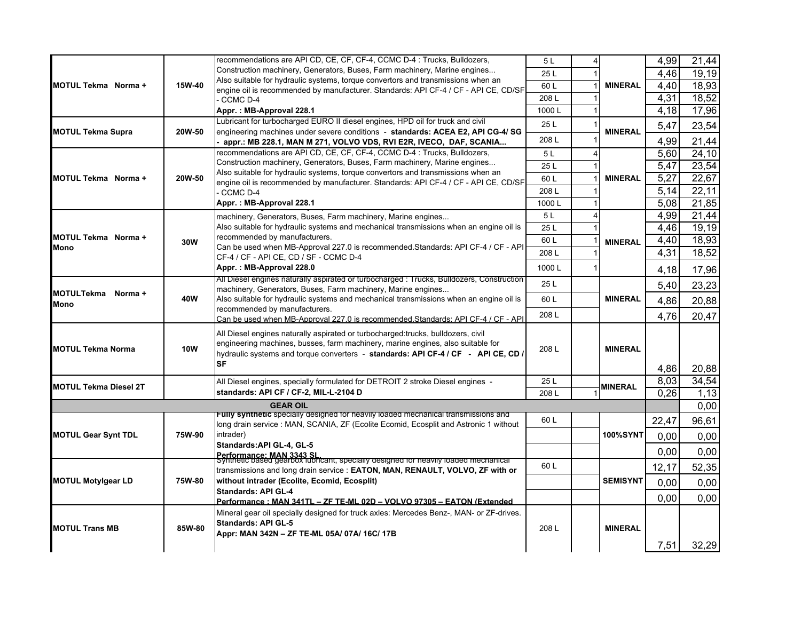|                                           |            | recommendations are API CD, CE, CF, CF-4, CCMC D-4 : Trucks, Bulldozers,                                          | 5L    |  |                                                        | 4,99  | $\overline{2}1,44$ |  |  |
|-------------------------------------------|------------|-------------------------------------------------------------------------------------------------------------------|-------|--|--------------------------------------------------------|-------|--------------------|--|--|
| <b>MOTUL Tekma</b> Norma +                |            | Construction machinery, Generators, Buses, Farm machinery, Marine engines                                         | 25L   |  | <b>MINERAL</b>                                         | 4,46  | 19,19              |  |  |
|                                           | 15W-40     | Also suitable for hydraulic systems, torque convertors and transmissions when an                                  | 60L   |  |                                                        | 4,40  | 18,93              |  |  |
|                                           |            | engine oil is recommended by manufacturer. Standards: API CF-4 / CF - API CE, CD/SF                               | 208L  |  |                                                        | 4,31  | 18,52              |  |  |
|                                           |            | CCMC D-4                                                                                                          |       |  |                                                        | 4,18  | 17,96              |  |  |
|                                           |            | Appr.: MB-Approval 228.1<br>Lubricant for turbocharged EURO II diesel engines, HPD oil for truck and civil        | 1000L |  |                                                        |       |                    |  |  |
| <b>MOTUL Tekma Supra</b>                  | 20W-50     | engineering machines under severe conditions - standards: ACEA E2, API CG-4/ SG                                   | 25L   |  | <b>MINERAL</b>                                         | 5,47  | 23,54              |  |  |
| MOTUL Tekma Norma +                       | 20W-50     | appr.: MB 228.1, MAN M 271, VOLVO VDS, RVI E2R, IVECO, DAF, SCANIA                                                | 208L  |  | <b>MINERAL</b>                                         | 4,99  | 21,44              |  |  |
|                                           |            | recommendations are API CD, CE, CF, CF-4, CCMC D-4 : Trucks, Bulldozers,                                          | 5L    |  |                                                        | 5,60  | 24,10              |  |  |
|                                           |            | Construction machinery, Generators, Buses, Farm machinery, Marine engines                                         |       |  |                                                        |       | 23,54              |  |  |
|                                           |            | Also suitable for hydraulic systems, torque convertors and transmissions when an                                  | 25L   |  |                                                        | 5,47  |                    |  |  |
|                                           |            | engine oil is recommended by manufacturer. Standards: API CF-4 / CF - API CE, CD/SF                               | 60L   |  |                                                        | 5,27  | 22,67              |  |  |
|                                           |            | CCMC D-4                                                                                                          | 208L  |  |                                                        | 5,14  | 22,11              |  |  |
|                                           |            | Appr.: MB-Approval 228.1                                                                                          | 1000L |  | $\Delta$<br>$\overline{\phantom{a}}$<br><b>MINERAL</b> | 5,08  | 21,85              |  |  |
|                                           |            | machinery, Generators, Buses, Farm machinery, Marine engines                                                      | 5L    |  |                                                        | 4,99  | 21,44              |  |  |
| <b>MOTUL Tekma</b> Norma +<br><b>Mono</b> |            | Also suitable for hydraulic systems and mechanical transmissions when an engine oil is                            | 25 L  |  |                                                        | 4,46  | 19,19              |  |  |
|                                           |            | recommended by manufacturers.                                                                                     | 60L   |  |                                                        | 4,40  | 18,93              |  |  |
|                                           | 30W        | Can be used when MB-Approval 227.0 is recommended. Standards: API CF-4 / CF - API                                 | 208L  |  |                                                        | 4,31  | 18,52              |  |  |
|                                           |            | CF-4 / CF - API CE, CD / SF - CCMC D-4                                                                            |       |  |                                                        |       |                    |  |  |
| MOTULTekma Norma +<br><b>Mono</b>         | 40W        | Appr.: MB-Approval 228.0                                                                                          | 1000L |  | <b>MINERAL</b>                                         | 4,18  | 17,96              |  |  |
|                                           |            | All Diesel engines naturally aspirated or turbocharged : Trucks, Bulldozers, Construction                         | 25 L  |  |                                                        | 5,40  | 23,23              |  |  |
|                                           |            | machinery, Generators, Buses, Farm machinery, Marine engines                                                      |       |  |                                                        |       |                    |  |  |
|                                           |            | Also suitable for hydraulic systems and mechanical transmissions when an engine oil is                            | 60L   |  |                                                        | 4,86  | 20,88              |  |  |
|                                           | <b>10W</b> | recommended by manufacturers.<br>Can be used when MB-Approval 227.0 is recommended Standards: API CF-4 / CF - API | 208L  |  | <b>MINERAL</b>                                         | 4,76  | 20,47              |  |  |
|                                           |            |                                                                                                                   |       |  |                                                        |       |                    |  |  |
|                                           |            | All Diesel engines naturally aspirated or turbocharged: trucks, bulldozers, civil                                 |       |  |                                                        |       |                    |  |  |
| <b>MOTUL Tekma Norma</b>                  |            | engineering machines, busses, farm machinery, marine engines, also suitable for                                   | 208L  |  |                                                        |       |                    |  |  |
|                                           |            | hydraulic systems and torque converters - standards: API CF-4 / CF - API CE, CD /                                 |       |  |                                                        |       |                    |  |  |
|                                           |            | SF                                                                                                                |       |  |                                                        | 4,86  | 20,88              |  |  |
|                                           |            | All Diesel engines, specially formulated for DETROIT 2 stroke Diesel engines -                                    | 25L   |  |                                                        | 8,03  | 34,54              |  |  |
| <b>MOTUL Tekma Diesel 2T</b>              |            | standards: API CF / CF-2, MIL-L-2104 D                                                                            | 208L  |  | <b>MINERAL</b>                                         | 0,26  | 1,13               |  |  |
| <b>GEAR OIL</b>                           |            |                                                                                                                   |       |  |                                                        |       |                    |  |  |
|                                           |            | Funy synthetic specially designed for heavily loaded mechanical transmissions and                                 |       |  |                                                        |       | 0,00               |  |  |
| <b>MOTUL Gear Synt TDL</b>                | 75W-90     | long drain service : MAN, SCANIA, ZF (Ecolite Ecomid, Ecosplit and Astronic 1 without                             | 60 L  |  |                                                        | 22,47 | 96,61              |  |  |
|                                           |            | intrader)                                                                                                         |       |  | <b>100%SYNT</b>                                        | 0,00  | 0,00               |  |  |
|                                           |            | Standards: API GL-4, GL-5                                                                                         |       |  |                                                        | 0,00  | 0,00               |  |  |
|                                           |            | Performance: MAN 3343 SL.<br>Synthetic based gearbox idoricant, specially designed for neavily loaded mechanical  |       |  |                                                        |       |                    |  |  |
| <b>MOTUL Motylgear LD</b>                 | 75W-80     | transmissions and long drain service : EATON, MAN, RENAULT, VOLVO, ZF with or                                     | 60 L  |  | <b>SEMISYNT</b>                                        | 12,17 | 52,35              |  |  |
|                                           |            | without intrader (Ecolite, Ecomid, Ecosplit)                                                                      |       |  |                                                        | 0,00  | 0,00               |  |  |
|                                           |            | <b>Standards: API GL-4</b>                                                                                        |       |  |                                                        |       |                    |  |  |
|                                           |            | Performance: MAN 341TL - ZF TE-ML 02D - VOLVO 97305 - FATON (Extended                                             |       |  |                                                        | 0,00  | 0,00               |  |  |
|                                           |            |                                                                                                                   |       |  |                                                        |       |                    |  |  |
|                                           |            | Mineral gear oil specially designed for truck axles: Mercedes Benz-, MAN- or ZF-drives.                           |       |  |                                                        |       |                    |  |  |
|                                           |            | <b>Standards: API GL-5</b>                                                                                        |       |  |                                                        |       |                    |  |  |
| <b>MOTUL Trans MB</b>                     | 85W-80     | Appr: MAN 342N - ZF TE-ML 05A/ 07A/ 16C/ 17B                                                                      | 208L  |  | <b>MINERAL</b>                                         |       |                    |  |  |